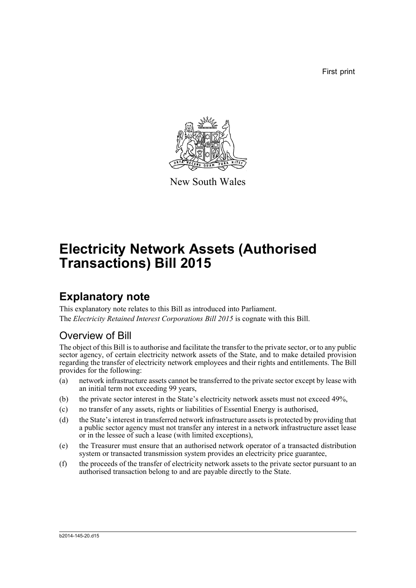First print



New South Wales

# **Electricity Network Assets (Authorised Transactions) Bill 2015**

## **Explanatory note**

This explanatory note relates to this Bill as introduced into Parliament. The *Electricity Retained Interest Corporations Bill 2015* is cognate with this Bill.

## Overview of Bill

The object of this Bill is to authorise and facilitate the transfer to the private sector, or to any public sector agency, of certain electricity network assets of the State, and to make detailed provision regarding the transfer of electricity network employees and their rights and entitlements. The Bill provides for the following:

- (a) network infrastructure assets cannot be transferred to the private sector except by lease with an initial term not exceeding 99 years,
- (b) the private sector interest in the State's electricity network assets must not exceed 49%,
- (c) no transfer of any assets, rights or liabilities of Essential Energy is authorised,
- (d) the State's interest in transferred network infrastructure assets is protected by providing that a public sector agency must not transfer any interest in a network infrastructure asset lease or in the lessee of such a lease (with limited exceptions),
- (e) the Treasurer must ensure that an authorised network operator of a transacted distribution system or transacted transmission system provides an electricity price guarantee,
- (f) the proceeds of the transfer of electricity network assets to the private sector pursuant to an authorised transaction belong to and are payable directly to the State.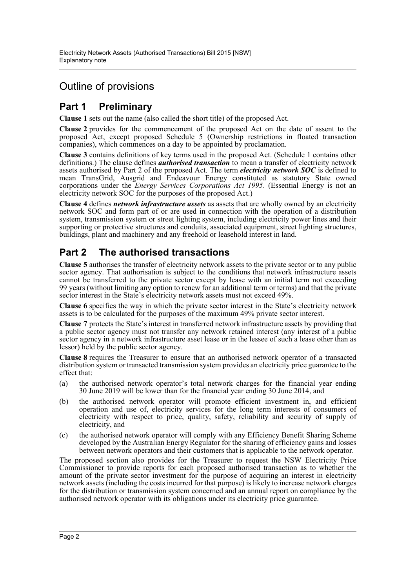## Outline of provisions

## **Part 1 Preliminary**

**Clause 1** sets out the name (also called the short title) of the proposed Act.

**Clause 2** provides for the commencement of the proposed Act on the date of assent to the proposed Act, except proposed Schedule 5 (Ownership restrictions in floated transaction companies), which commences on a day to be appointed by proclamation.

**Clause 3** contains definitions of key terms used in the proposed Act. (Schedule 1 contains other definitions.) The clause defines *authorised transaction* to mean a transfer of electricity network assets authorised by Part 2 of the proposed Act. The term *electricity network SOC* is defined to mean TransGrid, Ausgrid and Endeavour Energy constituted as statutory State owned corporations under the *Energy Services Corporations Act 1995*. (Essential Energy is not an electricity network SOC for the purposes of the proposed Act.)

**Clause 4** defines *network infrastructure assets* as assets that are wholly owned by an electricity network SOC and form part of or are used in connection with the operation of a distribution system, transmission system or street lighting system, including electricity power lines and their supporting or protective structures and conduits, associated equipment, street lighting structures, buildings, plant and machinery and any freehold or leasehold interest in land.

## **Part 2 The authorised transactions**

**Clause 5** authorises the transfer of electricity network assets to the private sector or to any public sector agency. That authorisation is subject to the conditions that network infrastructure assets cannot be transferred to the private sector except by lease with an initial term not exceeding 99 years (without limiting any option to renew for an additional term or terms) and that the private sector interest in the State's electricity network assets must not exceed 49%.

**Clause 6** specifies the way in which the private sector interest in the State's electricity network assets is to be calculated for the purposes of the maximum 49% private sector interest.

**Clause 7** protects the State's interest in transferred network infrastructure assets by providing that a public sector agency must not transfer any network retained interest (any interest of a public sector agency in a network infrastructure asset lease or in the lessee of such a lease other than as lessor) held by the public sector agency.

**Clause 8** requires the Treasurer to ensure that an authorised network operator of a transacted distribution system or transacted transmission system provides an electricity price guarantee to the effect that:

- (a) the authorised network operator's total network charges for the financial year ending 30 June 2019 will be lower than for the financial year ending 30 June 2014, and
- (b) the authorised network operator will promote efficient investment in, and efficient operation and use of, electricity services for the long term interests of consumers of electricity with respect to price, quality, safety, reliability and security of supply of electricity, and
- (c) the authorised network operator will comply with any Efficiency Benefit Sharing Scheme developed by the Australian Energy Regulator for the sharing of efficiency gains and losses between network operators and their customers that is applicable to the network operator.

The proposed section also provides for the Treasurer to request the NSW Electricity Price Commissioner to provide reports for each proposed authorised transaction as to whether the amount of the private sector investment for the purpose of acquiring an interest in electricity network assets (including the costs incurred for that purpose) is likely to increase network charges for the distribution or transmission system concerned and an annual report on compliance by the authorised network operator with its obligations under its electricity price guarantee.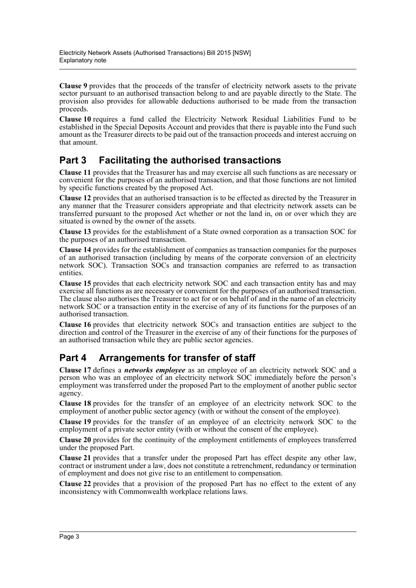**Clause 9** provides that the proceeds of the transfer of electricity network assets to the private sector pursuant to an authorised transaction belong to and are payable directly to the State. The provision also provides for allowable deductions authorised to be made from the transaction proceeds.

**Clause 10** requires a fund called the Electricity Network Residual Liabilities Fund to be established in the Special Deposits Account and provides that there is payable into the Fund such amount as the Treasurer directs to be paid out of the transaction proceeds and interest accruing on that amount.

## **Part 3 Facilitating the authorised transactions**

**Clause 11** provides that the Treasurer has and may exercise all such functions as are necessary or convenient for the purposes of an authorised transaction, and that those functions are not limited by specific functions created by the proposed Act.

**Clause 12** provides that an authorised transaction is to be effected as directed by the Treasurer in any manner that the Treasurer considers appropriate and that electricity network assets can be transferred pursuant to the proposed Act whether or not the land in, on or over which they are situated is owned by the owner of the assets.

**Clause 13** provides for the establishment of a State owned corporation as a transaction SOC for the purposes of an authorised transaction.

**Clause 14** provides for the establishment of companies as transaction companies for the purposes of an authorised transaction (including by means of the corporate conversion of an electricity network SOC). Transaction SOCs and transaction companies are referred to as transaction entities.

**Clause 15** provides that each electricity network SOC and each transaction entity has and may exercise all functions as are necessary or convenient for the purposes of an authorised transaction. The clause also authorises the Treasurer to act for or on behalf of and in the name of an electricity network SOC or a transaction entity in the exercise of any of its functions for the purposes of an authorised transaction.

**Clause 16** provides that electricity network SOCs and transaction entities are subject to the direction and control of the Treasurer in the exercise of any of their functions for the purposes of an authorised transaction while they are public sector agencies.

## **Part 4 Arrangements for transfer of staff**

**Clause 17** defines a *networks employee* as an employee of an electricity network SOC and a person who was an employee of an electricity network SOC immediately before the person's employment was transferred under the proposed Part to the employment of another public sector agency.

**Clause 18** provides for the transfer of an employee of an electricity network SOC to the employment of another public sector agency (with or without the consent of the employee).

**Clause 19** provides for the transfer of an employee of an electricity network SOC to the employment of a private sector entity (with or without the consent of the employee).

**Clause 20** provides for the continuity of the employment entitlements of employees transferred under the proposed Part.

**Clause 21** provides that a transfer under the proposed Part has effect despite any other law, contract or instrument under a law, does not constitute a retrenchment, redundancy or termination of employment and does not give rise to an entitlement to compensation.

**Clause 22** provides that a provision of the proposed Part has no effect to the extent of any inconsistency with Commonwealth workplace relations laws.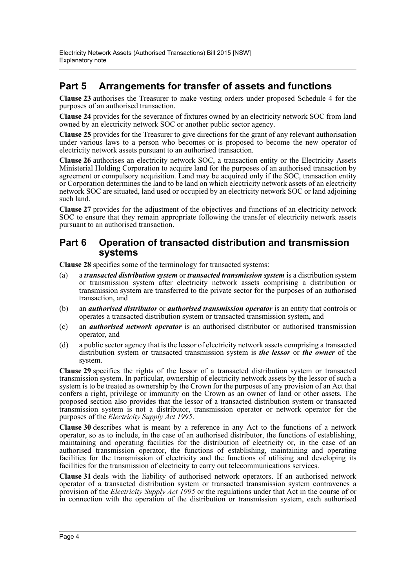## **Part 5 Arrangements for transfer of assets and functions**

**Clause 23** authorises the Treasurer to make vesting orders under proposed Schedule 4 for the purposes of an authorised transaction.

**Clause 24** provides for the severance of fixtures owned by an electricity network SOC from land owned by an electricity network SOC or another public sector agency.

**Clause 25** provides for the Treasurer to give directions for the grant of any relevant authorisation under various laws to a person who becomes or is proposed to become the new operator of electricity network assets pursuant to an authorised transaction.

**Clause 26** authorises an electricity network SOC, a transaction entity or the Electricity Assets Ministerial Holding Corporation to acquire land for the purposes of an authorised transaction by agreement or compulsory acquisition. Land may be acquired only if the SOC, transaction entity or Corporation determines the land to be land on which electricity network assets of an electricity network SOC are situated, land used or occupied by an electricity network SOC or land adjoining such land.

**Clause 27** provides for the adjustment of the objectives and functions of an electricity network SOC to ensure that they remain appropriate following the transfer of electricity network assets pursuant to an authorised transaction.

### **Part 6 Operation of transacted distribution and transmission systems**

**Clause 28** specifies some of the terminology for transacted systems:

- (a) a *transacted distribution system* or *transacted transmission system* is a distribution system or transmission system after electricity network assets comprising a distribution or transmission system are transferred to the private sector for the purposes of an authorised transaction, and
- (b) an *authorised distributor* or *authorised transmission operator* is an entity that controls or operates a transacted distribution system or transacted transmission system, and
- (c) an *authorised network operator* is an authorised distributor or authorised transmission operator, and
- (d) a public sector agency that is the lessor of electricity network assets comprising a transacted distribution system or transacted transmission system is *the lessor* or *the owner* of the system.

**Clause 29** specifies the rights of the lessor of a transacted distribution system or transacted transmission system. In particular, ownership of electricity network assets by the lessor of such a system is to be treated as ownership by the Crown for the purposes of any provision of an Act that confers a right, privilege or immunity on the Crown as an owner of land or other assets. The proposed section also provides that the lessor of a transacted distribution system or transacted transmission system is not a distributor, transmission operator or network operator for the purposes of the *Electricity Supply Act 1995*.

**Clause 30** describes what is meant by a reference in any Act to the functions of a network operator, so as to include, in the case of an authorised distributor, the functions of establishing, maintaining and operating facilities for the distribution of electricity or, in the case of an authorised transmission operator, the functions of establishing, maintaining and operating facilities for the transmission of electricity and the functions of utilising and developing its facilities for the transmission of electricity to carry out telecommunications services.

**Clause 31** deals with the liability of authorised network operators. If an authorised network operator of a transacted distribution system or transacted transmission system contravenes a provision of the *Electricity Supply Act 1995* or the regulations under that Act in the course of or in connection with the operation of the distribution or transmission system, each authorised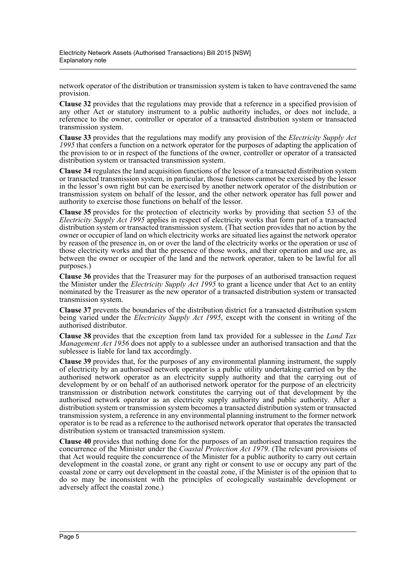network operator of the distribution or transmission system is taken to have contravened the same provision.

**Clause 32** provides that the regulations may provide that a reference in a specified provision of any other Act or statutory instrument to a public authority includes, or does not include, a reference to the owner, controller or operator of a transacted distribution system or transacted transmission system.

**Clause 33** provides that the regulations may modify any provision of the *Electricity Supply Act 1995* that confers a function on a network operator for the purposes of adapting the application of the provision to or in respect of the functions of the owner, controller or operator of a transacted distribution system or transacted transmission system.

**Clause 34** regulates the land acquisition functions of the lessor of a transacted distribution system or transacted transmission system, in particular, those functions cannot be exercised by the lessor in the lessor's own right but can be exercised by another network operator of the distribution or transmission system on behalf of the lessor, and the other network operator has full power and authority to exercise those functions on behalf of the lessor.

**Clause 35** provides for the protection of electricity works by providing that section 53 of the *Electricity Supply Act 1995* applies in respect of electricity works that form part of a transacted distribution system or transacted transmission system. (That section provides that no action by the owner or occupier of land on which electricity works are situated lies against the network operator by reason of the presence in, on or over the land of the electricity works or the operation or use of those electricity works and that the presence of those works, and their operation and use are, as between the owner or occupier of the land and the network operator, taken to be lawful for all purposes.)

**Clause 36** provides that the Treasurer may for the purposes of an authorised transaction request the Minister under the *Electricity Supply Act 1995* to grant a licence under that Act to an entity nominated by the Treasurer as the new operator of a transacted distribution system or transacted transmission system.

**Clause 37** prevents the boundaries of the distribution district for a transacted distribution system being varied under the *Electricity Supply Act 1995*, except with the consent in writing of the authorised distributor.

**Clause 38** provides that the exception from land tax provided for a sublessee in the *Land Tax Management Act 1956* does not apply to a sublessee under an authorised transaction and that the sublessee is liable for land tax accordingly.

**Clause 39** provides that, for the purposes of any environmental planning instrument, the supply of electricity by an authorised network operator is a public utility undertaking carried on by the authorised network operator as an electricity supply authority and that the carrying out of development by or on behalf of an authorised network operator for the purpose of an electricity transmission or distribution network constitutes the carrying out of that development by the authorised network operator as an electricity supply authority and public authority. After a distribution system or transmission system becomes a transacted distribution system or transacted transmission system, a reference in any environmental planning instrument to the former network operator is to be read as a reference to the authorised network operator that operates the transacted distribution system or transacted transmission system.

**Clause 40** provides that nothing done for the purposes of an authorised transaction requires the concurrence of the Minister under the *Coastal Protection Act 1979*. (The relevant provisions of that Act would require the concurrence of the Minister for a public authority to carry out certain development in the coastal zone, or grant any right or consent to use or occupy any part of the coastal zone or carry out development in the coastal zone, if the Minister is of the opinion that to do so may be inconsistent with the principles of ecologically sustainable development or adversely affect the coastal zone.)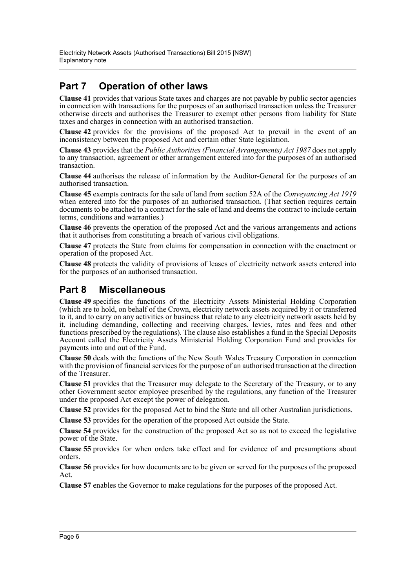## **Part 7 Operation of other laws**

**Clause 41** provides that various State taxes and charges are not payable by public sector agencies in connection with transactions for the purposes of an authorised transaction unless the Treasurer otherwise directs and authorises the Treasurer to exempt other persons from liability for State taxes and charges in connection with an authorised transaction.

**Clause 42** provides for the provisions of the proposed Act to prevail in the event of an inconsistency between the proposed Act and certain other State legislation.

**Clause 43** provides that the *Public Authorities (Financial Arrangements) Act 1987* does not apply to any transaction, agreement or other arrangement entered into for the purposes of an authorised transaction.

**Clause 44** authorises the release of information by the Auditor-General for the purposes of an authorised transaction.

**Clause 45** exempts contracts for the sale of land from section 52A of the *Conveyancing Act 1919* when entered into for the purposes of an authorised transaction. (That section requires certain documents to be attached to a contract for the sale of land and deems the contract to include certain terms, conditions and warranties.)

**Clause 46** prevents the operation of the proposed Act and the various arrangements and actions that it authorises from constituting a breach of various civil obligations.

**Clause 47** protects the State from claims for compensation in connection with the enactment or operation of the proposed Act.

**Clause 48** protects the validity of provisions of leases of electricity network assets entered into for the purposes of an authorised transaction.

## **Part 8 Miscellaneous**

**Clause 49** specifies the functions of the Electricity Assets Ministerial Holding Corporation (which are to hold, on behalf of the Crown, electricity network assets acquired by it or transferred to it, and to carry on any activities or business that relate to any electricity network assets held by it, including demanding, collecting and receiving charges, levies, rates and fees and other functions prescribed by the regulations). The clause also establishes a fund in the Special Deposits Account called the Electricity Assets Ministerial Holding Corporation Fund and provides for payments into and out of the Fund.

**Clause 50** deals with the functions of the New South Wales Treasury Corporation in connection with the provision of financial services for the purpose of an authorised transaction at the direction of the Treasurer.

**Clause 51** provides that the Treasurer may delegate to the Secretary of the Treasury, or to any other Government sector employee prescribed by the regulations, any function of the Treasurer under the proposed Act except the power of delegation.

**Clause 52** provides for the proposed Act to bind the State and all other Australian jurisdictions.

**Clause 53** provides for the operation of the proposed Act outside the State.

**Clause 54** provides for the construction of the proposed Act so as not to exceed the legislative power of the State.

**Clause 55** provides for when orders take effect and for evidence of and presumptions about orders.

**Clause 56** provides for how documents are to be given or served for the purposes of the proposed Act.

**Clause 57** enables the Governor to make regulations for the purposes of the proposed Act.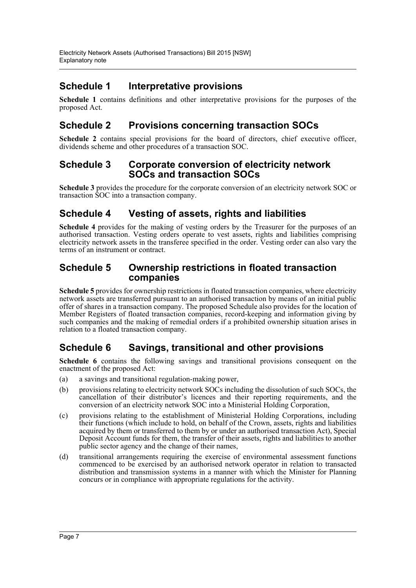## **Schedule 1 Interpretative provisions**

**Schedule 1** contains definitions and other interpretative provisions for the purposes of the proposed Act.

## **Schedule 2 Provisions concerning transaction SOCs**

**Schedule 2** contains special provisions for the board of directors, chief executive officer, dividends scheme and other procedures of a transaction SOC.

### **Schedule 3 Corporate conversion of electricity network SOCs and transaction SOCs**

**Schedule 3** provides the procedure for the corporate conversion of an electricity network SOC or transaction SOC into a transaction company.

### **Schedule 4 Vesting of assets, rights and liabilities**

**Schedule 4** provides for the making of vesting orders by the Treasurer for the purposes of an authorised transaction. Vesting orders operate to vest assets, rights and liabilities comprising electricity network assets in the transferee specified in the order. Vesting order can also vary the terms of an instrument or contract.

### **Schedule 5 Ownership restrictions in floated transaction companies**

**Schedule 5** provides for ownership restrictions in floated transaction companies, where electricity network assets are transferred pursuant to an authorised transaction by means of an initial public offer of shares in a transaction company. The proposed Schedule also provides for the location of Member Registers of floated transaction companies, record-keeping and information giving by such companies and the making of remedial orders if a prohibited ownership situation arises in relation to a floated transaction company.

### **Schedule 6 Savings, transitional and other provisions**

**Schedule 6** contains the following savings and transitional provisions consequent on the enactment of the proposed Act:

- (a) a savings and transitional regulation-making power,
- (b) provisions relating to electricity network SOCs including the dissolution of such SOCs, the cancellation of their distributor's licences and their reporting requirements, and the conversion of an electricity network SOC into a Ministerial Holding Corporation,
- (c) provisions relating to the establishment of Ministerial Holding Corporations, including their functions (which include to hold, on behalf of the Crown, assets, rights and liabilities acquired by them or transferred to them by or under an authorised transaction Act), Special Deposit Account funds for them, the transfer of their assets, rights and liabilities to another public sector agency and the change of their names,
- (d) transitional arrangements requiring the exercise of environmental assessment functions commenced to be exercised by an authorised network operator in relation to transacted distribution and transmission systems in a manner with which the Minister for Planning concurs or in compliance with appropriate regulations for the activity.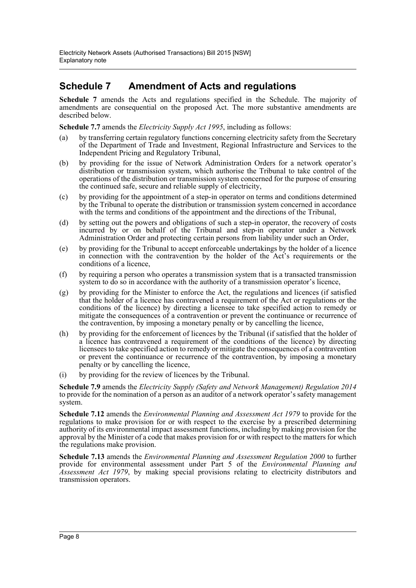## **Schedule 7 Amendment of Acts and regulations**

**Schedule 7** amends the Acts and regulations specified in the Schedule. The majority of amendments are consequential on the proposed Act. The more substantive amendments are described below.

**Schedule 7.7** amends the *Electricity Supply Act 1995*, including as follows:

- (a) by transferring certain regulatory functions concerning electricity safety from the Secretary of the Department of Trade and Investment, Regional Infrastructure and Services to the Independent Pricing and Regulatory Tribunal,
- (b) by providing for the issue of Network Administration Orders for a network operator's distribution or transmission system, which authorise the Tribunal to take control of the operations of the distribution or transmission system concerned for the purpose of ensuring the continued safe, secure and reliable supply of electricity,
- (c) by providing for the appointment of a step-in operator on terms and conditions determined by the Tribunal to operate the distribution or transmission system concerned in accordance with the terms and conditions of the appointment and the directions of the Tribunal,
- (d) by setting out the powers and obligations of such a step-in operator, the recovery of costs incurred by or on behalf of the Tribunal and step-in operator under a Network Administration Order and protecting certain persons from liability under such an Order,
- (e) by providing for the Tribunal to accept enforceable undertakings by the holder of a licence in connection with the contravention by the holder of the Act's requirements or the conditions of a licence,
- (f) by requiring a person who operates a transmission system that is a transacted transmission system to do so in accordance with the authority of a transmission operator's licence,
- (g) by providing for the Minister to enforce the Act, the regulations and licences (if satisfied that the holder of a licence has contravened a requirement of the Act or regulations or the conditions of the licence) by directing a licensee to take specified action to remedy or mitigate the consequences of a contravention or prevent the continuance or recurrence of the contravention, by imposing a monetary penalty or by cancelling the licence,
- (h) by providing for the enforcement of licences by the Tribunal (if satisfied that the holder of a licence has contravened a requirement of the conditions of the licence) by directing licensees to take specified action to remedy or mitigate the consequences of a contravention or prevent the continuance or recurrence of the contravention, by imposing a monetary penalty or by cancelling the licence,
- (i) by providing for the review of licences by the Tribunal.

**Schedule 7.9** amends the *Electricity Supply (Safety and Network Management) Regulation 2014* to provide for the nomination of a person as an auditor of a network operator's safety management system.

**Schedule 7.12** amends the *Environmental Planning and Assessment Act 1979* to provide for the regulations to make provision for or with respect to the exercise by a prescribed determining authority of its environmental impact assessment functions, including by making provision for the approval by the Minister of a code that makes provision for or with respect to the matters for which the regulations make provision.

**Schedule 7.13** amends the *Environmental Planning and Assessment Regulation 2000* to further provide for environmental assessment under Part 5 of the *Environmental Planning and Assessment Act 1979*, by making special provisions relating to electricity distributors and transmission operators.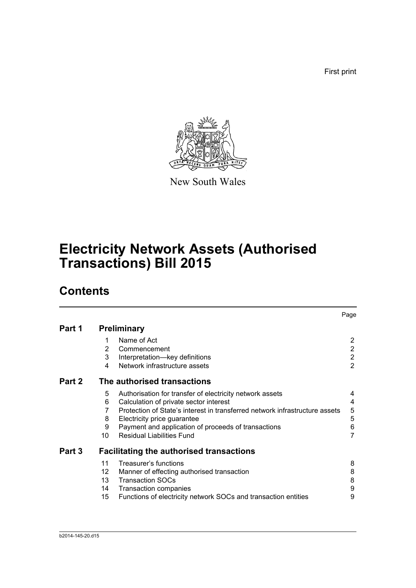First print



New South Wales

# **Electricity Network Assets (Authorised Transactions) Bill 2015**

## **Contents**

|        |                    |                                                                             | Page           |  |  |  |  |
|--------|--------------------|-----------------------------------------------------------------------------|----------------|--|--|--|--|
| Part 1 | <b>Preliminary</b> |                                                                             |                |  |  |  |  |
|        | 1                  | Name of Act                                                                 | $\overline{2}$ |  |  |  |  |
|        | 2                  | Commencement                                                                | $\overline{2}$ |  |  |  |  |
|        | 3                  | Interpretation-key definitions                                              | $\overline{2}$ |  |  |  |  |
|        | 4                  | Network infrastructure assets                                               | $\overline{2}$ |  |  |  |  |
| Part 2 |                    | The authorised transactions                                                 |                |  |  |  |  |
|        | 5                  | Authorisation for transfer of electricity network assets                    | 4              |  |  |  |  |
|        | 6                  | Calculation of private sector interest                                      | 4              |  |  |  |  |
|        | 7                  | Protection of State's interest in transferred network infrastructure assets | 5              |  |  |  |  |
|        | 8                  | Electricity price guarantee                                                 | 5              |  |  |  |  |
|        | 9                  | Payment and application of proceeds of transactions                         | 6              |  |  |  |  |
|        | 10                 | <b>Residual Liabilities Fund</b>                                            | $\overline{7}$ |  |  |  |  |
| Part 3 |                    | <b>Facilitating the authorised transactions</b>                             |                |  |  |  |  |
|        | 11                 | Treasurer's functions                                                       | 8              |  |  |  |  |
|        | 12                 | Manner of effecting authorised transaction                                  | 8              |  |  |  |  |
|        | 13 <sup>13</sup>   | <b>Transaction SOCs</b>                                                     | 8              |  |  |  |  |
|        | 14                 | <b>Transaction companies</b>                                                | 9              |  |  |  |  |
|        | 15                 | Functions of electricity network SOCs and transaction entities              | 9              |  |  |  |  |
|        |                    |                                                                             |                |  |  |  |  |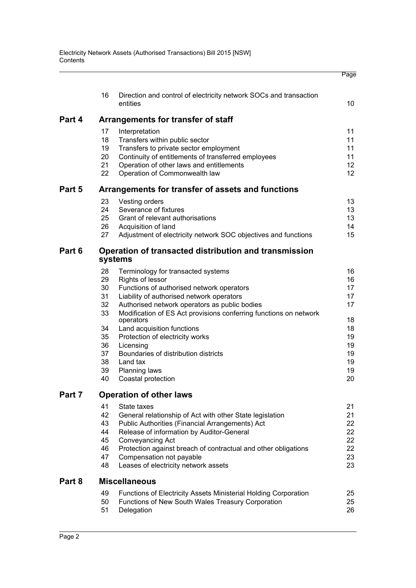|        |          |                                                                                                 | Page     |
|--------|----------|-------------------------------------------------------------------------------------------------|----------|
|        | 16       | Direction and control of electricity network SOCs and transaction<br>entities                   | 10       |
|        |          |                                                                                                 |          |
| Part 4 |          | Arrangements for transfer of staff                                                              |          |
|        | 17       | Interpretation                                                                                  | 11       |
|        | 18       | Transfers within public sector                                                                  | 11       |
|        | 19<br>20 | Transfers to private sector employment                                                          | 11<br>11 |
|        | 21       | Continuity of entitlements of transferred employees<br>Operation of other laws and entitlements | 12       |
|        | 22       | Operation of Commonwealth law                                                                   | 12       |
| Part 5 |          | Arrangements for transfer of assets and functions                                               |          |
|        | 23       | Vesting orders                                                                                  | 13       |
|        | 24       | Severance of fixtures                                                                           | 13       |
|        | 25       | Grant of relevant authorisations                                                                | 13       |
|        | 26       | Acquisition of land                                                                             | 14       |
|        | 27       | Adjustment of electricity network SOC objectives and functions                                  | 15       |
| Part 6 |          | Operation of transacted distribution and transmission<br>systems                                |          |
|        | 28       | Terminology for transacted systems                                                              | 16       |
|        | 29       | <b>Rights of lessor</b>                                                                         | 16       |
|        | 30       | Functions of authorised network operators                                                       | 17       |
|        | 31       | Liability of authorised network operators                                                       | 17       |
|        | 32       | Authorised network operators as public bodies                                                   | 17       |
|        | 33       | Modification of ES Act provisions conferring functions on network<br>operators                  | 18       |
|        | 34       | Land acquisition functions                                                                      | 18       |
|        | 35       | Protection of electricity works                                                                 | 19       |
|        | 36       | Licensing                                                                                       | 19       |
|        | 37       | Boundaries of distribution districts                                                            | 19       |
|        | 38       | Land tax                                                                                        | 19       |
|        | 39       | <b>Planning laws</b>                                                                            | 19       |
|        | 40       | Coastal protection                                                                              | 20       |
| Part 7 |          | <b>Operation of other laws</b>                                                                  |          |
|        | 41       | State taxes                                                                                     | 21       |
|        | 42       | General relationship of Act with other State legislation                                        | 21       |
|        | 43<br>44 | Public Authorities (Financial Arrangements) Act<br>Release of information by Auditor-General    | 22<br>22 |
|        | 45       | Conveyancing Act                                                                                | 22       |
|        | 46       | Protection against breach of contractual and other obligations                                  | 22       |
|        | 47       | Compensation not payable                                                                        | 23       |
|        | 48       | Leases of electricity network assets                                                            | 23       |
| Part 8 |          | <b>Miscellaneous</b>                                                                            |          |
|        | 49       | <b>Functions of Electricity Assets Ministerial Holding Corporation</b>                          | 25       |
|        | 50       | Functions of New South Wales Treasury Corporation                                               | 25       |
|        | 51       | Delegation                                                                                      | 26       |
|        |          |                                                                                                 |          |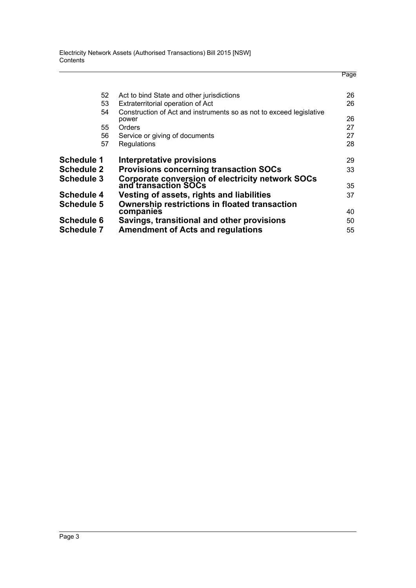Electricity Network Assets (Authorised Transactions) Bill 2015 [NSW] **Contents** 

|                   |                                                                              | Page |
|-------------------|------------------------------------------------------------------------------|------|
| 52                | Act to bind State and other jurisdictions                                    | 26   |
| 53                | Extraterritorial operation of Act                                            | 26   |
| 54                | Construction of Act and instruments so as not to exceed legislative<br>power | 26   |
| 55                | Orders                                                                       | 27   |
| 56                | Service or giving of documents                                               | 27   |
| 57                | Regulations                                                                  | 28   |
| <b>Schedule 1</b> | <b>Interpretative provisions</b>                                             | 29   |
| <b>Schedule 2</b> | <b>Provisions concerning transaction SOCs</b>                                | 33   |
| <b>Schedule 3</b> | Corporate conversion of electricity network SOCs                             |      |
|                   | and transaction SOCs                                                         | 35   |
| <b>Schedule 4</b> | Vesting of assets, rights and liabilities                                    | 37   |
| <b>Schedule 5</b> | <b>Ownership restrictions in floated transaction</b>                         |      |
|                   | companies                                                                    | 40   |
| <b>Schedule 6</b> | Savings, transitional and other provisions                                   | 50   |
| <b>Schedule 7</b> | <b>Amendment of Acts and regulations</b>                                     | 55   |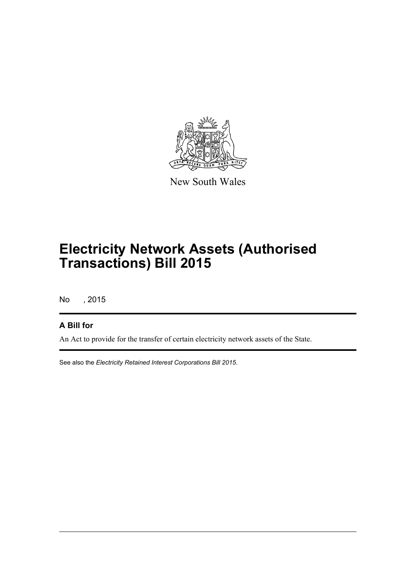

New South Wales

## **Electricity Network Assets (Authorised Transactions) Bill 2015**

No , 2015

### **A Bill for**

An Act to provide for the transfer of certain electricity network assets of the State.

See also the *Electricity Retained Interest Corporations Bill 2015*.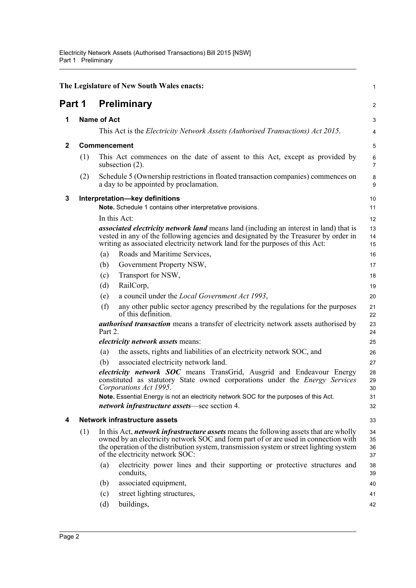<span id="page-12-4"></span><span id="page-12-3"></span><span id="page-12-2"></span><span id="page-12-1"></span><span id="page-12-0"></span>

|              |     |                                                                                              | The Legislature of New South Wales enacts:                                                                                                                                                                                                                                                                        | 1                    |
|--------------|-----|----------------------------------------------------------------------------------------------|-------------------------------------------------------------------------------------------------------------------------------------------------------------------------------------------------------------------------------------------------------------------------------------------------------------------|----------------------|
| Part 1       |     |                                                                                              | <b>Preliminary</b>                                                                                                                                                                                                                                                                                                | $\overline{c}$       |
| 1            |     | <b>Name of Act</b>                                                                           |                                                                                                                                                                                                                                                                                                                   | 3                    |
|              |     |                                                                                              | This Act is the <i>Electricity Network Assets (Authorised Transactions) Act 2015</i> .                                                                                                                                                                                                                            | 4                    |
| $\mathbf{2}$ |     | <b>Commencement</b>                                                                          |                                                                                                                                                                                                                                                                                                                   | 5                    |
|              | (1) |                                                                                              | This Act commences on the date of assent to this Act, except as provided by<br>subsection (2).                                                                                                                                                                                                                    | 6<br>7               |
|              | (2) |                                                                                              | Schedule 5 (Ownership restrictions in floated transaction companies) commences on<br>a day to be appointed by proclamation.                                                                                                                                                                                       | 8<br>9               |
| 3            |     | Interpretation-key definitions<br>Note. Schedule 1 contains other interpretative provisions. |                                                                                                                                                                                                                                                                                                                   |                      |
|              |     |                                                                                              | In this Act:                                                                                                                                                                                                                                                                                                      | 12                   |
|              |     |                                                                                              | <i>associated electricity network land</i> means land (including an interest in land) that is<br>vested in any of the following agencies and designated by the Treasurer by order in<br>writing as associated electricity network land for the purposes of this Act:                                              | 13<br>14<br>15       |
|              |     | (a)                                                                                          | Roads and Maritime Services,                                                                                                                                                                                                                                                                                      | 16                   |
|              |     | (b)                                                                                          | Government Property NSW,                                                                                                                                                                                                                                                                                          | 17                   |
|              |     | (c)                                                                                          | Transport for NSW,                                                                                                                                                                                                                                                                                                | 18                   |
|              |     | (d)                                                                                          | RailCorp,                                                                                                                                                                                                                                                                                                         | 19                   |
|              |     | (e)                                                                                          | a council under the <i>Local Government Act 1993</i> ,                                                                                                                                                                                                                                                            | 20                   |
|              |     | (f)                                                                                          | any other public sector agency prescribed by the regulations for the purposes<br>of this definition.                                                                                                                                                                                                              | 21<br>22             |
|              |     | Part 2.                                                                                      | <i>authorised transaction</i> means a transfer of electricity network assets authorised by                                                                                                                                                                                                                        | 23<br>24             |
|              |     |                                                                                              | <i>electricity network assets means:</i>                                                                                                                                                                                                                                                                          | 25                   |
|              |     | (a)                                                                                          | the assets, rights and liabilities of an electricity network SOC, and                                                                                                                                                                                                                                             | 26                   |
|              |     | (b)                                                                                          | associated electricity network land.                                                                                                                                                                                                                                                                              | 27                   |
|              |     |                                                                                              | <i>electricity network SOC</i> means TransGrid, Ausgrid and Endeavour Energy<br>constituted as statutory State owned corporations under the <i>Energy Services</i><br>Corporations Act 1995.                                                                                                                      | 28<br>29<br>30       |
|              |     |                                                                                              | Note. Essential Energy is not an electricity network SOC for the purposes of this Act.                                                                                                                                                                                                                            | 31                   |
|              |     |                                                                                              | <i>network infrastructure assets</i> —see section 4.                                                                                                                                                                                                                                                              | 32                   |
| 4            |     |                                                                                              | <b>Network infrastructure assets</b>                                                                                                                                                                                                                                                                              | 33                   |
|              | (1) |                                                                                              | In this Act, <i>network infrastructure assets</i> means the following assets that are wholly<br>owned by an electricity network SOC and form part of or are used in connection with<br>the operation of the distribution system, transmission system or street lighting system<br>of the electricity network SOC: | 34<br>35<br>36<br>37 |
|              |     | (a)                                                                                          | electricity power lines and their supporting or protective structures and<br>conduits,                                                                                                                                                                                                                            | 38<br>39             |
|              |     | (b)                                                                                          | associated equipment,                                                                                                                                                                                                                                                                                             | 40                   |
|              |     | (c)                                                                                          | street lighting structures,                                                                                                                                                                                                                                                                                       | 41                   |
|              |     | (d)                                                                                          | buildings,                                                                                                                                                                                                                                                                                                        | 42                   |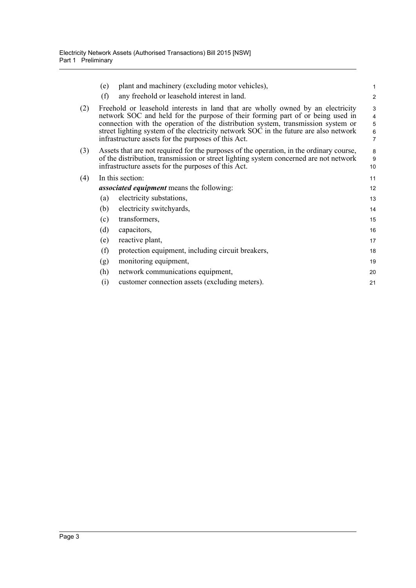|     | (e)                                              | plant and machinery (excluding motor vehicles),                                                                                                                                                                                                                                                                                                                                                      | 1                            |  |  |
|-----|--------------------------------------------------|------------------------------------------------------------------------------------------------------------------------------------------------------------------------------------------------------------------------------------------------------------------------------------------------------------------------------------------------------------------------------------------------------|------------------------------|--|--|
|     | (f)                                              | any freehold or leasehold interest in land.                                                                                                                                                                                                                                                                                                                                                          | $\overline{\mathbf{c}}$      |  |  |
| (2) |                                                  | Freehold or leasehold interests in land that are wholly owned by an electricity<br>network SOC and held for the purpose of their forming part of or being used in<br>connection with the operation of the distribution system, transmission system or<br>street lighting system of the electricity network SOC in the future are also network<br>infrastructure assets for the purposes of this Act. | 3<br>4<br>$\frac{5}{6}$<br>7 |  |  |
| (3) |                                                  | Assets that are not required for the purposes of the operation, in the ordinary course,<br>of the distribution, transmission or street lighting system concerned are not network<br>infrastructure assets for the purposes of this Act.                                                                                                                                                              | 8<br>9<br>10                 |  |  |
| (4) | In this section:                                 |                                                                                                                                                                                                                                                                                                                                                                                                      |                              |  |  |
|     | <i>associated equipment</i> means the following: |                                                                                                                                                                                                                                                                                                                                                                                                      |                              |  |  |
|     | (a)                                              | electricity substations,                                                                                                                                                                                                                                                                                                                                                                             | 13                           |  |  |
|     | (b)                                              | electricity switchyards,                                                                                                                                                                                                                                                                                                                                                                             | 14                           |  |  |
|     | (c)                                              | transformers,                                                                                                                                                                                                                                                                                                                                                                                        | 15                           |  |  |
|     | (d)                                              | capacitors,                                                                                                                                                                                                                                                                                                                                                                                          | 16                           |  |  |
|     | (e)                                              | reactive plant,                                                                                                                                                                                                                                                                                                                                                                                      | 17                           |  |  |
|     | (f)                                              | protection equipment, including circuit breakers,                                                                                                                                                                                                                                                                                                                                                    | 18                           |  |  |
|     | (g)                                              | monitoring equipment,                                                                                                                                                                                                                                                                                                                                                                                | 19                           |  |  |
|     | (h)                                              | network communications equipment,                                                                                                                                                                                                                                                                                                                                                                    | 20                           |  |  |
|     | (i)                                              | customer connection assets (excluding meters).                                                                                                                                                                                                                                                                                                                                                       | 21                           |  |  |
|     |                                                  |                                                                                                                                                                                                                                                                                                                                                                                                      |                              |  |  |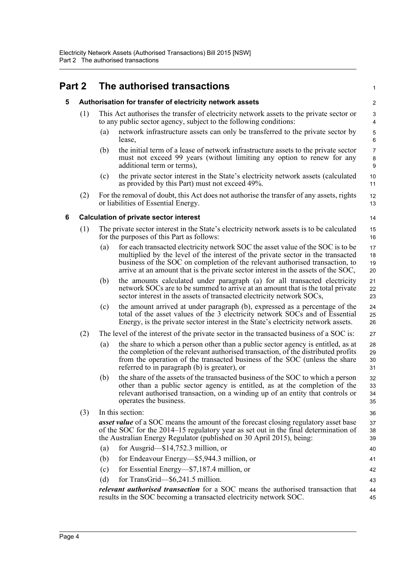## <span id="page-14-1"></span><span id="page-14-0"></span>**Part 2 The authorised transactions**

#### **5 Authorisation for transfer of electricity network assets**

- (1) This Act authorises the transfer of electricity network assets to the private sector or to any public sector agency, subject to the following conditions:
	- (a) network infrastructure assets can only be transferred to the private sector by lease,

1

14 15 16

21 22 23

27

- (b) the initial term of a lease of network infrastructure assets to the private sector must not exceed 99 years (without limiting any option to renew for any additional term or terms),
- (c) the private sector interest in the State's electricity network assets (calculated as provided by this Part) must not exceed 49%.
- (2) For the removal of doubt, this Act does not authorise the transfer of any assets, rights or liabilities of Essential Energy.

#### <span id="page-14-2"></span>**6 Calculation of private sector interest**

- (1) The private sector interest in the State's electricity network assets is to be calculated for the purposes of this Part as follows:
	- (a) for each transacted electricity network SOC the asset value of the SOC is to be multiplied by the level of the interest of the private sector in the transacted business of the SOC on completion of the relevant authorised transaction, to arrive at an amount that is the private sector interest in the assets of the SOC, 17 18 19 20
	- (b) the amounts calculated under paragraph (a) for all transacted electricity network SOCs are to be summed to arrive at an amount that is the total private sector interest in the assets of transacted electricity network SOCs,
	- (c) the amount arrived at under paragraph (b), expressed as a percentage of the total of the asset values of the 3 electricity network SOCs and of Essential Energy, is the private sector interest in the State's electricity network assets.  $24$ 25 26
- (2) The level of the interest of the private sector in the transacted business of a SOC is:
	- (a) the share to which a person other than a public sector agency is entitled, as at the completion of the relevant authorised transaction, of the distributed profits from the operation of the transacted business of the SOC (unless the share referred to in paragraph (b) is greater), or 28 29 30 31
	- (b) the share of the assets of the transacted business of the SOC to which a person other than a public sector agency is entitled, as at the completion of the relevant authorised transaction, on a winding up of an entity that controls or operates the business.
- (3) In this section: *asset value* of a SOC means the amount of the forecast closing regulatory asset base of the SOC for the 2014–15 regulatory year as set out in the final determination of the Australian Energy Regulator (published on 30 April 2015), being: (a) for Ausgrid—\$14,752.3 million, or (b) for Endeavour Energy—\$5,944.3 million, or (c) for Essential Energy—\$7,187.4 million, or (d) for TransGrid—\$6,241.5 million. 36 37 38 39 40 41 42 43

*relevant authorised transaction* for a SOC means the authorised transaction that results in the SOC becoming a transacted electricity network SOC. 44 45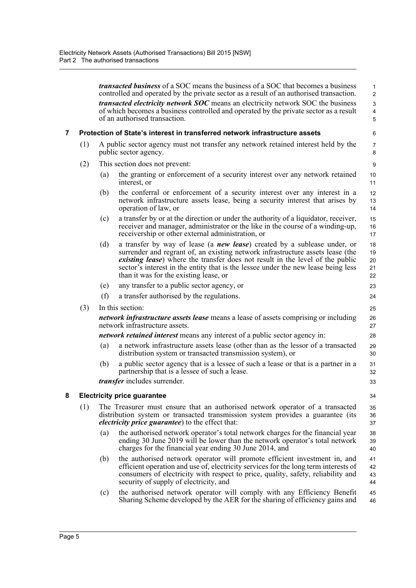<span id="page-15-1"></span><span id="page-15-0"></span>

|   |     |     | <i>transacted business</i> of a SOC means the business of a SOC that becomes a business<br>controlled and operated by the private sector as a result of an authorised transaction.                                                                                                                                                                                                         | $\mathbf{1}$<br>$\overline{2}$ |
|---|-----|-----|--------------------------------------------------------------------------------------------------------------------------------------------------------------------------------------------------------------------------------------------------------------------------------------------------------------------------------------------------------------------------------------------|--------------------------------|
|   |     |     | <i>transacted electricity network SOC</i> means an electricity network SOC the business<br>of which becomes a business controlled and operated by the private sector as a result<br>of an authorised transaction.                                                                                                                                                                          | 3<br>4<br>$\overline{5}$       |
| 7 |     |     | Protection of State's interest in transferred network infrastructure assets                                                                                                                                                                                                                                                                                                                | 6                              |
|   | (1) |     | A public sector agency must not transfer any network retained interest held by the<br>public sector agency.                                                                                                                                                                                                                                                                                | 7<br>8                         |
|   | (2) |     | This section does not prevent:                                                                                                                                                                                                                                                                                                                                                             | 9                              |
|   |     | (a) | the granting or enforcement of a security interest over any network retained<br>interest, or                                                                                                                                                                                                                                                                                               | 10<br>11                       |
|   |     | (b) | the conferral or enforcement of a security interest over any interest in a<br>network infrastructure assets lease, being a security interest that arises by<br>operation of law, or                                                                                                                                                                                                        | 12<br>13<br>14                 |
|   |     | (c) | a transfer by or at the direction or under the authority of a liquidator, receiver,<br>receiver and manager, administrator or the like in the course of a winding-up,<br>receivership or other external administration, or                                                                                                                                                                 | 15<br>16<br>17                 |
|   |     | (d) | a transfer by way of lease (a <i>new lease</i> ) created by a sublease under, or<br>surrender and regrant of, an existing network infrastructure assets lease (the<br><i>existing lease</i> ) where the transfer does not result in the level of the public<br>sector's interest in the entity that is the lessee under the new lease being less<br>than it was for the existing lease, or | 18<br>19<br>20<br>21<br>22     |
|   |     | (e) | any transfer to a public sector agency, or                                                                                                                                                                                                                                                                                                                                                 | 23                             |
|   |     | (f) | a transfer authorised by the regulations.                                                                                                                                                                                                                                                                                                                                                  | 24                             |
|   | (3) |     | In this section:                                                                                                                                                                                                                                                                                                                                                                           | 25                             |
|   |     |     | <i>network infrastructure assets lease</i> means a lease of assets comprising or including<br>network infrastructure assets.                                                                                                                                                                                                                                                               | 26<br>27                       |
|   |     |     | <i>network retained interest</i> means any interest of a public sector agency in:                                                                                                                                                                                                                                                                                                          | 28                             |
|   |     | (a) | a network infrastructure assets lease (other than as the lessor of a transacted<br>distribution system or transacted transmission system), or                                                                                                                                                                                                                                              | 29<br>30                       |
|   |     | (b) | a public sector agency that is a lessee of such a lease or that is a partner in a<br>partnership that is a lessee of such a lease.                                                                                                                                                                                                                                                         | 31<br>32                       |
|   |     |     | <i>transfer</i> includes surrender.                                                                                                                                                                                                                                                                                                                                                        | 33                             |
| 8 |     |     | <b>Electricity price guarantee</b>                                                                                                                                                                                                                                                                                                                                                         | 34                             |
|   | (1) |     | The Treasurer must ensure that an authorised network operator of a transacted<br>distribution system or transacted transmission system provides a guarantee (its<br><i>electricity price guarantee</i> ) to the effect that:                                                                                                                                                               | 35<br>36<br>37                 |
|   |     | (a) | the authorised network operator's total network charges for the financial year<br>ending 30 June 2019 will be lower than the network operator's total network<br>charges for the financial year ending 30 June 2014, and                                                                                                                                                                   | 38<br>39<br>40                 |
|   |     | (b) | the authorised network operator will promote efficient investment in, and<br>efficient operation and use of, electricity services for the long term interests of<br>consumers of electricity with respect to price, quality, safety, reliability and<br>security of supply of electricity, and                                                                                             | 41<br>42<br>43<br>44           |
|   |     | (c) | the authorised network operator will comply with any Efficiency Benefit<br>Sharing Scheme developed by the AER for the sharing of efficiency gains and                                                                                                                                                                                                                                     | 45<br>46                       |
|   |     |     |                                                                                                                                                                                                                                                                                                                                                                                            |                                |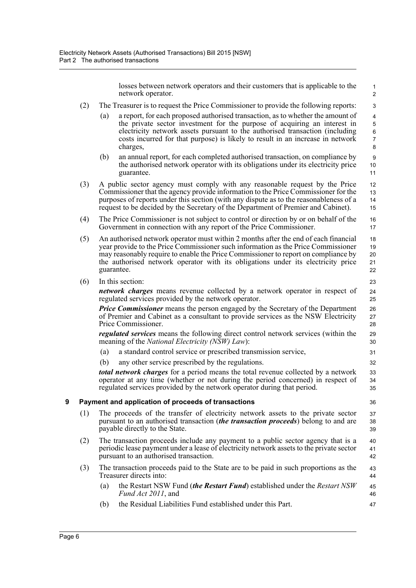losses between network operators and their customers that is applicable to the network operator.

45 46 47

- (2) The Treasurer is to request the Price Commissioner to provide the following reports:
	- (a) a report, for each proposed authorised transaction, as to whether the amount of the private sector investment for the purpose of acquiring an interest in electricity network assets pursuant to the authorised transaction (including costs incurred for that purpose) is likely to result in an increase in network charges,
	- (b) an annual report, for each completed authorised transaction, on compliance by the authorised network operator with its obligations under its electricity price guarantee.
- (3) A public sector agency must comply with any reasonable request by the Price Commissioner that the agency provide information to the Price Commissioner for the purposes of reports under this section (with any dispute as to the reasonableness of a request to be decided by the Secretary of the Department of Premier and Cabinet).
- (4) The Price Commissioner is not subject to control or direction by or on behalf of the Government in connection with any report of the Price Commissioner. 16 17
- (5) An authorised network operator must within 2 months after the end of each financial year provide to the Price Commissioner such information as the Price Commissioner may reasonably require to enable the Price Commissioner to report on compliance by the authorised network operator with its obligations under its electricity price guarantee. 18 19 20 21 22
- (6) In this section:

*network charges* means revenue collected by a network operator in respect of regulated services provided by the network operator.

*Price Commissioner* means the person engaged by the Secretary of the Department of Premier and Cabinet as a consultant to provide services as the NSW Electricity Price Commissioner.

*regulated services* means the following direct control network services (within the meaning of the *National Electricity (NSW) Law*):

- (a) a standard control service or prescribed transmission service,
- (b) any other service prescribed by the regulations.

*total network charges* for a period means the total revenue collected by a network operator at any time (whether or not during the period concerned) in respect of regulated services provided by the network operator during that period.

#### <span id="page-16-0"></span>**9 Payment and application of proceeds of transactions**

- (1) The proceeds of the transfer of electricity network assets to the private sector pursuant to an authorised transaction (*the transaction proceeds*) belong to and are payable directly to the State.
- (2) The transaction proceeds include any payment to a public sector agency that is a periodic lease payment under a lease of electricity network assets to the private sector pursuant to an authorised transaction. 40 41 42
- (3) The transaction proceeds paid to the State are to be paid in such proportions as the Treasurer directs into: 43 44
	- (a) the Restart NSW Fund (*the Restart Fund*) established under the *Restart NSW Fund Act 2011*, and
	- (b) the Residual Liabilities Fund established under this Part.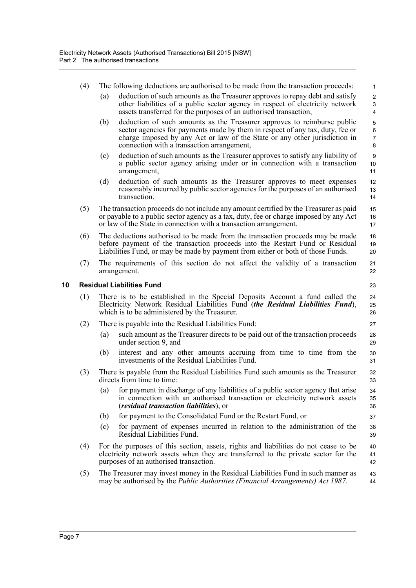<span id="page-17-0"></span>

|    | (4) | The following deductions are authorised to be made from the transaction proceeds:                                                                                                                                                                                                           | 1                                                          |
|----|-----|---------------------------------------------------------------------------------------------------------------------------------------------------------------------------------------------------------------------------------------------------------------------------------------------|------------------------------------------------------------|
|    |     | deduction of such amounts as the Treasurer approves to repay debt and satisfy<br>(a)<br>other liabilities of a public sector agency in respect of electricity network<br>assets transferred for the purposes of an authorised transaction,                                                  | $\boldsymbol{2}$<br>$\mathsf 3$<br>$\overline{\mathbf{4}}$ |
|    |     | deduction of such amounts as the Treasurer approves to reimburse public<br>(b)<br>sector agencies for payments made by them in respect of any tax, duty, fee or<br>charge imposed by any Act or law of the State or any other jurisdiction in<br>connection with a transaction arrangement, | 5<br>$\,6\,$<br>$\overline{7}$<br>8                        |
|    |     | deduction of such amounts as the Treasurer approves to satisfy any liability of<br>(c)<br>a public sector agency arising under or in connection with a transaction<br>arrangement,                                                                                                          | $\boldsymbol{9}$<br>10<br>11                               |
|    |     | (d)<br>deduction of such amounts as the Treasurer approves to meet expenses<br>reasonably incurred by public sector agencies for the purposes of an authorised<br>transaction.                                                                                                              | 12<br>13<br>14                                             |
|    | (5) | The transaction proceeds do not include any amount certified by the Treasurer as paid<br>or payable to a public sector agency as a tax, duty, fee or charge imposed by any Act<br>or law of the State in connection with a transaction arrangement.                                         | 15<br>16<br>17                                             |
|    | (6) | The deductions authorised to be made from the transaction proceeds may be made<br>before payment of the transaction proceeds into the Restart Fund or Residual<br>Liabilities Fund, or may be made by payment from either or both of those Funds.                                           | 18<br>19<br>20                                             |
|    | (7) | The requirements of this section do not affect the validity of a transaction<br>arrangement.                                                                                                                                                                                                | 21<br>22                                                   |
| 10 |     | <b>Residual Liabilities Fund</b>                                                                                                                                                                                                                                                            | 23                                                         |
|    | (1) | There is to be established in the Special Deposits Account a fund called the<br>Electricity Network Residual Liabilities Fund (the Residual Liabilities Fund),<br>which is to be administered by the Treasurer.                                                                             | 24<br>25<br>26                                             |
|    | (2) | There is payable into the Residual Liabilities Fund:                                                                                                                                                                                                                                        | 27                                                         |
|    |     | such amount as the Treasurer directs to be paid out of the transaction proceeds<br>(a)<br>under section 9, and                                                                                                                                                                              | 28<br>29                                                   |
|    |     | interest and any other amounts accruing from time to time from the<br>(b)<br>investments of the Residual Liabilities Fund.                                                                                                                                                                  | 30<br>31                                                   |
|    | (3) | There is payable from the Residual Liabilities Fund such amounts as the Treasurer<br>directs from time to time:                                                                                                                                                                             | 32<br>33                                                   |
|    |     | (a) for payment in discharge of any liabilities of a public sector agency that arise<br>in connection with an authorised transaction or electricity network assets<br><i>(residual transaction liabilities), or</i>                                                                         | 34<br>35<br>36                                             |
|    |     | for payment to the Consolidated Fund or the Restart Fund, or<br>(b)                                                                                                                                                                                                                         | 37                                                         |
|    |     | for payment of expenses incurred in relation to the administration of the<br>(c)<br>Residual Liabilities Fund.                                                                                                                                                                              | 38<br>39                                                   |
|    | (4) | For the purposes of this section, assets, rights and liabilities do not cease to be<br>electricity network assets when they are transferred to the private sector for the<br>purposes of an authorised transaction.                                                                         | 40<br>41<br>42                                             |
|    | (5) | The Treasurer may invest money in the Residual Liabilities Fund in such manner as<br>may be authorised by the <i>Public Authorities (Financial Arrangements) Act 1987</i> .                                                                                                                 | 43<br>44                                                   |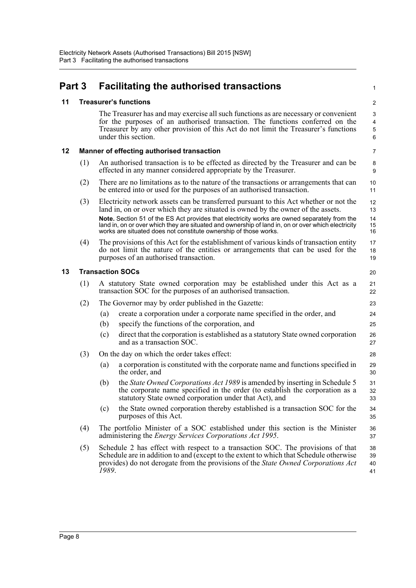<span id="page-18-3"></span><span id="page-18-2"></span><span id="page-18-1"></span><span id="page-18-0"></span>

| Part 3 |                         |       | <b>Facilitating the authorised transactions</b>                                                                                                                                                                                                                                                                                                                                                                                                     | $\mathbf{1}$                           |
|--------|-------------------------|-------|-----------------------------------------------------------------------------------------------------------------------------------------------------------------------------------------------------------------------------------------------------------------------------------------------------------------------------------------------------------------------------------------------------------------------------------------------------|----------------------------------------|
| 11     |                         |       | <b>Treasurer's functions</b>                                                                                                                                                                                                                                                                                                                                                                                                                        | $\overline{2}$                         |
|        |                         |       | The Treasurer has and may exercise all such functions as are necessary or convenient<br>for the purposes of an authorised transaction. The functions conferred on the<br>Treasurer by any other provision of this Act do not limit the Treasurer's functions<br>under this section.                                                                                                                                                                 | 3<br>$\overline{\mathbf{4}}$<br>5<br>6 |
| 12     |                         |       | <b>Manner of effecting authorised transaction</b>                                                                                                                                                                                                                                                                                                                                                                                                   | $\overline{7}$                         |
|        | (1)                     |       | An authorised transaction is to be effected as directed by the Treasurer and can be<br>effected in any manner considered appropriate by the Treasurer.                                                                                                                                                                                                                                                                                              | 8<br>9                                 |
|        | (2)                     |       | There are no limitations as to the nature of the transactions or arrangements that can<br>be entered into or used for the purposes of an authorised transaction.                                                                                                                                                                                                                                                                                    | 10<br>11                               |
|        | (3)                     |       | Electricity network assets can be transferred pursuant to this Act whether or not the<br>land in, on or over which they are situated is owned by the owner of the assets.<br>Note. Section 51 of the ES Act provides that electricity works are owned separately from the<br>land in, on or over which they are situated and ownership of land in, on or over which electricity<br>works are situated does not constitute ownership of those works. | 12<br>13<br>14<br>15<br>16             |
|        | (4)                     |       | The provisions of this Act for the establishment of various kinds of transaction entity<br>do not limit the nature of the entities or arrangements that can be used for the<br>purposes of an authorised transaction.                                                                                                                                                                                                                               | 17<br>18<br>19                         |
| 13     | <b>Transaction SOCs</b> |       |                                                                                                                                                                                                                                                                                                                                                                                                                                                     |                                        |
|        | (1)                     |       | A statutory State owned corporation may be established under this Act as a<br>transaction SOC for the purposes of an authorised transaction.                                                                                                                                                                                                                                                                                                        | 21<br>22                               |
|        | (2)                     |       | The Governor may by order published in the Gazette:                                                                                                                                                                                                                                                                                                                                                                                                 | 23                                     |
|        |                         | (a)   | create a corporation under a corporate name specified in the order, and                                                                                                                                                                                                                                                                                                                                                                             | 24                                     |
|        |                         | (b)   | specify the functions of the corporation, and                                                                                                                                                                                                                                                                                                                                                                                                       | 25                                     |
|        |                         | (c)   | direct that the corporation is established as a statutory State owned corporation<br>and as a transaction SOC.                                                                                                                                                                                                                                                                                                                                      | 26<br>27                               |
|        | (3)                     |       | On the day on which the order takes effect:                                                                                                                                                                                                                                                                                                                                                                                                         | 28                                     |
|        |                         | (a)   | a corporation is constituted with the corporate name and functions specified in<br>the order, and                                                                                                                                                                                                                                                                                                                                                   | 29<br>30                               |
|        |                         | (b)   | the State Owned Corporations Act 1989 is amended by inserting in Schedule 5<br>the corporate name specified in the order (to establish the corporation as a<br>statutory State owned corporation under that Act), and                                                                                                                                                                                                                               | 31<br>32<br>33                         |
|        |                         | (c)   | the State owned corporation thereby established is a transaction SOC for the<br>purposes of this Act.                                                                                                                                                                                                                                                                                                                                               | 34<br>35                               |
|        | (4)                     |       | The portfolio Minister of a SOC established under this section is the Minister<br>administering the <i>Energy Services Corporations Act 1995</i> .                                                                                                                                                                                                                                                                                                  | 36<br>37                               |
|        | (5)                     | 1989. | Schedule 2 has effect with respect to a transaction SOC. The provisions of that<br>Schedule are in addition to and (except to the extent to which that Schedule otherwise<br>provides) do not derogate from the provisions of the State Owned Corporations Act                                                                                                                                                                                      | 38<br>39<br>40<br>41                   |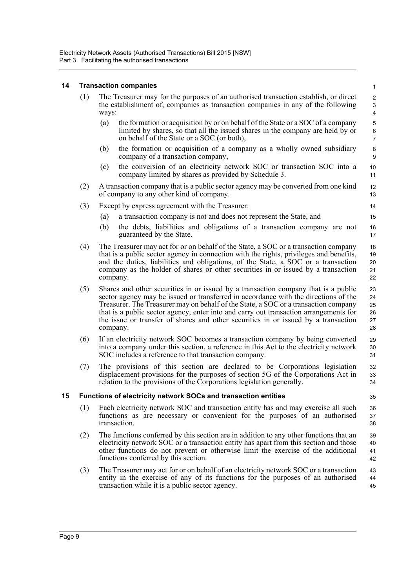#### <span id="page-19-0"></span>**14 Transaction companies**

<span id="page-19-1"></span>

| 14 |     | <b>Transaction companies</b>                                                                                                                                                                                                                                                                                                                                                                                                                                | $\mathbf{1}$                                                  |
|----|-----|-------------------------------------------------------------------------------------------------------------------------------------------------------------------------------------------------------------------------------------------------------------------------------------------------------------------------------------------------------------------------------------------------------------------------------------------------------------|---------------------------------------------------------------|
|    | (1) | The Treasurer may for the purposes of an authorised transaction establish, or direct<br>the establishment of, companies as transaction companies in any of the following<br>ways:                                                                                                                                                                                                                                                                           | $\overline{c}$<br>$\ensuremath{\mathsf{3}}$<br>$\overline{4}$ |
|    |     | the formation or acquisition by or on behalf of the State or a SOC of a company<br>(a)<br>limited by shares, so that all the issued shares in the company are held by or<br>on behalf of the State or a SOC (or both),                                                                                                                                                                                                                                      | $\mathbf 5$<br>$\,6\,$<br>$\overline{7}$                      |
|    |     | the formation or acquisition of a company as a wholly owned subsidiary<br>(b)<br>company of a transaction company,                                                                                                                                                                                                                                                                                                                                          | 8<br>9                                                        |
|    |     | the conversion of an electricity network SOC or transaction SOC into a<br>(c)<br>company limited by shares as provided by Schedule 3.                                                                                                                                                                                                                                                                                                                       | 10<br>11                                                      |
|    | (2) | A transaction company that is a public sector agency may be converted from one kind<br>of company to any other kind of company.                                                                                                                                                                                                                                                                                                                             | 12<br>13                                                      |
|    | (3) | Except by express agreement with the Treasurer:                                                                                                                                                                                                                                                                                                                                                                                                             | 14                                                            |
|    |     | a transaction company is not and does not represent the State, and<br>(a)                                                                                                                                                                                                                                                                                                                                                                                   | 15                                                            |
|    |     | (b)<br>the debts, liabilities and obligations of a transaction company are not<br>guaranteed by the State.                                                                                                                                                                                                                                                                                                                                                  | 16<br>17                                                      |
|    | (4) | The Treasurer may act for or on behalf of the State, a SOC or a transaction company<br>that is a public sector agency in connection with the rights, privileges and benefits,<br>and the duties, liabilities and obligations, of the State, a SOC or a transaction<br>company as the holder of shares or other securities in or issued by a transaction<br>company.                                                                                         | 18<br>19<br>20<br>21<br>22                                    |
|    | (5) | Shares and other securities in or issued by a transaction company that is a public<br>sector agency may be issued or transferred in accordance with the directions of the<br>Treasurer. The Treasurer may on behalf of the State, a SOC or a transaction company<br>that is a public sector agency, enter into and carry out transaction arrangements for<br>the issue or transfer of shares and other securities in or issued by a transaction<br>company. | 23<br>24<br>25<br>26<br>$27\,$<br>28                          |
|    | (6) | If an electricity network SOC becomes a transaction company by being converted<br>into a company under this section, a reference in this Act to the electricity network<br>SOC includes a reference to that transaction company.                                                                                                                                                                                                                            | 29<br>30<br>31                                                |
|    | (7) | The provisions of this section are declared to be Corporations legislation<br>displacement provisions for the purposes of section 5G of the Corporations Act in<br>relation to the provisions of the Corporations legislation generally.                                                                                                                                                                                                                    | 32<br>33<br>34                                                |
|    |     | Functions of electricity network SOCs and transaction entities                                                                                                                                                                                                                                                                                                                                                                                              | 35                                                            |
|    | (1) | Each electricity network SOC and transaction entity has and may exercise all such<br>functions as are necessary or convenient for the purposes of an authorised<br>transaction.                                                                                                                                                                                                                                                                             | 36<br>37<br>38                                                |
|    | (2) | The functions conferred by this section are in addition to any other functions that an<br>electricity network SOC or a transaction entity has apart from this section and those<br>other functions do not prevent or otherwise limit the exercise of the additional<br>functions conferred by this section.                                                                                                                                                 | 39<br>40<br>41<br>42                                          |
|    | (3) | The Treasurer may act for or on behalf of an electricity network SOC or a transaction<br>entity in the exercise of any of its functions for the purposes of an authorised<br>transaction while it is a public sector agency.                                                                                                                                                                                                                                | 43<br>44<br>45                                                |
|    |     |                                                                                                                                                                                                                                                                                                                                                                                                                                                             |                                                               |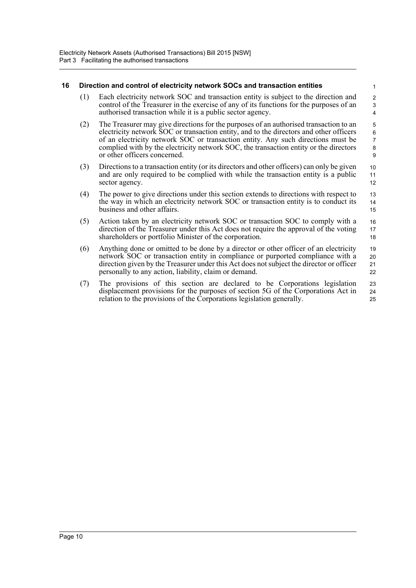#### <span id="page-20-0"></span>**16 Direction and control of electricity network SOCs and transaction entities**

(1) Each electricity network SOC and transaction entity is subject to the direction and control of the Treasurer in the exercise of any of its functions for the purposes of an authorised transaction while it is a public sector agency.

- (2) The Treasurer may give directions for the purposes of an authorised transaction to an electricity network SOC or transaction entity, and to the directors and other officers of an electricity network SOC or transaction entity. Any such directions must be complied with by the electricity network SOC, the transaction entity or the directors or other officers concerned.
- (3) Directions to a transaction entity (or its directors and other officers) can only be given and are only required to be complied with while the transaction entity is a public sector agency. 10 11 12
- (4) The power to give directions under this section extends to directions with respect to the way in which an electricity network SOC or transaction entity is to conduct its business and other affairs. 13 14 15
- (5) Action taken by an electricity network SOC or transaction SOC to comply with a direction of the Treasurer under this Act does not require the approval of the voting shareholders or portfolio Minister of the corporation. 16 17 18
- (6) Anything done or omitted to be done by a director or other officer of an electricity network SOC or transaction entity in compliance or purported compliance with a direction given by the Treasurer under this Act does not subject the director or officer personally to any action, liability, claim or demand. 19 20 21 22
- (7) The provisions of this section are declared to be Corporations legislation displacement provisions for the purposes of section 5G of the Corporations Act in relation to the provisions of the Corporations legislation generally. 23 24 25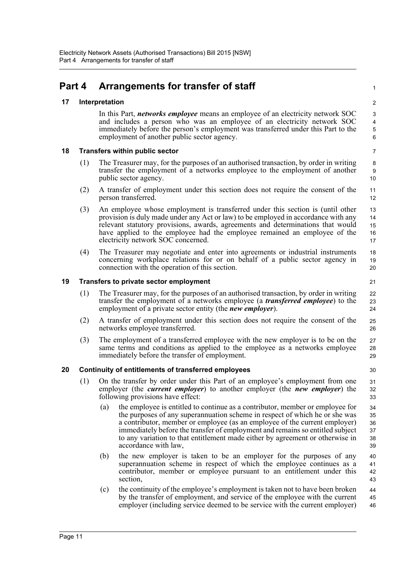### <span id="page-21-0"></span>**Part 4 Arrangements for transfer of staff**

#### <span id="page-21-1"></span>**17 Interpretation**

In this Part, *networks employee* means an employee of an electricity network SOC and includes a person who was an employee of an electricity network SOC immediately before the person's employment was transferred under this Part to the employment of another public sector agency.

#### <span id="page-21-2"></span>**18 Transfers within public sector**

- (1) The Treasurer may, for the purposes of an authorised transaction, by order in writing transfer the employment of a networks employee to the employment of another public sector agency.
- (2) A transfer of employment under this section does not require the consent of the person transferred.
- (3) An employee whose employment is transferred under this section is (until other provision is duly made under any Act or law) to be employed in accordance with any relevant statutory provisions, awards, agreements and determinations that would have applied to the employee had the employee remained an employee of the electricity network SOC concerned. 13 14 15 16 17
- (4) The Treasurer may negotiate and enter into agreements or industrial instruments concerning workplace relations for or on behalf of a public sector agency in connection with the operation of this section.

#### <span id="page-21-3"></span>**19 Transfers to private sector employment**

- (1) The Treasurer may, for the purposes of an authorised transaction, by order in writing transfer the employment of a networks employee (a *transferred employee*) to the employment of a private sector entity (the *new employer*).
- (2) A transfer of employment under this section does not require the consent of the networks employee transferred.
- (3) The employment of a transferred employee with the new employer is to be on the same terms and conditions as applied to the employee as a networks employee immediately before the transfer of employment. 27 28 29

#### <span id="page-21-4"></span>**20 Continuity of entitlements of transferred employees**

- (1) On the transfer by order under this Part of an employee's employment from one employer (the *current employer*) to another employer (the *new employer*) the following provisions have effect:
	- (a) the employee is entitled to continue as a contributor, member or employee for the purposes of any superannuation scheme in respect of which he or she was a contributor, member or employee (as an employee of the current employer) immediately before the transfer of employment and remains so entitled subject to any variation to that entitlement made either by agreement or otherwise in accordance with law, 34 35 36 37 38 39
	- (b) the new employer is taken to be an employer for the purposes of any superannuation scheme in respect of which the employee continues as a contributor, member or employee pursuant to an entitlement under this section, 40 41 42 43
	- (c) the continuity of the employee's employment is taken not to have been broken by the transfer of employment, and service of the employee with the current employer (including service deemed to be service with the current employer) 44 45 46

3 4 5

1

 $\overline{2}$ 

21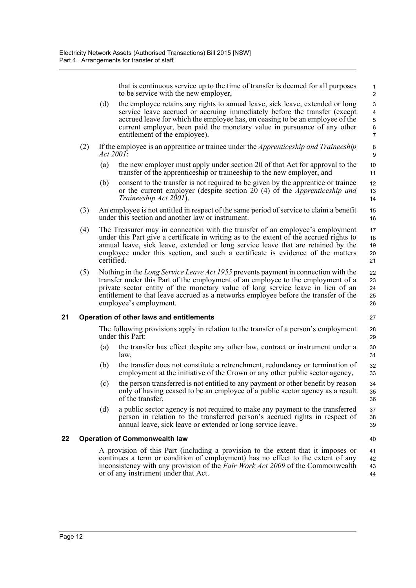that is continuous service up to the time of transfer is deemed for all purposes to be service with the new employer,

40

- (d) the employee retains any rights to annual leave, sick leave, extended or long service leave accrued or accruing immediately before the transfer (except accrued leave for which the employee has, on ceasing to be an employee of the current employer, been paid the monetary value in pursuance of any other entitlement of the employee).
- (2) If the employee is an apprentice or trainee under the *Apprenticeship and Traineeship Act 2001*:
	- (a) the new employer must apply under section 20 of that Act for approval to the transfer of the apprenticeship or traineeship to the new employer, and
	- (b) consent to the transfer is not required to be given by the apprentice or trainee or the current employer (despite section 20 (4) of the *Apprenticeship and Traineeship Act 2001*).
- (3) An employee is not entitled in respect of the same period of service to claim a benefit under this section and another law or instrument.
- (4) The Treasurer may in connection with the transfer of an employee's employment under this Part give a certificate in writing as to the extent of the accrued rights to annual leave, sick leave, extended or long service leave that are retained by the employee under this section, and such a certificate is evidence of the matters certified. 17 18 19 20 21
- (5) Nothing in the *Long Service Leave Act 1955* prevents payment in connection with the transfer under this Part of the employment of an employee to the employment of a private sector entity of the monetary value of long service leave in lieu of an entitlement to that leave accrued as a networks employee before the transfer of the employee's employment.

#### <span id="page-22-0"></span>**21 Operation of other laws and entitlements**

The following provisions apply in relation to the transfer of a person's employment under this Part:

- (a) the transfer has effect despite any other law, contract or instrument under a law,
- (b) the transfer does not constitute a retrenchment, redundancy or termination of employment at the initiative of the Crown or any other public sector agency,  $32$ 33
- (c) the person transferred is not entitled to any payment or other benefit by reason only of having ceased to be an employee of a public sector agency as a result of the transfer, 34 35 36
- (d) a public sector agency is not required to make any payment to the transferred person in relation to the transferred person's accrued rights in respect of annual leave, sick leave or extended or long service leave. 37 38 39

#### <span id="page-22-1"></span>**22 Operation of Commonwealth law**

A provision of this Part (including a provision to the extent that it imposes or continues a term or condition of employment) has no effect to the extent of any inconsistency with any provision of the *Fair Work Act 2009* of the Commonwealth or of any instrument under that Act. 41 42 43 44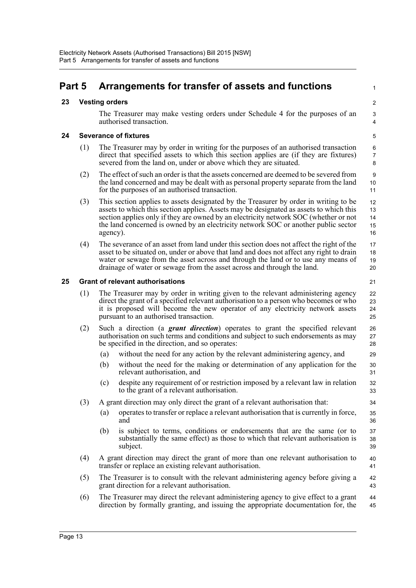#### <span id="page-23-3"></span><span id="page-23-2"></span><span id="page-23-1"></span><span id="page-23-0"></span>**Part 5 Arrangements for transfer of assets and functions 23 Vesting orders** The Treasurer may make vesting orders under Schedule 4 for the purposes of an authorised transaction. **24 Severance of fixtures** (1) The Treasurer may by order in writing for the purposes of an authorised transaction direct that specified assets to which this section applies are (if they are fixtures) severed from the land on, under or above which they are situated. (2) The effect of such an order is that the assets concerned are deemed to be severed from the land concerned and may be dealt with as personal property separate from the land for the purposes of an authorised transaction. (3) This section applies to assets designated by the Treasurer by order in writing to be assets to which this section applies. Assets may be designated as assets to which this section applies only if they are owned by an electricity network SOC (whether or not the land concerned is owned by an electricity network SOC or another public sector agency). (4) The severance of an asset from land under this section does not affect the right of the asset to be situated on, under or above that land and does not affect any right to drain water or sewage from the asset across and through the land or to use any means of drainage of water or sewage from the asset across and through the land. **25 Grant of relevant authorisations** (1) The Treasurer may by order in writing given to the relevant administering agency direct the grant of a specified relevant authorisation to a person who becomes or who it is proposed will become the new operator of any electricity network assets pursuant to an authorised transaction. (2) Such a direction (a *grant direction*) operates to grant the specified relevant authorisation on such terms and conditions and subject to such endorsements as may be specified in the direction, and so operates: (a) without the need for any action by the relevant administering agency, and (b) without the need for the making or determination of any application for the relevant authorisation, and (c) despite any requirement of or restriction imposed by a relevant law in relation to the grant of a relevant authorisation. (3) A grant direction may only direct the grant of a relevant authorisation that: (a) operates to transfer or replace a relevant authorisation that is currently in force, and (b) is subject to terms, conditions or endorsements that are the same (or to substantially the same effect) as those to which that relevant authorisation is subject. (4) A grant direction may direct the grant of more than one relevant authorisation to transfer or replace an existing relevant authorisation. (5) The Treasurer is to consult with the relevant administering agency before giving a grant direction for a relevant authorisation. (6) The Treasurer may direct the relevant administering agency to give effect to a grant direction by formally granting, and issuing the appropriate documentation for, the 1  $\overline{2}$ 3 4 5 6 7 8 9 10 11 12 13 14 15 16 17 18 19 20 21 22 23 24 25 26 27 28 29 30 31 32 33 34 35 36 37 38 39 40 41 42 43 44 45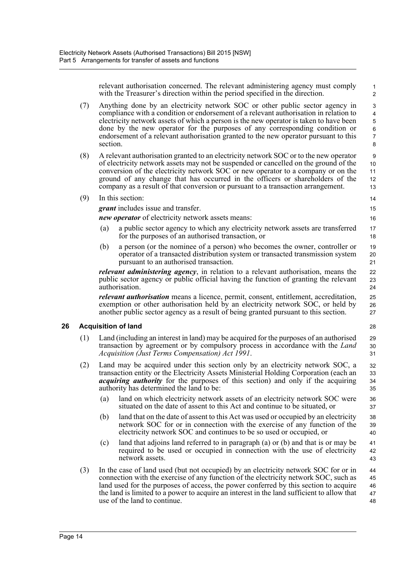relevant authorisation concerned. The relevant administering agency must comply with the Treasurer's direction within the period specified in the direction.

- (7) Anything done by an electricity network SOC or other public sector agency in compliance with a condition or endorsement of a relevant authorisation in relation to electricity network assets of which a person is the new operator is taken to have been done by the new operator for the purposes of any corresponding condition or endorsement of a relevant authorisation granted to the new operator pursuant to this section.
- (8) A relevant authorisation granted to an electricity network SOC or to the new operator of electricity network assets may not be suspended or cancelled on the ground of the conversion of the electricity network SOC or new operator to a company or on the ground of any change that has occurred in the officers or shareholders of the company as a result of that conversion or pursuant to a transaction arrangement. 10 11 12 13
- (9) In this section:

*grant* includes issue and transfer.

*new operator* of electricity network assets means:

- (a) a public sector agency to which any electricity network assets are transferred for the purposes of an authorised transaction, or
- (b) a person (or the nominee of a person) who becomes the owner, controller or operator of a transacted distribution system or transacted transmission system pursuant to an authorised transaction.

*relevant administering agency*, in relation to a relevant authorisation, means the public sector agency or public official having the function of granting the relevant authorisation.

*relevant authorisation* means a licence, permit, consent, entitlement, accreditation, exemption or other authorisation held by an electricity network SOC, or held by another public sector agency as a result of being granted pursuant to this section.

#### <span id="page-24-0"></span>**26 Acquisition of land**

- (1) Land (including an interest in land) may be acquired for the purposes of an authorised transaction by agreement or by compulsory process in accordance with the *Land Acquisition (Just Terms Compensation) Act 1991*. 29 30 31
- (2) Land may be acquired under this section only by an electricity network SOC, a transaction entity or the Electricity Assets Ministerial Holding Corporation (each an *acquiring authority* for the purposes of this section) and only if the acquiring authority has determined the land to be:  $32$ 33 34 35
	- (a) land on which electricity network assets of an electricity network SOC were situated on the date of assent to this Act and continue to be situated, or
	- (b) land that on the date of assent to this Act was used or occupied by an electricity network SOC for or in connection with the exercise of any function of the electricity network SOC and continues to be so used or occupied, or
	- (c) land that adjoins land referred to in paragraph (a) or (b) and that is or may be required to be used or occupied in connection with the use of electricity network assets. 41 42 43
- (3) In the case of land used (but not occupied) by an electricity network SOC for or in connection with the exercise of any function of the electricity network SOC, such as land used for the purposes of access, the power conferred by this section to acquire the land is limited to a power to acquire an interest in the land sufficient to allow that use of the land to continue. 44 45 46 47 48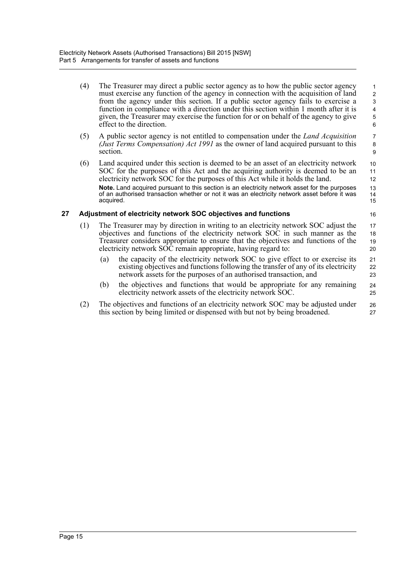- (4) The Treasurer may direct a public sector agency as to how the public sector agency must exercise any function of the agency in connection with the acquisition of land from the agency under this section. If a public sector agency fails to exercise a function in compliance with a direction under this section within 1 month after it is given, the Treasurer may exercise the function for or on behalf of the agency to give effect to the direction. 1 2 3 4 5 6
- (5) A public sector agency is not entitled to compensation under the *Land Acquisition (Just Terms Compensation) Act 1991* as the owner of land acquired pursuant to this section.
- (6) Land acquired under this section is deemed to be an asset of an electricity network SOC for the purposes of this Act and the acquiring authority is deemed to be an electricity network SOC for the purposes of this Act while it holds the land. **Note.** Land acquired pursuant to this section is an electricity network asset for the purposes of an authorised transaction whether or not it was an electricity network asset before it was acquired.

#### <span id="page-25-0"></span>**27 Adjustment of electricity network SOC objectives and functions**

15 16

> 24 25

- (1) The Treasurer may by direction in writing to an electricity network SOC adjust the objectives and functions of the electricity network SOC in such manner as the Treasurer considers appropriate to ensure that the objectives and functions of the electricity network SOC remain appropriate, having regard to: 17 18 19 20
	- (a) the capacity of the electricity network SOC to give effect to or exercise its existing objectives and functions following the transfer of any of its electricity network assets for the purposes of an authorised transaction, and 21 22 23
	- (b) the objectives and functions that would be appropriate for any remaining electricity network assets of the electricity network SOC.
- (2) The objectives and functions of an electricity network SOC may be adjusted under this section by being limited or dispensed with but not by being broadened. 26 27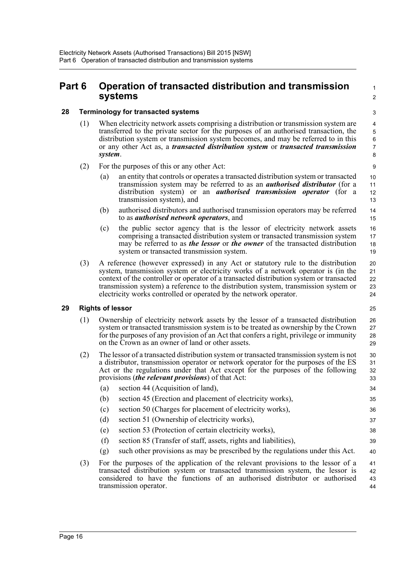### <span id="page-26-0"></span>**Part 6 Operation of transacted distribution and transmission systems**

 $\overline{2}$ 3

1

#### <span id="page-26-1"></span>**28 Terminology for transacted systems**

- (1) When electricity network assets comprising a distribution or transmission system are transferred to the private sector for the purposes of an authorised transaction, the distribution system or transmission system becomes, and may be referred to in this or any other Act as, a *transacted distribution system* or *transacted transmission system*.
- (2) For the purposes of this or any other Act:
	- (a) an entity that controls or operates a transacted distribution system or transacted transmission system may be referred to as an *authorised distributor* (for a distribution system) or an *authorised transmission operator* (for a transmission system), and
	- (b) authorised distributors and authorised transmission operators may be referred to as *authorised network operators*, and
	- (c) the public sector agency that is the lessor of electricity network assets comprising a transacted distribution system or transacted transmission system may be referred to as *the lessor* or *the owner* of the transacted distribution system or transacted transmission system. 16 17 18 19
- (3) A reference (however expressed) in any Act or statutory rule to the distribution system, transmission system or electricity works of a network operator is (in the context of the controller or operator of a transacted distribution system or transacted transmission system) a reference to the distribution system, transmission system or electricity works controlled or operated by the network operator. 20  $21$ 22 23  $24$

### <span id="page-26-2"></span>**29 Rights of lessor**

25

35

- (1) Ownership of electricity network assets by the lessor of a transacted distribution system or transacted transmission system is to be treated as ownership by the Crown for the purposes of any provision of an Act that confers a right, privilege or immunity on the Crown as an owner of land or other assets. 26 27 28 29
- (2) The lessor of a transacted distribution system or transacted transmission system is not a distributor, transmission operator or network operator for the purposes of the ES Act or the regulations under that Act except for the purposes of the following provisions (*the relevant provisions*) of that Act: (a) section 44 (Acquisition of land), 30 31 32 33 34
	- (b) section 45 (Erection and placement of electricity works),
	- (c) section 50 (Charges for placement of electricity works), 36
	- (d) section 51 (Ownership of electricity works),
	- (e) section 53 (Protection of certain electricity works),
	- (f) section 85 (Transfer of staff, assets, rights and liabilities),
	- (g) such other provisions as may be prescribed by the regulations under this Act. 40
- (3) For the purposes of the application of the relevant provisions to the lessor of a transacted distribution system or transacted transmission system, the lessor is considered to have the functions of an authorised distributor or authorised transmission operator. 41 42 43 44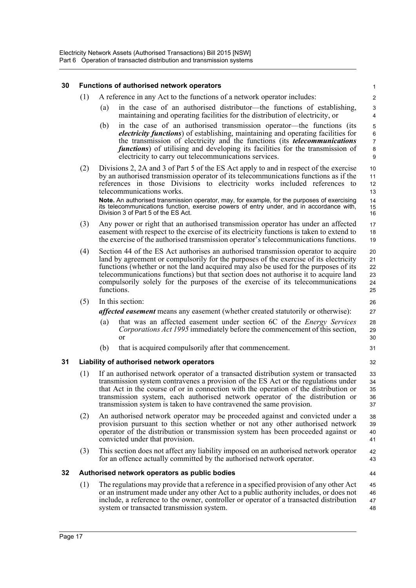<span id="page-27-2"></span><span id="page-27-1"></span><span id="page-27-0"></span>

| 30 |     | <b>Functions of authorised network operators</b>                                                                                                                                                                                                                                                                                                                                                                                                            | 1                                       |
|----|-----|-------------------------------------------------------------------------------------------------------------------------------------------------------------------------------------------------------------------------------------------------------------------------------------------------------------------------------------------------------------------------------------------------------------------------------------------------------------|-----------------------------------------|
|    | (1) | A reference in any Act to the functions of a network operator includes:                                                                                                                                                                                                                                                                                                                                                                                     | $\overline{\mathbf{c}}$                 |
|    |     | in the case of an authorised distributor—the functions of establishing,<br>(a)<br>maintaining and operating facilities for the distribution of electricity, or                                                                                                                                                                                                                                                                                              | $\mathbf{3}$<br>$\overline{\mathbf{4}}$ |
|    |     | (b)<br>in the case of an authorised transmission operator—the functions (its<br>electricity functions) of establishing, maintaining and operating facilities for<br>the transmission of electricity and the functions (its <i>telecommunications</i><br><i>functions</i> ) of utilising and developing its facilities for the transmission of<br>electricity to carry out telecommunications services.                                                      | 5<br>$\,6$<br>$\overline{7}$<br>8<br>9  |
|    | (2) | Divisions 2, 2A and 3 of Part 5 of the ES Act apply to and in respect of the exercise<br>by an authorised transmission operator of its telecommunications functions as if the<br>references in those Divisions to electricity works included references to<br>telecommunications works.                                                                                                                                                                     | 10<br>11<br>12<br>13                    |
|    |     | Note. An authorised transmission operator, may, for example, for the purposes of exercising<br>its telecommunications function, exercise powers of entry under, and in accordance with,<br>Division 3 of Part 5 of the ES Act.                                                                                                                                                                                                                              | 14<br>15<br>16                          |
|    | (3) | Any power or right that an authorised transmission operator has under an affected<br>easement with respect to the exercise of its electricity functions is taken to extend to<br>the exercise of the authorised transmission operator's telecommunications functions.                                                                                                                                                                                       | 17<br>18<br>19                          |
|    | (4) | Section 44 of the ES Act authorises an authorised transmission operator to acquire<br>land by agreement or compulsorily for the purposes of the exercise of its electricity<br>functions (whether or not the land acquired may also be used for the purposes of its<br>telecommunications functions) but that section does not authorise it to acquire land<br>compulsorily solely for the purposes of the exercise of its telecommunications<br>functions. | 20<br>21<br>22<br>23<br>24<br>25        |
|    | (5) | In this section:                                                                                                                                                                                                                                                                                                                                                                                                                                            | 26                                      |
|    |     | <i>affected easement</i> means any easement (whether created statutorily or otherwise):                                                                                                                                                                                                                                                                                                                                                                     | 27                                      |
|    |     | that was an affected easement under section 6C of the <i>Energy Services</i><br>(a)<br>Corporations Act 1995 immediately before the commencement of this section,<br><sub>or</sub>                                                                                                                                                                                                                                                                          | 28<br>29<br>30                          |
|    |     | that is acquired compulsorily after that commencement.<br>(b)                                                                                                                                                                                                                                                                                                                                                                                               | 31                                      |
| 31 |     | Liability of authorised network operators                                                                                                                                                                                                                                                                                                                                                                                                                   | 32                                      |
|    | (1) | If an authorised network operator of a transacted distribution system or transacted<br>transmission system contravenes a provision of the ES Act or the regulations under<br>that Act in the course of or in connection with the operation of the distribution or<br>transmission system, each authorised network operator of the distribution or<br>transmission system is taken to have contravened the same provision.                                   | 33<br>34<br>35<br>36<br>37              |
|    | (2) | An authorised network operator may be proceeded against and convicted under a<br>provision pursuant to this section whether or not any other authorised network<br>operator of the distribution or transmission system has been proceeded against or<br>convicted under that provision.                                                                                                                                                                     | 38<br>39<br>40<br>41                    |
|    | (3) | This section does not affect any liability imposed on an authorised network operator<br>for an offence actually committed by the authorised network operator.                                                                                                                                                                                                                                                                                               | 42<br>43                                |
| 32 |     | Authorised network operators as public bodies                                                                                                                                                                                                                                                                                                                                                                                                               | 44                                      |
|    | (1) | The regulations may provide that a reference in a specified provision of any other Act<br>or an instrument made under any other Act to a public authority includes, or does not<br>include, a reference to the owner, controller or operator of a transacted distribution<br>system or transacted transmission system.                                                                                                                                      | 45<br>46<br>47<br>48                    |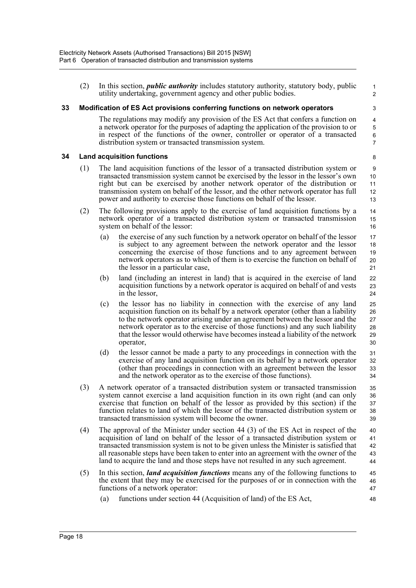(2) In this section, *public authority* includes statutory authority, statutory body, public utility undertaking, government agency and other public bodies.

#### <span id="page-28-0"></span>**33 Modification of ES Act provisions conferring functions on network operators**

The regulations may modify any provision of the ES Act that confers a function on a network operator for the purposes of adapting the application of the provision to or in respect of the functions of the owner, controller or operator of a transacted distribution system or transacted transmission system.

#### <span id="page-28-1"></span>**34 Land acquisition functions**

- (1) The land acquisition functions of the lessor of a transacted distribution system or transacted transmission system cannot be exercised by the lessor in the lessor's own right but can be exercised by another network operator of the distribution or transmission system on behalf of the lessor, and the other network operator has full power and authority to exercise those functions on behalf of the lessor.
- (2) The following provisions apply to the exercise of land acquisition functions by a network operator of a transacted distribution system or transacted transmission system on behalf of the lessor:
	- (a) the exercise of any such function by a network operator on behalf of the lessor is subject to any agreement between the network operator and the lessor concerning the exercise of those functions and to any agreement between network operators as to which of them is to exercise the function on behalf of the lessor in a particular case, 17 18 19 20 21
	- (b) land (including an interest in land) that is acquired in the exercise of land acquisition functions by a network operator is acquired on behalf of and vests in the lessor,
	- (c) the lessor has no liability in connection with the exercise of any land acquisition function on its behalf by a network operator (other than a liability to the network operator arising under an agreement between the lessor and the network operator as to the exercise of those functions) and any such liability that the lessor would otherwise have becomes instead a liability of the network operator, 25 26 27 28 29 30
	- (d) the lessor cannot be made a party to any proceedings in connection with the exercise of any land acquisition function on its behalf by a network operator (other than proceedings in connection with an agreement between the lessor and the network operator as to the exercise of those functions). 31 32 33 34
- (3) A network operator of a transacted distribution system or transacted transmission system cannot exercise a land acquisition function in its own right (and can only exercise that function on behalf of the lessor as provided by this section) if the function relates to land of which the lessor of the transacted distribution system or transacted transmission system will become the owner. 35 36 37 38 39
- (4) The approval of the Minister under section 44 (3) of the ES Act in respect of the acquisition of land on behalf of the lessor of a transacted distribution system or transacted transmission system is not to be given unless the Minister is satisfied that all reasonable steps have been taken to enter into an agreement with the owner of the land to acquire the land and those steps have not resulted in any such agreement. 40 41 42 43 44
- (5) In this section, *land acquisition functions* means any of the following functions to the extent that they may be exercised for the purposes of or in connection with the functions of a network operator: 45 46 47
	- (a) functions under section 44 (Acquisition of land) of the ES Act,

7 8

22 23 24

48

1 2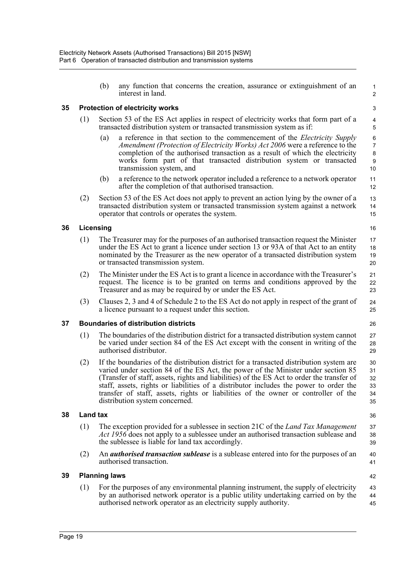<span id="page-29-4"></span><span id="page-29-3"></span><span id="page-29-2"></span><span id="page-29-1"></span><span id="page-29-0"></span>

|    |     | (b)                   | any function that concerns the creation, assurance or extinguishment of an<br>interest in land.                                                                                                                                                                                                                                                                                                                                                                                             | 1<br>$\overline{\mathbf{c}}$     |  |  |  |
|----|-----|-----------------------|---------------------------------------------------------------------------------------------------------------------------------------------------------------------------------------------------------------------------------------------------------------------------------------------------------------------------------------------------------------------------------------------------------------------------------------------------------------------------------------------|----------------------------------|--|--|--|
| 35 |     |                       | <b>Protection of electricity works</b>                                                                                                                                                                                                                                                                                                                                                                                                                                                      | 3                                |  |  |  |
|    | (1) |                       | Section 53 of the ES Act applies in respect of electricity works that form part of a<br>transacted distribution system or transacted transmission system as if:                                                                                                                                                                                                                                                                                                                             | 4<br>5                           |  |  |  |
|    |     | (a)                   | a reference in that section to the commencement of the <i>Electricity Supply</i><br>Amendment (Protection of Electricity Works) Act 2006 were a reference to the<br>completion of the authorised transaction as a result of which the electricity<br>works form part of that transacted distribution system or transacted<br>transmission system, and                                                                                                                                       | 6<br>7<br>8<br>9<br>10           |  |  |  |
|    |     | (b)                   | a reference to the network operator included a reference to a network operator<br>after the completion of that authorised transaction.                                                                                                                                                                                                                                                                                                                                                      | 11<br>12                         |  |  |  |
|    | (2) |                       | Section 53 of the ES Act does not apply to prevent an action lying by the owner of a<br>transacted distribution system or transacted transmission system against a network<br>operator that controls or operates the system.                                                                                                                                                                                                                                                                | 13<br>14<br>15                   |  |  |  |
| 36 |     | Licensing             |                                                                                                                                                                                                                                                                                                                                                                                                                                                                                             | 16                               |  |  |  |
|    | (1) |                       | The Treasurer may for the purposes of an authorised transaction request the Minister<br>under the ES Act to grant a licence under section 13 or 93A of that Act to an entity<br>nominated by the Treasurer as the new operator of a transacted distribution system<br>or transacted transmission system.                                                                                                                                                                                    | 17<br>18<br>19<br>20             |  |  |  |
|    | (2) |                       | The Minister under the ES Act is to grant a licence in accordance with the Treasurer's<br>request. The licence is to be granted on terms and conditions approved by the<br>Treasurer and as may be required by or under the ES Act.                                                                                                                                                                                                                                                         | 21<br>22<br>23                   |  |  |  |
|    | (3) |                       | Clauses 2, 3 and 4 of Schedule 2 to the ES Act do not apply in respect of the grant of<br>a licence pursuant to a request under this section.                                                                                                                                                                                                                                                                                                                                               | 24<br>25                         |  |  |  |
| 37 |     |                       | <b>Boundaries of distribution districts</b>                                                                                                                                                                                                                                                                                                                                                                                                                                                 | 26                               |  |  |  |
|    | (1) |                       | The boundaries of the distribution district for a transacted distribution system cannot<br>be varied under section 84 of the ES Act except with the consent in writing of the<br>authorised distributor.                                                                                                                                                                                                                                                                                    | 27<br>28<br>29                   |  |  |  |
|    | (2) |                       | If the boundaries of the distribution district for a transacted distribution system are<br>varied under section 84 of the ES Act, the power of the Minister under section 85<br>(Transfer of staff, assets, rights and liabilities) of the ES Act to order the transfer of<br>staff, assets, rights or liabilities of a distributor includes the power to order the<br>transfer of staff, assets, rights or liabilities of the owner or controller of the<br>distribution system concerned. | 30<br>31<br>32<br>33<br>34<br>35 |  |  |  |
| 38 |     | <b>Land tax</b><br>36 |                                                                                                                                                                                                                                                                                                                                                                                                                                                                                             |                                  |  |  |  |
|    | (1) |                       | The exception provided for a sublessee in section 21C of the <i>Land Tax Management</i><br>Act 1956 does not apply to a sublessee under an authorised transaction sublease and<br>the sublessee is liable for land tax accordingly.                                                                                                                                                                                                                                                         | 37<br>38<br>39                   |  |  |  |
|    | (2) |                       | An <i>authorised transaction sublease</i> is a sublease entered into for the purposes of an<br>authorised transaction.                                                                                                                                                                                                                                                                                                                                                                      | 40<br>41                         |  |  |  |
| 39 |     | <b>Planning laws</b>  |                                                                                                                                                                                                                                                                                                                                                                                                                                                                                             | 42                               |  |  |  |
|    | (1) |                       | For the purposes of any environmental planning instrument, the supply of electricity<br>by an authorised network operator is a public utility undertaking carried on by the<br>authorised network operator as an electricity supply authority.                                                                                                                                                                                                                                              | 43<br>44<br>45                   |  |  |  |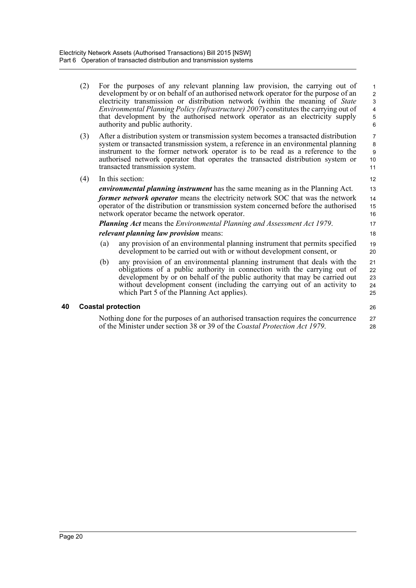(2) For the purposes of any relevant planning law provision, the carrying out of development by or on behalf of an authorised network operator for the purpose of an electricity transmission or distribution network (within the meaning of *State Environmental Planning Policy (Infrastructure) 2007*) constitutes the carrying out of that development by the authorised network operator as an electricity supply authority and public authority.

26

- (3) After a distribution system or transmission system becomes a transacted distribution system or transacted transmission system, a reference in an environmental planning instrument to the former network operator is to be read as a reference to the authorised network operator that operates the transacted distribution system or transacted transmission system.
- (4) In this section:

*environmental planning instrument* has the same meaning as in the Planning Act. *former network operator* means the electricity network SOC that was the network operator of the distribution or transmission system concerned before the authorised network operator became the network operator.

*Planning Act* means the *Environmental Planning and Assessment Act 1979*.

#### *relevant planning law provision* means:

- (a) any provision of an environmental planning instrument that permits specified development to be carried out with or without development consent, or
- (b) any provision of an environmental planning instrument that deals with the obligations of a public authority in connection with the carrying out of development by or on behalf of the public authority that may be carried out without development consent (including the carrying out of an activity to which Part 5 of the Planning Act applies). 21 22 23 24 25

#### <span id="page-30-0"></span>**40 Coastal protection**

Nothing done for the purposes of an authorised transaction requires the concurrence of the Minister under section 38 or 39 of the *Coastal Protection Act 1979*. 27 28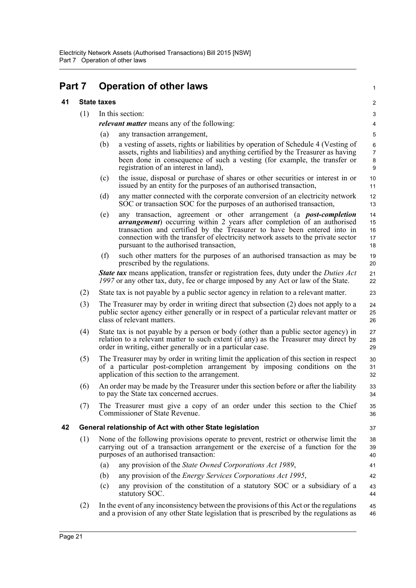## <span id="page-31-0"></span>**Part 7 Operation of other laws**

### <span id="page-31-1"></span>**41 State taxes**

<span id="page-31-2"></span>

| 41 |     | <b>State taxes</b>                                                                                                                                                                                                                                                                                                                                                            | $\overline{c}$                |
|----|-----|-------------------------------------------------------------------------------------------------------------------------------------------------------------------------------------------------------------------------------------------------------------------------------------------------------------------------------------------------------------------------------|-------------------------------|
|    | (1) | In this section:                                                                                                                                                                                                                                                                                                                                                              | 3                             |
|    |     | <i>relevant matter</i> means any of the following:                                                                                                                                                                                                                                                                                                                            | $\overline{\mathbf{4}}$       |
|    |     | any transaction arrangement,<br>(a)                                                                                                                                                                                                                                                                                                                                           | 5                             |
|    |     | (b)<br>a vesting of assets, rights or liabilities by operation of Schedule 4 (Vesting of<br>assets, rights and liabilities) and anything certified by the Treasurer as having<br>been done in consequence of such a vesting (for example, the transfer or<br>registration of an interest in land),                                                                            | 6<br>$\overline{7}$<br>8<br>9 |
|    |     | the issue, disposal or purchase of shares or other securities or interest in or<br>(c)<br>issued by an entity for the purposes of an authorised transaction,                                                                                                                                                                                                                  | $10$<br>11                    |
|    |     | (d)<br>any matter connected with the corporate conversion of an electricity network<br>SOC or transaction SOC for the purposes of an authorised transaction,                                                                                                                                                                                                                  | 12<br>13                      |
|    |     | any transaction, agreement or other arrangement (a <i>post-completion</i><br>(e)<br><i>arrangement</i> ) occurring within 2 years after completion of an authorised<br>transaction and certified by the Treasurer to have been entered into in<br>connection with the transfer of electricity network assets to the private sector<br>pursuant to the authorised transaction, | 14<br>15<br>16<br>17<br>18    |
|    |     | (f)<br>such other matters for the purposes of an authorised transaction as may be<br>prescribed by the regulations.                                                                                                                                                                                                                                                           | 19<br>20                      |
|    |     | <b>State tax</b> means application, transfer or registration fees, duty under the <i>Duties Act</i><br>1997 or any other tax, duty, fee or charge imposed by any Act or law of the State.                                                                                                                                                                                     | 21<br>22                      |
|    | (2) | State tax is not payable by a public sector agency in relation to a relevant matter.                                                                                                                                                                                                                                                                                          | 23                            |
|    | (3) | The Treasurer may by order in writing direct that subsection (2) does not apply to a<br>public sector agency either generally or in respect of a particular relevant matter or<br>class of relevant matters.                                                                                                                                                                  | 24<br>25<br>26                |
|    | (4) | State tax is not payable by a person or body (other than a public sector agency) in<br>relation to a relevant matter to such extent (if any) as the Treasurer may direct by<br>order in writing, either generally or in a particular case.                                                                                                                                    | 27<br>28<br>29                |
|    | (5) | The Treasurer may by order in writing limit the application of this section in respect<br>of a particular post-completion arrangement by imposing conditions on the<br>application of this section to the arrangement.                                                                                                                                                        | 30<br>31<br>32                |
|    | (6) | An order may be made by the Treasurer under this section before or after the liability<br>to pay the State tax concerned accrues.                                                                                                                                                                                                                                             | 33<br>34                      |
|    | (7) | The Treasurer must give a copy of an order under this section to the Chief<br>Commissioner of State Revenue.                                                                                                                                                                                                                                                                  | 35<br>36                      |
| 42 |     | General relationship of Act with other State legislation                                                                                                                                                                                                                                                                                                                      | 37                            |
|    | (1) | None of the following provisions operate to prevent, restrict or otherwise limit the<br>carrying out of a transaction arrangement or the exercise of a function for the<br>purposes of an authorised transaction:                                                                                                                                                             | 38<br>39<br>40                |
|    |     | any provision of the State Owned Corporations Act 1989,<br>(a)                                                                                                                                                                                                                                                                                                                | 41                            |
|    |     | any provision of the <i>Energy Services Corporations Act 1995</i> ,<br>(b)                                                                                                                                                                                                                                                                                                    | 42                            |
|    |     | any provision of the constitution of a statutory SOC or a subsidiary of a<br>(c)<br>statutory SOC.                                                                                                                                                                                                                                                                            | 43<br>44                      |
|    | (2) | In the event of any inconsistency between the provisions of this Act or the regulations<br>and a provision of any other State legislation that is prescribed by the regulations as                                                                                                                                                                                            | 45<br>46                      |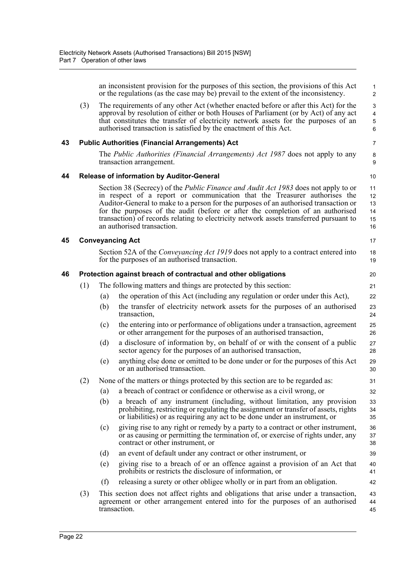<span id="page-32-0"></span>

|    |     |                                                                                                                                                                                                                                                                                                                                                                                                                                                                          | an inconsistent provision for the purposes of this section, the provisions of this Act<br>or the regulations (as the case may be) prevail to the extent of the inconsistency.                                                                                                                                                           | $\mathbf{1}$<br>2                                                                    |  |  |
|----|-----|--------------------------------------------------------------------------------------------------------------------------------------------------------------------------------------------------------------------------------------------------------------------------------------------------------------------------------------------------------------------------------------------------------------------------------------------------------------------------|-----------------------------------------------------------------------------------------------------------------------------------------------------------------------------------------------------------------------------------------------------------------------------------------------------------------------------------------|--------------------------------------------------------------------------------------|--|--|
|    | (3) |                                                                                                                                                                                                                                                                                                                                                                                                                                                                          | The requirements of any other Act (whether enacted before or after this Act) for the<br>approval by resolution of either or both Houses of Parliament (or by Act) of any act<br>that constitutes the transfer of electricity network assets for the purposes of an<br>authorised transaction is satisfied by the enactment of this Act. | $\ensuremath{\mathsf{3}}$<br>$\overline{\mathbf{4}}$<br>$\sqrt{5}$<br>$6\phantom{a}$ |  |  |
| 43 |     |                                                                                                                                                                                                                                                                                                                                                                                                                                                                          | <b>Public Authorities (Financial Arrangements) Act</b>                                                                                                                                                                                                                                                                                  | $\overline{7}$                                                                       |  |  |
|    |     | The <i>Public Authorities (Financial Arrangements) Act 1987</i> does not apply to any<br>transaction arrangement.                                                                                                                                                                                                                                                                                                                                                        |                                                                                                                                                                                                                                                                                                                                         |                                                                                      |  |  |
| 44 |     |                                                                                                                                                                                                                                                                                                                                                                                                                                                                          | Release of information by Auditor-General                                                                                                                                                                                                                                                                                               | 10                                                                                   |  |  |
|    |     | Section 38 (Secrecy) of the <i>Public Finance and Audit Act 1983</i> does not apply to or<br>in respect of a report or communication that the Treasurer authorises the<br>Auditor-General to make to a person for the purposes of an authorised transaction or<br>for the purposes of the audit (before or after the completion of an authorised<br>transaction) of records relating to electricity network assets transferred pursuant to<br>an authorised transaction. |                                                                                                                                                                                                                                                                                                                                         |                                                                                      |  |  |
| 45 |     |                                                                                                                                                                                                                                                                                                                                                                                                                                                                          | <b>Conveyancing Act</b>                                                                                                                                                                                                                                                                                                                 | 17                                                                                   |  |  |
|    |     |                                                                                                                                                                                                                                                                                                                                                                                                                                                                          | Section 52A of the <i>Conveyancing Act 1919</i> does not apply to a contract entered into<br>for the purposes of an authorised transaction.                                                                                                                                                                                             | 18<br>19                                                                             |  |  |
| 46 |     |                                                                                                                                                                                                                                                                                                                                                                                                                                                                          | Protection against breach of contractual and other obligations                                                                                                                                                                                                                                                                          | 20                                                                                   |  |  |
|    | (1) |                                                                                                                                                                                                                                                                                                                                                                                                                                                                          | The following matters and things are protected by this section:                                                                                                                                                                                                                                                                         | 21                                                                                   |  |  |
|    |     | (a)                                                                                                                                                                                                                                                                                                                                                                                                                                                                      | the operation of this Act (including any regulation or order under this Act),                                                                                                                                                                                                                                                           | 22                                                                                   |  |  |
|    |     | (b)                                                                                                                                                                                                                                                                                                                                                                                                                                                                      | the transfer of electricity network assets for the purposes of an authorised<br>transaction,                                                                                                                                                                                                                                            | 23<br>24                                                                             |  |  |
|    |     | (c)                                                                                                                                                                                                                                                                                                                                                                                                                                                                      | the entering into or performance of obligations under a transaction, agreement<br>or other arrangement for the purposes of an authorised transaction,                                                                                                                                                                                   | 25<br>26                                                                             |  |  |
|    |     | (d)                                                                                                                                                                                                                                                                                                                                                                                                                                                                      | a disclosure of information by, on behalf of or with the consent of a public<br>sector agency for the purposes of an authorised transaction,                                                                                                                                                                                            | 27<br>28                                                                             |  |  |
|    |     | (e)                                                                                                                                                                                                                                                                                                                                                                                                                                                                      | anything else done or omitted to be done under or for the purposes of this Act<br>or an authorised transaction.                                                                                                                                                                                                                         | 29<br>30                                                                             |  |  |
|    | (2) |                                                                                                                                                                                                                                                                                                                                                                                                                                                                          | None of the matters or things protected by this section are to be regarded as:                                                                                                                                                                                                                                                          | 31                                                                                   |  |  |
|    |     |                                                                                                                                                                                                                                                                                                                                                                                                                                                                          | (a) a breach of contract or confidence or otherwise as a civil wrong, or                                                                                                                                                                                                                                                                | 32                                                                                   |  |  |
|    |     | (b)                                                                                                                                                                                                                                                                                                                                                                                                                                                                      | a breach of any instrument (including, without limitation, any provision<br>prohibiting, restricting or regulating the assignment or transfer of assets, rights<br>or liabilities) or as requiring any act to be done under an instrument, or                                                                                           | 33<br>34<br>35                                                                       |  |  |
|    |     | (c)                                                                                                                                                                                                                                                                                                                                                                                                                                                                      | giving rise to any right or remedy by a party to a contract or other instrument,<br>or as causing or permitting the termination of, or exercise of rights under, any<br>contract or other instrument, or                                                                                                                                | 36<br>37<br>38                                                                       |  |  |
|    |     | (d)                                                                                                                                                                                                                                                                                                                                                                                                                                                                      | an event of default under any contract or other instrument, or                                                                                                                                                                                                                                                                          | 39                                                                                   |  |  |
|    |     | (e)                                                                                                                                                                                                                                                                                                                                                                                                                                                                      | giving rise to a breach of or an offence against a provision of an Act that<br>prohibits or restricts the disclosure of information, or                                                                                                                                                                                                 | 40<br>41                                                                             |  |  |
|    |     | (f)                                                                                                                                                                                                                                                                                                                                                                                                                                                                      | releasing a surety or other obligee wholly or in part from an obligation.                                                                                                                                                                                                                                                               | 42                                                                                   |  |  |
|    | (3) |                                                                                                                                                                                                                                                                                                                                                                                                                                                                          | This section does not affect rights and obligations that arise under a transaction,<br>agreement or other arrangement entered into for the purposes of an authorised<br>transaction.                                                                                                                                                    | 43<br>44<br>45                                                                       |  |  |

<span id="page-32-3"></span><span id="page-32-2"></span><span id="page-32-1"></span>**45 Conveyancing Act**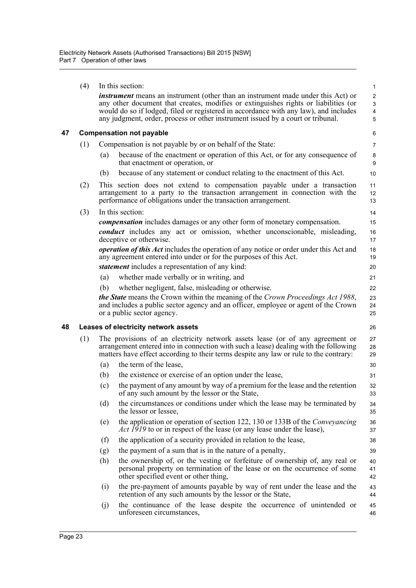<span id="page-33-1"></span><span id="page-33-0"></span>

|    | (4)                                        | In this section:                                                                                                                                                                                                                                                                                                                                          |                                                                                                                                                                                                                           |                |  |  |  |  |
|----|--------------------------------------------|-----------------------------------------------------------------------------------------------------------------------------------------------------------------------------------------------------------------------------------------------------------------------------------------------------------------------------------------------------------|---------------------------------------------------------------------------------------------------------------------------------------------------------------------------------------------------------------------------|----------------|--|--|--|--|
|    |                                            | <i>instrument</i> means an instrument (other than an instrument made under this Act) or<br>any other document that creates, modifies or extinguishes rights or liabilities (or<br>would do so if lodged, filed or registered in accordance with any law), and includes<br>any judgment, order, process or other instrument issued by a court or tribunal. |                                                                                                                                                                                                                           |                |  |  |  |  |
| 47 |                                            | <b>Compensation not payable</b>                                                                                                                                                                                                                                                                                                                           |                                                                                                                                                                                                                           |                |  |  |  |  |
|    | (1)                                        | Compensation is not payable by or on behalf of the State:                                                                                                                                                                                                                                                                                                 |                                                                                                                                                                                                                           |                |  |  |  |  |
|    |                                            | (a)                                                                                                                                                                                                                                                                                                                                                       | because of the enactment or operation of this Act, or for any consequence of<br>that enactment or operation, or                                                                                                           | $\bf 8$<br>9   |  |  |  |  |
|    |                                            | (b)                                                                                                                                                                                                                                                                                                                                                       | because of any statement or conduct relating to the enactment of this Act.                                                                                                                                                | 10             |  |  |  |  |
|    | (2)                                        |                                                                                                                                                                                                                                                                                                                                                           | This section does not extend to compensation payable under a transaction<br>arrangement to a party to the transaction arrangement in connection with the<br>performance of obligations under the transaction arrangement. | 11<br>12<br>13 |  |  |  |  |
|    | (3)                                        |                                                                                                                                                                                                                                                                                                                                                           | In this section:                                                                                                                                                                                                          | 14             |  |  |  |  |
|    |                                            |                                                                                                                                                                                                                                                                                                                                                           | <i>compensation</i> includes damages or any other form of monetary compensation.                                                                                                                                          | 15             |  |  |  |  |
|    |                                            |                                                                                                                                                                                                                                                                                                                                                           | <i>conduct</i> includes any act or omission, whether unconscionable, misleading,<br>deceptive or otherwise.                                                                                                               | 16<br>17       |  |  |  |  |
|    |                                            |                                                                                                                                                                                                                                                                                                                                                           | <i>operation of this Act</i> includes the operation of any notice or order under this Act and<br>any agreement entered into under or for the purposes of this Act.                                                        | 18<br>19       |  |  |  |  |
|    |                                            |                                                                                                                                                                                                                                                                                                                                                           | <i>statement</i> includes a representation of any kind:                                                                                                                                                                   | 20             |  |  |  |  |
|    |                                            | (a)                                                                                                                                                                                                                                                                                                                                                       | whether made verbally or in writing, and                                                                                                                                                                                  | 21             |  |  |  |  |
|    |                                            | (b)                                                                                                                                                                                                                                                                                                                                                       | whether negligent, false, misleading or otherwise.                                                                                                                                                                        | 22             |  |  |  |  |
|    |                                            |                                                                                                                                                                                                                                                                                                                                                           | <i>the State</i> means the Crown within the meaning of the Crown Proceedings Act 1988,<br>and includes a public sector agency and an officer, employee or agent of the Crown<br>or a public sector agency.                | 23<br>24<br>25 |  |  |  |  |
| 48 | Leases of electricity network assets<br>26 |                                                                                                                                                                                                                                                                                                                                                           |                                                                                                                                                                                                                           |                |  |  |  |  |
|    | (1)                                        | The provisions of an electricity network assets lease (or of any agreement or<br>arrangement entered into in connection with such a lease) dealing with the following                                                                                                                                                                                     |                                                                                                                                                                                                                           |                |  |  |  |  |
|    |                                            |                                                                                                                                                                                                                                                                                                                                                           | matters have effect according to their terms despite any law or rule to the contrary:                                                                                                                                     | 28<br>29       |  |  |  |  |
|    |                                            | (a)                                                                                                                                                                                                                                                                                                                                                       | the term of the lease,                                                                                                                                                                                                    | 30             |  |  |  |  |
|    |                                            | (b)                                                                                                                                                                                                                                                                                                                                                       | the existence or exercise of an option under the lease,                                                                                                                                                                   | 31             |  |  |  |  |
|    |                                            | (c)                                                                                                                                                                                                                                                                                                                                                       | the payment of any amount by way of a premium for the lease and the retention<br>of any such amount by the lessor or the State.                                                                                           | 32<br>33       |  |  |  |  |
|    |                                            | (d)                                                                                                                                                                                                                                                                                                                                                       | the circumstances or conditions under which the lease may be terminated by<br>the lessor or lessee,                                                                                                                       | 34<br>35       |  |  |  |  |
|    |                                            | (e)                                                                                                                                                                                                                                                                                                                                                       | the application or operation of section 122, 130 or 133B of the Conveyancing<br><i>Act 1919</i> to or in respect of the lease (or any lease under the lease),                                                             | 36<br>37       |  |  |  |  |
|    |                                            | (f)                                                                                                                                                                                                                                                                                                                                                       | the application of a security provided in relation to the lease,                                                                                                                                                          | 38             |  |  |  |  |
|    |                                            | (g)                                                                                                                                                                                                                                                                                                                                                       | the payment of a sum that is in the nature of a penalty,                                                                                                                                                                  | 39             |  |  |  |  |
|    |                                            | (h)                                                                                                                                                                                                                                                                                                                                                       | the ownership of, or the vesting or forfeiture of ownership of, any real or<br>personal property on termination of the lease or on the occurrence of some<br>other specified event or other thing,                        | 40<br>41<br>42 |  |  |  |  |
|    |                                            | (i)                                                                                                                                                                                                                                                                                                                                                       | the pre-payment of amounts payable by way of rent under the lease and the<br>retention of any such amounts by the lessor or the State,<br>the continuance of the lease despite the occurrence of unintended or            | 43<br>44       |  |  |  |  |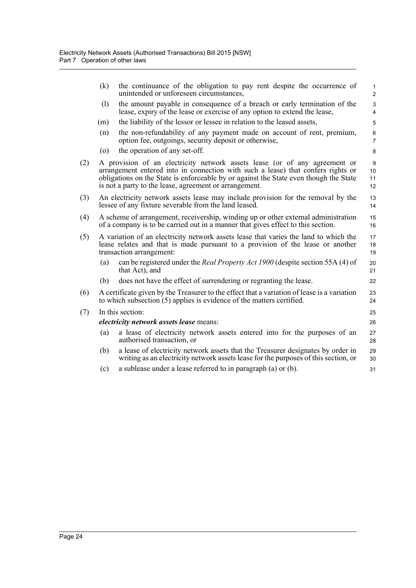|     | (k)                                                                                                                                                                                                                                                                                                               | the continuance of the obligation to pay rent despite the occurrence of<br>unintended or unforeseen circumstances,                                                                                 | $\mathbf{1}$<br>$\overline{c}$ |  |
|-----|-------------------------------------------------------------------------------------------------------------------------------------------------------------------------------------------------------------------------------------------------------------------------------------------------------------------|----------------------------------------------------------------------------------------------------------------------------------------------------------------------------------------------------|--------------------------------|--|
|     | (1)                                                                                                                                                                                                                                                                                                               | the amount payable in consequence of a breach or early termination of the<br>lease, expiry of the lease or exercise of any option to extend the lease,                                             | $\mathsf 3$<br>4               |  |
|     | (m)                                                                                                                                                                                                                                                                                                               | the liability of the lessor or lessee in relation to the leased assets,                                                                                                                            | 5                              |  |
|     | (n)                                                                                                                                                                                                                                                                                                               | the non-refundability of any payment made on account of rent, premium,<br>option fee, outgoings, security deposit or otherwise,                                                                    | 6<br>$\overline{7}$            |  |
|     | $\left( 0 \right)$                                                                                                                                                                                                                                                                                                | the operation of any set-off.                                                                                                                                                                      | 8                              |  |
| (2) | A provision of an electricity network assets lease (or of any agreement or<br>arrangement entered into in connection with such a lease) that confers rights or<br>obligations on the State is enforceable by or against the State even though the State<br>is not a party to the lease, agreement or arrangement. |                                                                                                                                                                                                    |                                |  |
| (3) | An electricity network assets lease may include provision for the removal by the<br>lessee of any fixture severable from the land leased.                                                                                                                                                                         |                                                                                                                                                                                                    |                                |  |
| (4) |                                                                                                                                                                                                                                                                                                                   | A scheme of arrangement, receivership, winding up or other external administration<br>of a company is to be carried out in a manner that gives effect to this section.                             |                                |  |
| (5) |                                                                                                                                                                                                                                                                                                                   | A variation of an electricity network assets lease that varies the land to which the<br>lease relates and that is made pursuant to a provision of the lease or another<br>transaction arrangement: | 17<br>18<br>19                 |  |
|     | (a)                                                                                                                                                                                                                                                                                                               | can be registered under the Real Property Act 1900 (despite section 55A (4) of<br>that Act), and                                                                                                   | 20<br>21                       |  |
|     | (b)                                                                                                                                                                                                                                                                                                               | does not have the effect of surrendering or regranting the lease.                                                                                                                                  | 22                             |  |
| (6) | A certificate given by the Treasurer to the effect that a variation of lease is a variation<br>to which subsection (5) applies is evidence of the matters certified.                                                                                                                                              |                                                                                                                                                                                                    | 23<br>24                       |  |
| (7) |                                                                                                                                                                                                                                                                                                                   | In this section:                                                                                                                                                                                   | 25                             |  |
|     | <i>electricity network assets lease means:</i>                                                                                                                                                                                                                                                                    |                                                                                                                                                                                                    |                                |  |
|     | (a)                                                                                                                                                                                                                                                                                                               | a lease of electricity network assets entered into for the purposes of an<br>authorised transaction, or                                                                                            | 27<br>28                       |  |
|     | (b)                                                                                                                                                                                                                                                                                                               | a lease of electricity network assets that the Treasurer designates by order in<br>writing as an electricity network assets lease for the purposes of this section, or                             | 29<br>30                       |  |
|     | (c)                                                                                                                                                                                                                                                                                                               | a sublease under a lease referred to in paragraph (a) or (b).                                                                                                                                      | 31                             |  |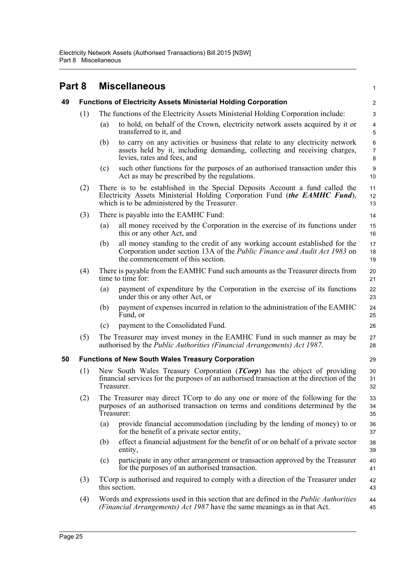<span id="page-35-2"></span><span id="page-35-1"></span><span id="page-35-0"></span>

| Part 8 |                                                          | <b>Miscellaneous</b>                                                             |                                                                                                                                                                                                            |                              |
|--------|----------------------------------------------------------|----------------------------------------------------------------------------------|------------------------------------------------------------------------------------------------------------------------------------------------------------------------------------------------------------|------------------------------|
| 49     |                                                          |                                                                                  | <b>Functions of Electricity Assets Ministerial Holding Corporation</b>                                                                                                                                     | $\overline{c}$               |
|        | (1)                                                      | The functions of the Electricity Assets Ministerial Holding Corporation include: |                                                                                                                                                                                                            |                              |
|        |                                                          | (a)                                                                              | to hold, on behalf of the Crown, electricity network assets acquired by it or<br>transferred to it, and                                                                                                    | $\overline{4}$<br>5          |
|        |                                                          | (b)                                                                              | to carry on any activities or business that relate to any electricity network<br>assets held by it, including demanding, collecting and receiving charges,<br>levies, rates and fees, and                  | $\,6$<br>$\overline{7}$<br>8 |
|        |                                                          | (c)                                                                              | such other functions for the purposes of an authorised transaction under this<br>Act as may be prescribed by the regulations.                                                                              | $\boldsymbol{9}$<br>10       |
|        | (2)                                                      |                                                                                  | There is to be established in the Special Deposits Account a fund called the<br>Electricity Assets Ministerial Holding Corporation Fund (the EAMHC Fund),<br>which is to be administered by the Treasurer. | 11<br>12<br>13               |
|        | (3)                                                      | There is payable into the EAMHC Fund:                                            |                                                                                                                                                                                                            |                              |
|        |                                                          | (a)                                                                              | all money received by the Corporation in the exercise of its functions under<br>this or any other Act, and                                                                                                 | 15<br>16                     |
|        |                                                          | (b)                                                                              | all money standing to the credit of any working account established for the<br>Corporation under section 13A of the Public Finance and Audit Act 1983 on<br>the commencement of this section.              | 17<br>18<br>19               |
|        | (4)                                                      |                                                                                  | There is payable from the EAMHC Fund such amounts as the Treasurer directs from<br>time to time for:                                                                                                       | 20<br>21                     |
|        |                                                          | (a)                                                                              | payment of expenditure by the Corporation in the exercise of its functions<br>under this or any other Act, or                                                                                              | 22<br>23                     |
|        |                                                          | (b)                                                                              | payment of expenses incurred in relation to the administration of the EAMHC<br>Fund, or                                                                                                                    | 24<br>25                     |
|        |                                                          | (c)                                                                              | payment to the Consolidated Fund.                                                                                                                                                                          | 26                           |
|        | (5)                                                      |                                                                                  | The Treasurer may invest money in the EAMHC Fund in such manner as may be<br>authorised by the Public Authorities (Financial Arrangements) Act 1987.                                                       | 27<br>28                     |
| 50     | <b>Functions of New South Wales Treasury Corporation</b> |                                                                                  | 29                                                                                                                                                                                                         |                              |
|        | (1)                                                      | Treasurer.                                                                       | New South Wales Treasury Corporation ( <i>TCorp</i> ) has the object of providing<br>financial services for the purposes of an authorised transaction at the direction of the                              | 30<br>31<br>32               |
|        | (2)                                                      | Treasurer:                                                                       | The Treasurer may direct TCorp to do any one or more of the following for the<br>purposes of an authorised transaction on terms and conditions determined by the                                           | 33<br>34<br>35               |
|        |                                                          | (a)                                                                              | provide financial accommodation (including by the lending of money) to or<br>for the benefit of a private sector entity,                                                                                   | 36<br>37                     |
|        |                                                          | (b)                                                                              | effect a financial adjustment for the benefit of or on behalf of a private sector<br>entity,                                                                                                               | 38<br>39                     |
|        |                                                          | (c)                                                                              | participate in any other arrangement or transaction approved by the Treasurer<br>for the purposes of an authorised transaction.                                                                            | 40<br>41                     |
|        | (3)                                                      |                                                                                  | TCorp is authorised and required to comply with a direction of the Treasurer under<br>this section.                                                                                                        | 42<br>43                     |
|        | (4)                                                      |                                                                                  | Words and expressions used in this section that are defined in the <i>Public Authorities</i><br>(Financial Arrangements) Act 1987 have the same meanings as in that Act.                                   | 44<br>45                     |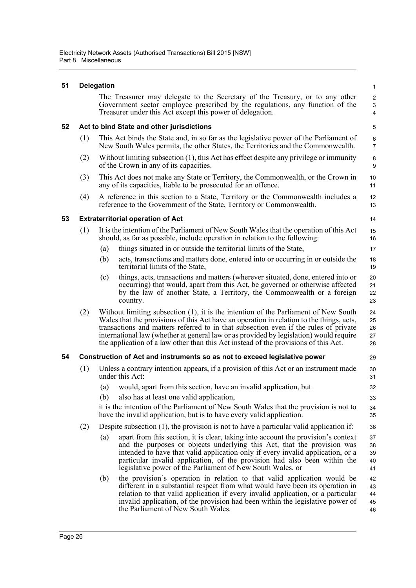#### **51 Delegation**

| The Treasurer may delegate to the Secretary of the Treasury, or to any other  |
|-------------------------------------------------------------------------------|
| Government sector employee prescribed by the regulations, any function of the |
| Treasurer under this Act except this power of delegation.                     |

#### **52 Act to bind State and other jurisdictions**

| This Act binds the State and, in so far as the legislative power of the Parliament of |
|---------------------------------------------------------------------------------------|
| New South Wales permits, the other States, the Territories and the Commonwealth.      |

- (2) Without limiting subsection (1), this Act has effect despite any privilege or immunity of the Crown in any of its capacities.
- (3) This Act does not make any State or Territory, the Commonwealth, or the Crown in any of its capacities, liable to be prosecuted for an offence.
- (4) A reference in this section to a State, Territory or the Commonwealth includes a reference to the Government of the State, Territory or Commonwealth.

#### **53 Extraterritorial operation of Act**

| (1) It is the intention of the Parliament of New South Wales that the operation of this Act | 15 |
|---------------------------------------------------------------------------------------------|----|
| should, as far as possible, include operation in relation to the following:                 | 16 |

- (a) things situated in or outside the territorial limits of the State,
- (b) acts, transactions and matters done, entered into or occurring in or outside the territorial limits of the State,
- (c) things, acts, transactions and matters (wherever situated, done, entered into or occurring) that would, apart from this Act, be governed or otherwise affected by the law of another State, a Territory, the Commonwealth or a foreign country.
- (2) Without limiting subsection (1), it is the intention of the Parliament of New South Wales that the provisions of this Act have an operation in relation to the things, acts, transactions and matters referred to in that subsection even if the rules of private international law (whether at general law or as provided by legislation) would require the application of a law other than this Act instead of the provisions of this Act. 24 25 26 27 28

#### **54 Construction of Act and instruments so as not to exceed legislative power**

- (1) Unless a contrary intention appears, if a provision of this Act or an instrument made under this Act:
	- (a) would, apart from this section, have an invalid application, but
	- (b) also has at least one valid application,

it is the intention of the Parliament of New South Wales that the provision is not to have the invalid application, but is to have every valid application.

- (2) Despite subsection (1), the provision is not to have a particular valid application if:
	- (a) apart from this section, it is clear, taking into account the provision's context and the purposes or objects underlying this Act, that the provision was intended to have that valid application only if every invalid application, or a particular invalid application, of the provision had also been within the legislative power of the Parliament of New South Wales, or 37 38 39 40 41
	- (b) the provision's operation in relation to that valid application would be different in a substantial respect from what would have been its operation in relation to that valid application if every invalid application, or a particular invalid application, of the provision had been within the legislative power of the Parliament of New South Wales. 42 43 44 45 46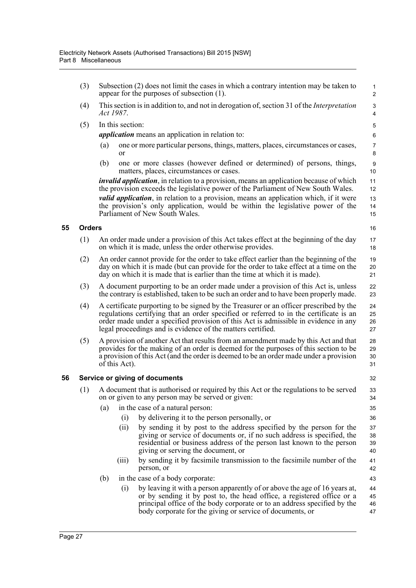- (3) Subsection (2) does not limit the cases in which a contrary intention may be taken to appear for the purposes of subsection (1).
- (4) This section is in addition to, and not in derogation of, section 31 of the *Interpretation Act 1987*.
- (5) In this section:

*application* means an application in relation to:

- (a) one or more particular persons, things, matters, places, circumstances or cases, or
- (b) one or more classes (however defined or determined) of persons, things, matters, places, circumstances or cases.

*invalid application*, in relation to a provision, means an application because of which the provision exceeds the legislative power of the Parliament of New South Wales. *valid application*, in relation to a provision, means an application which, if it were the provision's only application, would be within the legislative power of the Parliament of New South Wales.

#### **55 Orders**

16 17

41 42 43

- (1) An order made under a provision of this Act takes effect at the beginning of the day on which it is made, unless the order otherwise provides.
- (2) An order cannot provide for the order to take effect earlier than the beginning of the day on which it is made (but can provide for the order to take effect at a time on the day on which it is made that is earlier than the time at which it is made).
- (3) A document purporting to be an order made under a provision of this Act is, unless the contrary is established, taken to be such an order and to have been properly made.
- (4) A certificate purporting to be signed by the Treasurer or an officer prescribed by the regulations certifying that an order specified or referred to in the certificate is an order made under a specified provision of this Act is admissible in evidence in any legal proceedings and is evidence of the matters certified.
- (5) A provision of another Act that results from an amendment made by this Act and that provides for the making of an order is deemed for the purposes of this section to be a provision of this Act (and the order is deemed to be an order made under a provision of this Act). 28 29 30 31

#### **56 Service or giving of documents**

- (1) A document that is authorised or required by this Act or the regulations to be served on or given to any person may be served or given:
	- (a) in the case of a natural person:
		- (i) by delivering it to the person personally, or
		- (ii) by sending it by post to the address specified by the person for the giving or service of documents or, if no such address is specified, the residential or business address of the person last known to the person giving or serving the document, or 37 38 39 40
		- (iii) by sending it by facsimile transmission to the facsimile number of the person, or
	- (b) in the case of a body corporate:
		- (i) by leaving it with a person apparently of or above the age of 16 years at, or by sending it by post to, the head office, a registered office or a principal office of the body corporate or to an address specified by the body corporate for the giving or service of documents, or 44 45 46 47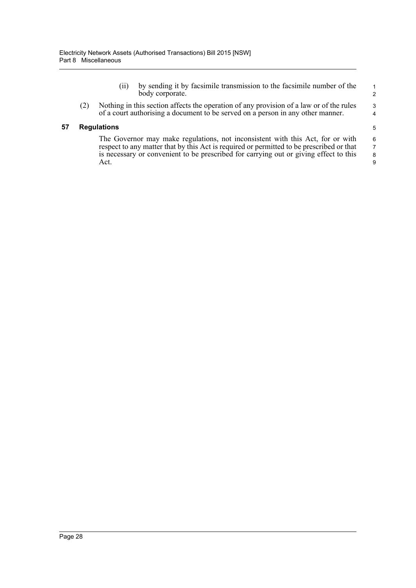- (ii) by sending it by facsimile transmission to the facsimile number of the body corporate.
- (2) Nothing in this section affects the operation of any provision of a law or of the rules of a court authorising a document to be served on a person in any other manner.

#### **57 Regulations**

The Governor may make regulations, not inconsistent with this Act, for or with respect to any matter that by this Act is required or permitted to be prescribed or that is necessary or convenient to be prescribed for carrying out or giving effect to this Act.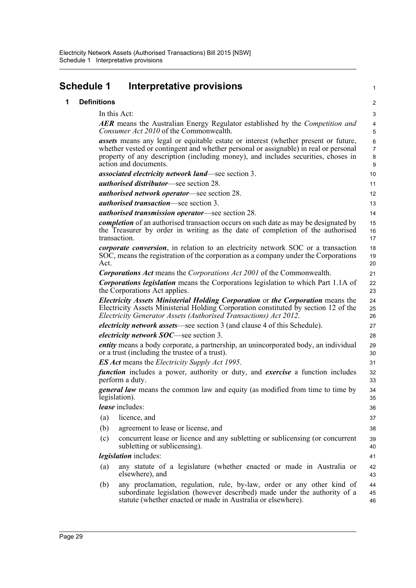|   | <b>Schedule 1</b>  | Interpretative provisions                                                                                                                                                                                                                                                                       | 1                                 |
|---|--------------------|-------------------------------------------------------------------------------------------------------------------------------------------------------------------------------------------------------------------------------------------------------------------------------------------------|-----------------------------------|
| 1 | <b>Definitions</b> |                                                                                                                                                                                                                                                                                                 | $\overline{c}$                    |
|   |                    | In this Act:                                                                                                                                                                                                                                                                                    | $\ensuremath{\mathsf{3}}$         |
|   |                    | <b>AER</b> means the Australian Energy Regulator established by the <i>Competition and</i><br>Consumer Act 2010 of the Commonwealth.                                                                                                                                                            | $\overline{4}$<br>5               |
|   |                    | <i>assets</i> means any legal or equitable estate or interest (whether present or future,<br>whether vested or contingent and whether personal or assignable) in real or personal<br>property of any description (including money), and includes securities, choses in<br>action and documents. | $\,6$<br>$\overline{7}$<br>8<br>9 |
|   |                    | <i>associated electricity network land—see section 3.</i>                                                                                                                                                                                                                                       | 10                                |
|   |                    | <b><i>authorised distributor</i></b> —see section 28.                                                                                                                                                                                                                                           | 11                                |
|   |                    | <b><i>authorised network operator—see section 28.</i></b>                                                                                                                                                                                                                                       | 12                                |
|   |                    | <i>authorised transaction</i> —see section 3.                                                                                                                                                                                                                                                   | 13                                |
|   |                    | <i>authorised transmission operator—see section 28.</i>                                                                                                                                                                                                                                         | 14                                |
|   |                    | <i>completion</i> of an authorised transaction occurs on such date as may be designated by<br>the Treasurer by order in writing as the date of completion of the authorised<br>transaction.                                                                                                     | 15<br>16<br>17                    |
|   | Act.               | <i>corporate conversion</i> , in relation to an electricity network SOC or a transaction<br>SOC, means the registration of the corporation as a company under the Corporations                                                                                                                  | 18<br>19<br>20                    |
|   |                    | <b>Corporations Act means the Corporations Act 2001 of the Commonwealth.</b>                                                                                                                                                                                                                    | 21                                |
|   |                    | <b>Corporations legislation</b> means the Corporations legislation to which Part 1.1A of<br>the Corporations Act applies.                                                                                                                                                                       | 22<br>23                          |
|   |                    | Electricity Assets Ministerial Holding Corporation or the Corporation means the<br>Electricity Assets Ministerial Holding Corporation constituted by section 12 of the<br>Electricity Generator Assets (Authorised Transactions) Act 2012.                                                      | 24<br>25<br>26                    |
|   |                    | <i>electricity network assets</i> —see section 3 (and clause 4 of this Schedule).                                                                                                                                                                                                               | 27                                |
|   |                    | <i>electricity network SOC</i> —see section 3.                                                                                                                                                                                                                                                  | 28                                |
|   |                    | entity means a body corporate, a partnership, an unincorporated body, an individual<br>or a trust (including the trustee of a trust).                                                                                                                                                           | 29<br>30                          |
|   |                    | <b>ES Act</b> means the <i>Electricity</i> Supply Act 1995.                                                                                                                                                                                                                                     | 31                                |
|   |                    | function includes a power, authority or duty, and exercise a function includes<br>perform a duty.                                                                                                                                                                                               | 32<br>33                          |
|   |                    | <i>general law</i> means the common law and equity (as modified from time to time by<br>legislation).                                                                                                                                                                                           | 34<br>35                          |
|   |                    | lease includes:                                                                                                                                                                                                                                                                                 | 36                                |
|   | (a)                | licence, and                                                                                                                                                                                                                                                                                    | 37                                |
|   | (b)                | agreement to lease or license, and                                                                                                                                                                                                                                                              | 38                                |
|   | (c)                | concurrent lease or licence and any subletting or sublicensing (or concurrent<br>subletting or sublicensing).                                                                                                                                                                                   | 39<br>40                          |
|   |                    | <i>legislation</i> includes:                                                                                                                                                                                                                                                                    | 41                                |
|   | (a)                | any statute of a legislature (whether enacted or made in Australia or<br>elsewhere), and                                                                                                                                                                                                        | 42<br>43                          |
|   | (b)                | any proclamation, regulation, rule, by-law, order or any other kind of<br>subordinate legislation (however described) made under the authority of a<br>statute (whether enacted or made in Australia or elsewhere).                                                                             | 44<br>45<br>46                    |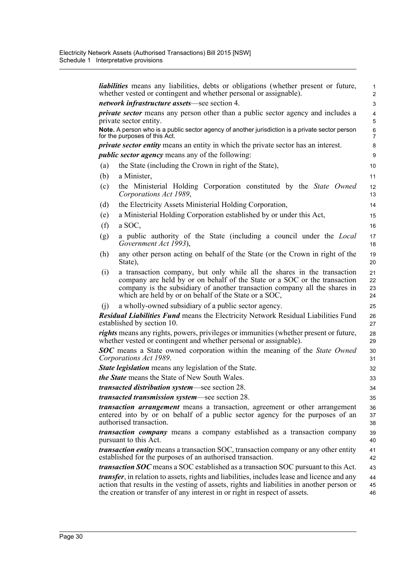|                                                                                         | <i>liabilities</i> means any liabilities, debts or obligations (whether present or future,<br>whether vested or contingent and whether personal or assignable).                                                                                                                             | $\mathbf{1}$<br>$\overline{2}$ |  |  |
|-----------------------------------------------------------------------------------------|---------------------------------------------------------------------------------------------------------------------------------------------------------------------------------------------------------------------------------------------------------------------------------------------|--------------------------------|--|--|
| network infrastructure assets-see section 4.                                            |                                                                                                                                                                                                                                                                                             |                                |  |  |
| <i>private sector</i> means any person other than a public sector agency and includes a |                                                                                                                                                                                                                                                                                             |                                |  |  |
|                                                                                         | private sector entity.                                                                                                                                                                                                                                                                      | 5                              |  |  |
|                                                                                         | Note. A person who is a public sector agency of another jurisdiction is a private sector person<br>for the purposes of this Act.                                                                                                                                                            | 6<br>7                         |  |  |
|                                                                                         | <i>private sector entity</i> means an entity in which the private sector has an interest.                                                                                                                                                                                                   | 8                              |  |  |
|                                                                                         | <i>public sector agency</i> means any of the following:                                                                                                                                                                                                                                     | 9                              |  |  |
| (a)                                                                                     | the State (including the Crown in right of the State),                                                                                                                                                                                                                                      | 10                             |  |  |
| (b)                                                                                     | a Minister,                                                                                                                                                                                                                                                                                 | 11                             |  |  |
| (c)                                                                                     | the Ministerial Holding Corporation constituted by the State Owned<br>Corporations Act 1989,                                                                                                                                                                                                | 12 <sup>2</sup><br>13          |  |  |
| (d)                                                                                     | the Electricity Assets Ministerial Holding Corporation,                                                                                                                                                                                                                                     | 14                             |  |  |
| (e)                                                                                     | a Ministerial Holding Corporation established by or under this Act,                                                                                                                                                                                                                         | 15                             |  |  |
| (f)                                                                                     | a SOC,                                                                                                                                                                                                                                                                                      | 16                             |  |  |
| (g)                                                                                     | a public authority of the State (including a council under the <i>Local</i>                                                                                                                                                                                                                 | 17                             |  |  |
|                                                                                         | Government Act 1993),                                                                                                                                                                                                                                                                       | 18                             |  |  |
| (h)                                                                                     | any other person acting on behalf of the State (or the Crown in right of the<br>State),                                                                                                                                                                                                     | 19<br>20                       |  |  |
| (i)                                                                                     | a transaction company, but only while all the shares in the transaction<br>company are held by or on behalf of the State or a SOC or the transaction<br>company is the subsidiary of another transaction company all the shares in<br>which are held by or on behalf of the State or a SOC, | 21<br>22<br>23<br>24           |  |  |
| (i)                                                                                     | a wholly-owned subsidiary of a public sector agency.                                                                                                                                                                                                                                        | 25                             |  |  |
|                                                                                         | <b>Residual Liabilities Fund means the Electricity Network Residual Liabilities Fund</b><br>established by section 10.                                                                                                                                                                      | 26<br>27                       |  |  |
|                                                                                         | <i>rights</i> means any rights, powers, privileges or immunities (whether present or future,<br>whether vested or contingent and whether personal or assignable).                                                                                                                           | 28<br>29                       |  |  |
|                                                                                         | <b>SOC</b> means a State owned corporation within the meaning of the State Owned<br>Corporations Act 1989.                                                                                                                                                                                  | 30<br>31                       |  |  |
|                                                                                         | <b>State legislation</b> means any legislation of the State.                                                                                                                                                                                                                                | 32                             |  |  |
|                                                                                         | <i>the State</i> means the State of New South Wales.                                                                                                                                                                                                                                        |                                |  |  |
|                                                                                         | transacted distribution system-see section 28.                                                                                                                                                                                                                                              | 33<br>34                       |  |  |
|                                                                                         | <i>transacted transmission system—see section 28.</i>                                                                                                                                                                                                                                       |                                |  |  |
|                                                                                         |                                                                                                                                                                                                                                                                                             | 35                             |  |  |
|                                                                                         | <i>transaction arrangement</i> means a transaction, agreement or other arrangement<br>entered into by or on behalf of a public sector agency for the purposes of an<br>authorised transaction.                                                                                              | 36<br>37<br>38                 |  |  |
|                                                                                         | <i>transaction company</i> means a company established as a transaction company<br>pursuant to this Act.                                                                                                                                                                                    | 39<br>40                       |  |  |
|                                                                                         | <i>transaction entity</i> means a transaction SOC, transaction company or any other entity<br>established for the purposes of an authorised transaction.                                                                                                                                    | 41<br>42                       |  |  |
|                                                                                         | <i>transaction SOC</i> means a SOC established as a transaction SOC pursuant to this Act.                                                                                                                                                                                                   | 43                             |  |  |
|                                                                                         | <i>transfer</i> , in relation to assets, rights and liabilities, includes lease and licence and any<br>action that results in the vesting of assets, rights and liabilities in another person or<br>the creation or transfer of any interest in or right in respect of assets.              | 44<br>45<br>46                 |  |  |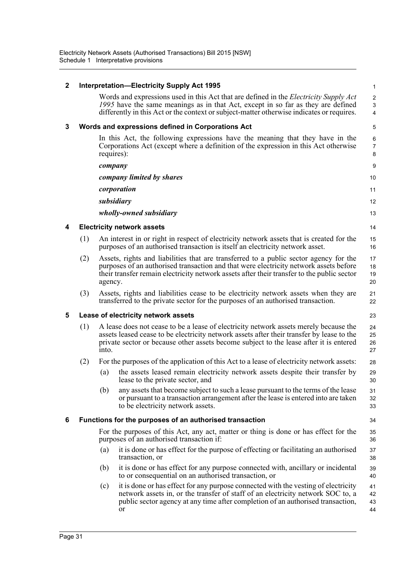| $\mathbf 2$<br><b>Interpretation-Electricity Supply Act 1995</b> |     |            |                                                                                                                                                                                                                                                                               |                            |
|------------------------------------------------------------------|-----|------------|-------------------------------------------------------------------------------------------------------------------------------------------------------------------------------------------------------------------------------------------------------------------------------|----------------------------|
|                                                                  |     |            | Words and expressions used in this Act that are defined in the <i>Electricity Supply Act</i><br>1995 have the same meanings as in that Act, except in so far as they are defined<br>differently in this Act or the context or subject-matter otherwise indicates or requires. | $\overline{c}$<br>3<br>4   |
| 3<br>Words and expressions defined in Corporations Act           |     |            |                                                                                                                                                                                                                                                                               | 5                          |
|                                                                  |     | requires): | In this Act, the following expressions have the meaning that they have in the<br>Corporations Act (except where a definition of the expression in this Act otherwise                                                                                                          | 6<br>$\boldsymbol{7}$<br>8 |
|                                                                  |     | company    |                                                                                                                                                                                                                                                                               | 9                          |
|                                                                  |     |            | company limited by shares                                                                                                                                                                                                                                                     | 10                         |
|                                                                  |     |            | corporation                                                                                                                                                                                                                                                                   | 11                         |
|                                                                  |     |            | subsidiary                                                                                                                                                                                                                                                                    | 12                         |
|                                                                  |     |            | wholly-owned subsidiary                                                                                                                                                                                                                                                       | 13                         |
| 4                                                                |     |            | <b>Electricity network assets</b>                                                                                                                                                                                                                                             | 14                         |
|                                                                  | (1) |            | An interest in or right in respect of electricity network assets that is created for the<br>purposes of an authorised transaction is itself an electricity network asset.                                                                                                     | 15<br>16                   |
|                                                                  | (2) | agency.    | Assets, rights and liabilities that are transferred to a public sector agency for the<br>purposes of an authorised transaction and that were electricity network assets before<br>their transfer remain electricity network assets after their transfer to the public sector  | 17<br>18<br>19<br>20       |
|                                                                  | (3) |            | Assets, rights and liabilities cease to be electricity network assets when they are<br>transferred to the private sector for the purposes of an authorised transaction.                                                                                                       | 21<br>22                   |
| 5                                                                |     |            | Lease of electricity network assets                                                                                                                                                                                                                                           | 23                         |
|                                                                  | (1) | into.      | A lease does not cease to be a lease of electricity network assets merely because the<br>assets leased cease to be electricity network assets after their transfer by lease to the<br>private sector or because other assets become subject to the lease after it is entered  | 24<br>25<br>26<br>27       |
|                                                                  | (2) |            | For the purposes of the application of this Act to a lease of electricity network assets:                                                                                                                                                                                     | 28                         |
|                                                                  |     | (a)        | the assets leased remain electricity network assets despite their transfer by<br>lease to the private sector, and                                                                                                                                                             | 29<br>30                   |
|                                                                  |     | (b)        | any assets that become subject to such a lease pursuant to the terms of the lease<br>or pursuant to a transaction arrangement after the lease is entered into are taken<br>to be electricity network assets.                                                                  | 31<br>32<br>33             |
| 6                                                                |     |            | Functions for the purposes of an authorised transaction                                                                                                                                                                                                                       | 34                         |
|                                                                  |     |            | For the purposes of this Act, any act, matter or thing is done or has effect for the<br>purposes of an authorised transaction if:                                                                                                                                             | 35<br>36                   |
|                                                                  |     | (a)        | it is done or has effect for the purpose of effecting or facilitating an authorised<br>transaction, or                                                                                                                                                                        | 37<br>38                   |
|                                                                  |     | (b)        | it is done or has effect for any purpose connected with, ancillary or incidental<br>to or consequential on an authorised transaction, or                                                                                                                                      | 39<br>40                   |
|                                                                  |     | (c)        | it is done or has effect for any purpose connected with the vesting of electricity<br>network assets in, or the transfer of staff of an electricity network SOC to, a<br>public sector agency at any time after completion of an authorised transaction,<br>or                | 41<br>42<br>43<br>44       |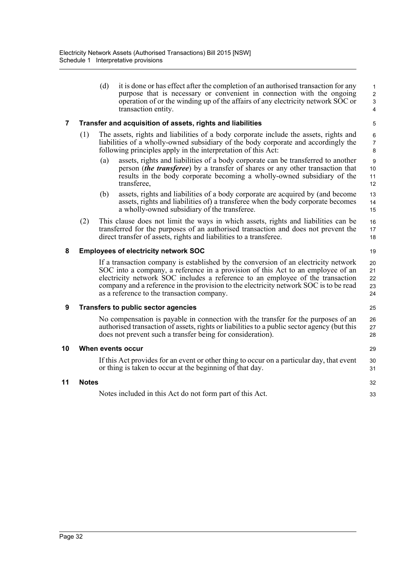| (d) | it is done or has effect after the completion of an authorised transaction for any                                                                                               |
|-----|----------------------------------------------------------------------------------------------------------------------------------------------------------------------------------|
|     | purpose that is necessary or convenient in connection with the ongoing<br>operation of or the winding up of the affairs of any electricity network SOC or<br>transaction entity. |

19

25

29

32 33

#### **7 Transfer and acquisition of assets, rights and liabilities**

- (1) The assets, rights and liabilities of a body corporate include the assets, rights and liabilities of a wholly-owned subsidiary of the body corporate and accordingly the following principles apply in the interpretation of this Act:
	- (a) assets, rights and liabilities of a body corporate can be transferred to another person (*the transferee*) by a transfer of shares or any other transaction that results in the body corporate becoming a wholly-owned subsidiary of the transferee,
	- (b) assets, rights and liabilities of a body corporate are acquired by (and become assets, rights and liabilities of) a transferee when the body corporate becomes a wholly-owned subsidiary of the transferee.
- (2) This clause does not limit the ways in which assets, rights and liabilities can be transferred for the purposes of an authorised transaction and does not prevent the direct transfer of assets, rights and liabilities to a transferee. 16 17 18

#### **8 Employees of electricity network SOC**

If a transaction company is established by the conversion of an electricity network SOC into a company, a reference in a provision of this Act to an employee of an electricity network SOC includes a reference to an employee of the transaction company and a reference in the provision to the electricity network SOC is to be read as a reference to the transaction company. 20 21 22 23 24

#### **9 Transfers to public sector agencies**

No compensation is payable in connection with the transfer for the purposes of an authorised transaction of assets, rights or liabilities to a public sector agency (but this does not prevent such a transfer being for consideration). 26 27 28

If this Act provides for an event or other thing to occur on a particular day, that event or thing is taken to occur at the beginning of that day. 30 31

#### **11 Notes**

Notes included in this Act do not form part of this Act.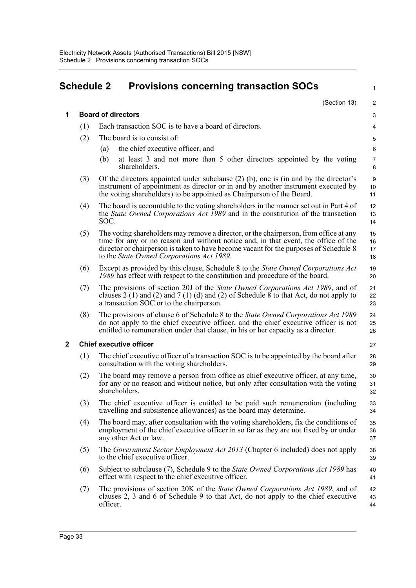| <b>Schedule 2</b><br><b>Provisions concerning transaction SOCs</b> |                           |          |                                                                                                                                                                                                                                                                                                                   | 1                            |
|--------------------------------------------------------------------|---------------------------|----------|-------------------------------------------------------------------------------------------------------------------------------------------------------------------------------------------------------------------------------------------------------------------------------------------------------------------|------------------------------|
|                                                                    |                           |          | (Section 13)                                                                                                                                                                                                                                                                                                      | 2                            |
| 1                                                                  | <b>Board of directors</b> |          |                                                                                                                                                                                                                                                                                                                   |                              |
|                                                                    | (1)                       |          | Each transaction SOC is to have a board of directors.                                                                                                                                                                                                                                                             | 4                            |
|                                                                    | (2)                       |          | The board is to consist of:                                                                                                                                                                                                                                                                                       | 5                            |
|                                                                    |                           | (a)      | the chief executive officer, and                                                                                                                                                                                                                                                                                  | 6                            |
|                                                                    |                           | (b)      | at least 3 and not more than 5 other directors appointed by the voting<br>shareholders.                                                                                                                                                                                                                           | $\overline{7}$<br>8          |
|                                                                    | (3)                       |          | Of the directors appointed under subclause $(2)$ (b), one is (in and by the director's<br>instrument of appointment as director or in and by another instrument executed by<br>the voting shareholders) to be appointed as Chairperson of the Board.                                                              | $\boldsymbol{9}$<br>10<br>11 |
|                                                                    | (4)                       | SOC.     | The board is accountable to the voting shareholders in the manner set out in Part 4 of<br>the <i>State Owned Corporations Act 1989</i> and in the constitution of the transaction                                                                                                                                 | 12<br>13<br>14               |
|                                                                    | (5)                       |          | The voting shareholders may remove a director, or the chairperson, from office at any<br>time for any or no reason and without notice and, in that event, the office of the<br>director or chairperson is taken to have become vacant for the purposes of Schedule 8<br>to the State Owned Corporations Act 1989. | 15<br>16<br>17<br>18         |
|                                                                    | (6)                       |          | Except as provided by this clause, Schedule 8 to the <i>State Owned Corporations Act</i><br>1989 has effect with respect to the constitution and procedure of the board.                                                                                                                                          | 19<br>20                     |
|                                                                    | (7)                       |          | The provisions of section 20J of the State Owned Corporations Act 1989, and of<br>clauses 2 (1) and (2) and 7 (1) (d) and (2) of Schedule $\overline{8}$ to that Act, do not apply to<br>a transaction SOC or to the chairperson.                                                                                 | 21<br>22<br>23               |
|                                                                    | (8)                       |          | The provisions of clause 6 of Schedule 8 to the State Owned Corporations Act 1989<br>do not apply to the chief executive officer, and the chief executive officer is not<br>entitled to remuneration under that clause, in his or her capacity as a director.                                                     | 24<br>25<br>26               |
| $\mathbf{2}$                                                       |                           |          | <b>Chief executive officer</b>                                                                                                                                                                                                                                                                                    | 27                           |
|                                                                    | (1)                       |          | The chief executive officer of a transaction SOC is to be appointed by the board after<br>consultation with the voting shareholders.                                                                                                                                                                              | 28<br>29                     |
|                                                                    | (2)                       |          | The board may remove a person from office as chief executive officer, at any time,<br>for any or no reason and without notice, but only after consultation with the voting<br>shareholders.                                                                                                                       | 30<br>31<br>32               |
|                                                                    | (3)                       |          | The chief executive officer is entitled to be paid such remuneration (including<br>travelling and subsistence allowances) as the board may determine.                                                                                                                                                             | 33<br>34                     |
|                                                                    | (4)                       |          | The board may, after consultation with the voting shareholders, fix the conditions of<br>employment of the chief executive officer in so far as they are not fixed by or under<br>any other Act or law.                                                                                                           | 35<br>36<br>37               |
|                                                                    | (5)                       |          | The <i>Government Sector Employment Act 2013</i> (Chapter 6 included) does not apply<br>to the chief executive officer.                                                                                                                                                                                           | 38<br>39                     |
|                                                                    | (6)                       |          | Subject to subclause (7), Schedule 9 to the State Owned Corporations Act 1989 has<br>effect with respect to the chief executive officer.                                                                                                                                                                          | 40<br>41                     |
|                                                                    | (7)                       | officer. | The provisions of section 20K of the <i>State Owned Corporations Act 1989</i> , and of<br>clauses 2, 3 and 6 of Schedule 9 to that Act, do not apply to the chief executive                                                                                                                                       | 42<br>43<br>44               |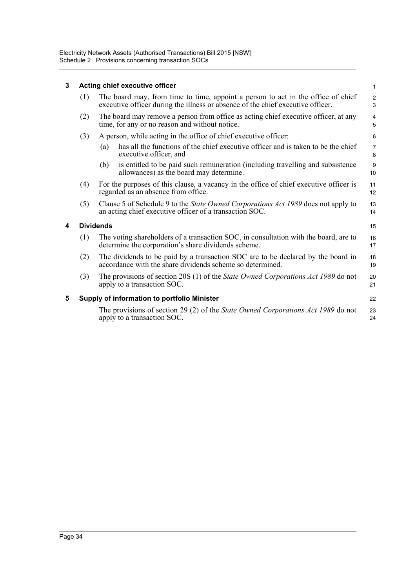## **3 Acting chief executive officer**

| 3 | Acting chief executive officer |                                                                                                                                                                     |                     |  |
|---|--------------------------------|---------------------------------------------------------------------------------------------------------------------------------------------------------------------|---------------------|--|
|   | (1)                            | The board may, from time to time, appoint a person to act in the office of chief<br>executive officer during the illness or absence of the chief executive officer. | 2<br>3              |  |
|   | (2)                            | The board may remove a person from office as acting chief executive officer, at any<br>time, for any or no reason and without notice.                               | $\overline{4}$<br>5 |  |
|   | (3)                            | A person, while acting in the office of chief executive officer:                                                                                                    |                     |  |
|   |                                | has all the functions of the chief executive officer and is taken to be the chief<br>(a)<br>executive officer, and                                                  | $\overline{7}$<br>8 |  |
|   |                                | is entitled to be paid such remuneration (including travelling and subsistence<br>(b)<br>allowances) as the board may determine.                                    | 9<br>10             |  |
|   | (4)                            | For the purposes of this clause, a vacancy in the office of chief executive officer is<br>regarded as an absence from office.                                       | 11<br>12            |  |
|   | (5)                            | Clause 5 of Schedule 9 to the <i>State Owned Corporations Act 1989</i> does not apply to<br>an acting chief executive officer of a transaction SOC.                 | 13<br>14            |  |
| 4 |                                | <b>Dividends</b>                                                                                                                                                    | 15                  |  |
|   | (1)                            | The voting shareholders of a transaction SOC, in consultation with the board, are to<br>determine the corporation's share dividends scheme.                         | 16<br>17            |  |
|   | (2)                            | The dividends to be paid by a transaction SOC are to be declared by the board in<br>accordance with the share dividends scheme so determined.                       | 18<br>19            |  |
|   | (3)                            | The provisions of section 20S (1) of the <i>State Owned Corporations Act 1989</i> do not<br>apply to a transaction SOC.                                             | 20<br>21            |  |
| 5 |                                | Supply of information to portfolio Minister                                                                                                                         | 22                  |  |
|   |                                | The provisions of section 29 (2) of the State Owned Corporations Act 1989 do not<br>apply to a transaction SOC.                                                     | 23<br>24            |  |
|   |                                |                                                                                                                                                                     |                     |  |

**4 Dividends**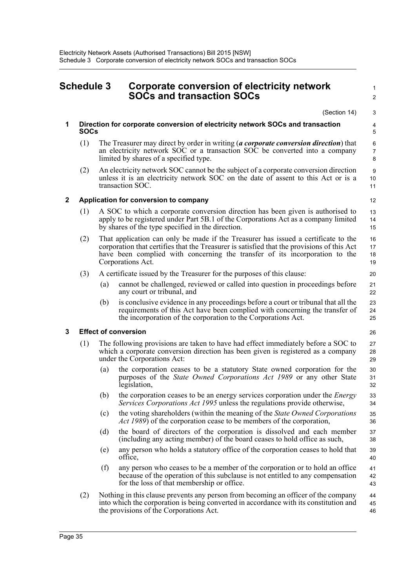| <b>Schedule 3</b> |             |                                                                                                                                                                                                      | Corporate conversion of electricity network<br><b>SOCs and transaction SOCs</b>                                                                                                                                                                                                      | 1<br>$\overline{2}$            |
|-------------------|-------------|------------------------------------------------------------------------------------------------------------------------------------------------------------------------------------------------------|--------------------------------------------------------------------------------------------------------------------------------------------------------------------------------------------------------------------------------------------------------------------------------------|--------------------------------|
|                   |             |                                                                                                                                                                                                      | (Section 14)                                                                                                                                                                                                                                                                         | 3                              |
| 1                 | <b>SOCs</b> |                                                                                                                                                                                                      | Direction for corporate conversion of electricity network SOCs and transaction                                                                                                                                                                                                       | 4<br>5                         |
|                   | (1)         |                                                                                                                                                                                                      | The Treasurer may direct by order in writing (a corporate conversion direction) that<br>an electricity network SOC or a transaction SOC be converted into a company<br>limited by shares of a specified type.                                                                        | 6<br>$\boldsymbol{7}$<br>8     |
|                   | (2)         |                                                                                                                                                                                                      | An electricity network SOC cannot be the subject of a corporate conversion direction<br>unless it is an electricity network SOC on the date of assent to this Act or is a<br>transaction SOC.                                                                                        | $\boldsymbol{9}$<br>$10$<br>11 |
| $\mathbf{2}$      |             |                                                                                                                                                                                                      | Application for conversion to company                                                                                                                                                                                                                                                | 12                             |
|                   | (1)         |                                                                                                                                                                                                      | A SOC to which a corporate conversion direction has been given is authorised to<br>apply to be registered under Part 5B.1 of the Corporations Act as a company limited<br>by shares of the type specified in the direction.                                                          | 13<br>14<br>15                 |
|                   | (2)         |                                                                                                                                                                                                      | That application can only be made if the Treasurer has issued a certificate to the<br>corporation that certifies that the Treasurer is satisfied that the provisions of this Act<br>have been complied with concerning the transfer of its incorporation to the<br>Corporations Act. | 16<br>17<br>18<br>19           |
|                   | (3)         |                                                                                                                                                                                                      | A certificate issued by the Treasurer for the purposes of this clause:                                                                                                                                                                                                               | 20                             |
|                   |             | (a)                                                                                                                                                                                                  | cannot be challenged, reviewed or called into question in proceedings before<br>any court or tribunal, and                                                                                                                                                                           | 21<br>22                       |
|                   |             | (b)                                                                                                                                                                                                  | is conclusive evidence in any proceedings before a court or tribunal that all the<br>requirements of this Act have been complied with concerning the transfer of<br>the incorporation of the corporation to the Corporations Act.                                                    | 23<br>24<br>25                 |
| 3                 |             |                                                                                                                                                                                                      | <b>Effect of conversion</b>                                                                                                                                                                                                                                                          | 26                             |
|                   | (1)         | The following provisions are taken to have had effect immediately before a SOC to<br>which a corporate conversion direction has been given is registered as a company<br>under the Corporations Act: |                                                                                                                                                                                                                                                                                      | 27<br>28<br>29                 |
|                   |             | (a)                                                                                                                                                                                                  | the corporation ceases to be a statutory State owned corporation for the<br>purposes of the State Owned Corporations Act 1989 or any other State<br>legislation,                                                                                                                     | 30<br>31<br>32                 |
|                   |             | (b)                                                                                                                                                                                                  | the corporation ceases to be an energy services corporation under the <i>Energy</i><br>Services Corporations Act 1995 unless the regulations provide otherwise,                                                                                                                      | 33<br>34                       |
|                   |             | (c)                                                                                                                                                                                                  | the voting shareholders (within the meaning of the State Owned Corporations<br><i>Act 1989</i> ) of the corporation cease to be members of the corporation,                                                                                                                          | 35<br>36                       |
|                   |             | (d)                                                                                                                                                                                                  | the board of directors of the corporation is dissolved and each member<br>(including any acting member) of the board ceases to hold office as such,                                                                                                                                  | 37<br>38                       |
|                   |             | (e)                                                                                                                                                                                                  | any person who holds a statutory office of the corporation ceases to hold that<br>office,                                                                                                                                                                                            | 39<br>40                       |
|                   |             | (f)                                                                                                                                                                                                  | any person who ceases to be a member of the corporation or to hold an office<br>because of the operation of this subclause is not entitled to any compensation<br>for the loss of that membership or office.                                                                         | 41<br>42<br>43                 |
|                   | (2)         |                                                                                                                                                                                                      | Nothing in this clause prevents any person from becoming an officer of the company<br>into which the corporation is being converted in accordance with its constitution and<br>the provisions of the Corporations Act.                                                               | 44<br>45<br>46                 |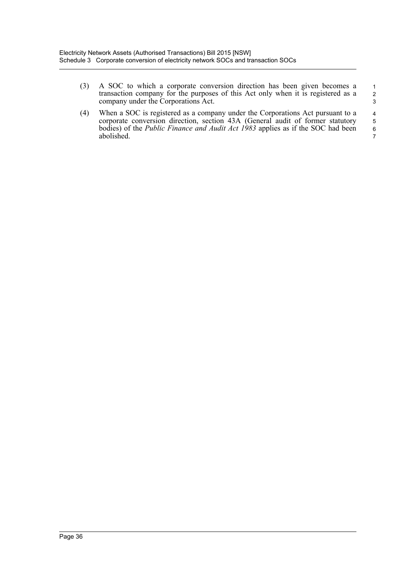- (3) A SOC to which a corporate conversion direction has been given becomes a transaction company for the purposes of this Act only when it is registered as a company under the Corporations Act. 1 2 3
- (4) When a SOC is registered as a company under the Corporations Act pursuant to a corporate conversion direction, section 43A (General audit of former statutory bodies) of the *Public Finance and Audit Act 1983* applies as if the SOC had been abolished. 4 5 6 7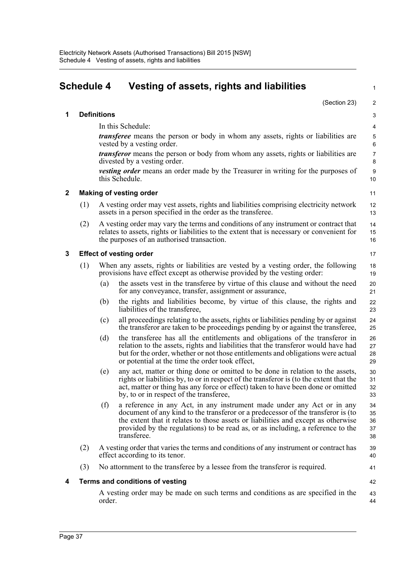|              | <b>Schedule 4</b> |                    | Vesting of assets, rights and liabilities                                                                                                                                                                                                                                                                                                         | 1                          |
|--------------|-------------------|--------------------|---------------------------------------------------------------------------------------------------------------------------------------------------------------------------------------------------------------------------------------------------------------------------------------------------------------------------------------------------|----------------------------|
|              |                   |                    | (Section 23)                                                                                                                                                                                                                                                                                                                                      | $\overline{\mathbf{c}}$    |
| 1            |                   | <b>Definitions</b> |                                                                                                                                                                                                                                                                                                                                                   | 3                          |
|              |                   |                    | In this Schedule:                                                                                                                                                                                                                                                                                                                                 | 4                          |
|              |                   |                    | <i>transferee</i> means the person or body in whom any assets, rights or liabilities are<br>vested by a vesting order.                                                                                                                                                                                                                            | 5<br>6                     |
|              |                   |                    | <i>transferor</i> means the person or body from whom any assets, rights or liabilities are<br>divested by a vesting order.                                                                                                                                                                                                                        | $\overline{7}$<br>8        |
|              |                   |                    | <i>vesting order</i> means an order made by the Treasurer in writing for the purposes of<br>this Schedule.                                                                                                                                                                                                                                        | 9<br>10                    |
| $\mathbf{2}$ |                   |                    | <b>Making of vesting order</b>                                                                                                                                                                                                                                                                                                                    | 11                         |
|              | (1)               |                    | A vesting order may vest assets, rights and liabilities comprising electricity network<br>assets in a person specified in the order as the transferee.                                                                                                                                                                                            | 12<br>13                   |
|              | (2)               |                    | A vesting order may vary the terms and conditions of any instrument or contract that<br>relates to assets, rights or liabilities to the extent that is necessary or convenient for<br>the purposes of an authorised transaction.                                                                                                                  | 14<br>15<br>16             |
| 3            |                   |                    | <b>Effect of vesting order</b>                                                                                                                                                                                                                                                                                                                    | 17                         |
|              | (1)               |                    | When any assets, rights or liabilities are vested by a vesting order, the following<br>provisions have effect except as otherwise provided by the vesting order:                                                                                                                                                                                  | 18<br>19                   |
|              |                   | (a)                | the assets vest in the transferee by virtue of this clause and without the need<br>for any conveyance, transfer, assignment or assurance,                                                                                                                                                                                                         | 20<br>21                   |
|              |                   | (b)                | the rights and liabilities become, by virtue of this clause, the rights and<br>liabilities of the transferee.                                                                                                                                                                                                                                     | 22<br>23                   |
|              |                   | (c)                | all proceedings relating to the assets, rights or liabilities pending by or against<br>the transferor are taken to be proceedings pending by or against the transferee,                                                                                                                                                                           | 24<br>25                   |
|              |                   | (d)                | the transferee has all the entitlements and obligations of the transferor in<br>relation to the assets, rights and liabilities that the transferor would have had<br>but for the order, whether or not those entitlements and obligations were actual<br>or potential at the time the order took effect,                                          | 26<br>27<br>28<br>29       |
|              |                   | (e)                | any act, matter or thing done or omitted to be done in relation to the assets,<br>rights or liabilities by, to or in respect of the transferor is (to the extent that the<br>act, matter or thing has any force or effect) taken to have been done or omitted<br>by, to or in respect of the transferee,                                          | 30<br>31<br>32<br>33       |
|              |                   | (f)                | a reference in any Act, in any instrument made under any Act or in any<br>document of any kind to the transferor or a predecessor of the transferor is (to<br>the extent that it relates to those assets or liabilities and except as otherwise<br>provided by the regulations) to be read as, or as including, a reference to the<br>transferee. | 34<br>35<br>36<br>37<br>38 |
|              | (2)               |                    | A vesting order that varies the terms and conditions of any instrument or contract has<br>effect according to its tenor.                                                                                                                                                                                                                          | 39<br>40                   |
|              | (3)               |                    | No attornment to the transferee by a lessee from the transferor is required.                                                                                                                                                                                                                                                                      | 41                         |
| 4            |                   |                    | Terms and conditions of vesting                                                                                                                                                                                                                                                                                                                   | 42                         |
|              |                   | order.             | A vesting order may be made on such terms and conditions as are specified in the                                                                                                                                                                                                                                                                  | 43<br>44                   |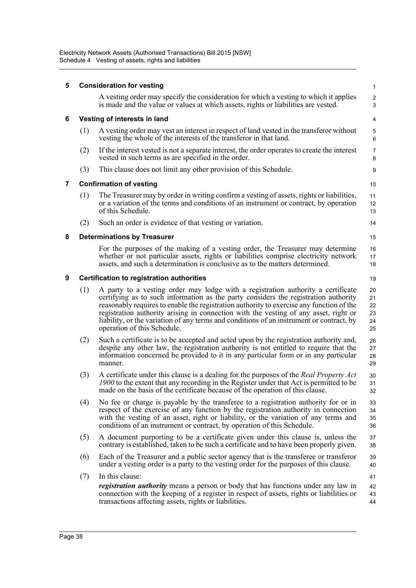| 5              |     | <b>Consideration for vesting</b>                                                                                                                                                                                                                                                                                                                                                                                                                                                       | $\mathbf{1}$                     |
|----------------|-----|----------------------------------------------------------------------------------------------------------------------------------------------------------------------------------------------------------------------------------------------------------------------------------------------------------------------------------------------------------------------------------------------------------------------------------------------------------------------------------------|----------------------------------|
|                |     | A vesting order may specify the consideration for which a vesting to which it applies<br>is made and the value or values at which assets, rights or liabilities are vested.                                                                                                                                                                                                                                                                                                            | $\overline{\mathbf{c}}$<br>3     |
| 6              |     | Vesting of interests in land                                                                                                                                                                                                                                                                                                                                                                                                                                                           | 4                                |
|                | (1) | A vesting order may vest an interest in respect of land vested in the transferor without<br>vesting the whole of the interests of the transferor in that land.                                                                                                                                                                                                                                                                                                                         | 5<br>6                           |
|                | (2) | If the interest vested is not a separate interest, the order operates to create the interest<br>vested in such terms as are specified in the order.                                                                                                                                                                                                                                                                                                                                    | 7<br>8                           |
|                | (3) | This clause does not limit any other provision of this Schedule.                                                                                                                                                                                                                                                                                                                                                                                                                       | 9                                |
| $\overline{7}$ |     | <b>Confirmation of vesting</b>                                                                                                                                                                                                                                                                                                                                                                                                                                                         | 10                               |
|                | (1) | The Treasurer may by order in writing confirm a vesting of assets, rights or liabilities,<br>or a variation of the terms and conditions of an instrument or contract, by operation<br>of this Schedule.                                                                                                                                                                                                                                                                                | 11<br>12<br>13                   |
|                | (2) | Such an order is evidence of that vesting or variation.                                                                                                                                                                                                                                                                                                                                                                                                                                | 14                               |
| 8              |     | <b>Determinations by Treasurer</b>                                                                                                                                                                                                                                                                                                                                                                                                                                                     | 15                               |
|                |     | For the purposes of the making of a vesting order, the Treasurer may determine<br>whether or not particular assets, rights or liabilities comprise electricity network<br>assets, and such a determination is conclusive as to the matters determined.                                                                                                                                                                                                                                 | 16<br>17<br>18                   |
| 9              |     | <b>Certification to registration authorities</b>                                                                                                                                                                                                                                                                                                                                                                                                                                       | 19                               |
|                | (1) | A party to a vesting order may lodge with a registration authority a certificate<br>certifying as to such information as the party considers the registration authority<br>reasonably requires to enable the registration authority to exercise any function of the<br>registration authority arising in connection with the vesting of any asset, right or<br>liability, or the variation of any terms and conditions of an instrument or contract, by<br>operation of this Schedule. | 20<br>21<br>22<br>23<br>24<br>25 |
|                | (2) | Such a certificate is to be accepted and acted upon by the registration authority and,<br>despite any other law, the registration authority is not entitled to require that the<br>information concerned be provided to it in any particular form or in any particular<br>manner.                                                                                                                                                                                                      | 26<br>27<br>28<br>29             |
|                | (3) | A certificate under this clause is a dealing for the purposes of the Real Property Act<br>1900 to the extent that any recording in the Register under that Act is permitted to be<br>made on the basis of the certificate because of the operation of this clause.                                                                                                                                                                                                                     | 30<br>31<br>32                   |
|                | (4) | No fee or charge is payable by the transferee to a registration authority for or in<br>respect of the exercise of any function by the registration authority in connection<br>with the vesting of an asset, right or liability, or the variation of any terms and<br>conditions of an instrument or contract, by operation of this Schedule.                                                                                                                                           | 33<br>34<br>35<br>36             |
|                | (5) | A document purporting to be a certificate given under this clause is, unless the<br>contrary is established, taken to be such a certificate and to have been properly given.                                                                                                                                                                                                                                                                                                           | 37<br>38                         |
|                | (6) | Each of the Treasurer and a public sector agency that is the transferee or transferor<br>under a vesting order is a party to the vesting order for the purposes of this clause.                                                                                                                                                                                                                                                                                                        | 39<br>40                         |
|                | (7) | In this clause:                                                                                                                                                                                                                                                                                                                                                                                                                                                                        | 41                               |
|                |     | registration authority means a person or body that has functions under any law in<br>connection with the keeping of a register in respect of assets, rights or liabilities or<br>transactions affecting assets, rights or liabilities.                                                                                                                                                                                                                                                 | 42<br>43<br>44                   |
|                |     |                                                                                                                                                                                                                                                                                                                                                                                                                                                                                        |                                  |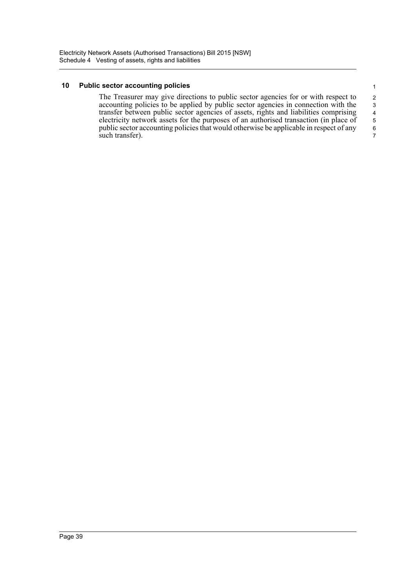#### **10 Public sector accounting policies**

The Treasurer may give directions to public sector agencies for or with respect to accounting policies to be applied by public sector agencies in connection with the transfer between public sector agencies of assets, rights and liabilities comprising electricity network assets for the purposes of an authorised transaction (in place of public sector accounting policies that would otherwise be applicable in respect of any such transfer). 5 6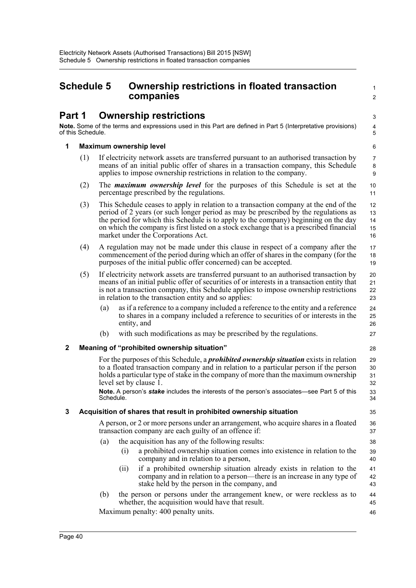## **Schedule 5 Ownership restrictions in floated transaction companies**

1  $\mathcal{L}$ 

46

# **Part 1 Ownership restrictions**

**Note.** Some of the terms and expressions used in this Part are defined in Part 5 (Interpretative provisions) of this Schedule.

#### **1 Maximum ownership level**

- (1) If electricity network assets are transferred pursuant to an authorised transaction by means of an initial public offer of shares in a transaction company, this Schedule applies to impose ownership restrictions in relation to the company.
- (2) The *maximum ownership level* for the purposes of this Schedule is set at the percentage prescribed by the regulations.
- (3) This Schedule ceases to apply in relation to a transaction company at the end of the period of 2 years (or such longer period as may be prescribed by the regulations as the period for which this Schedule is to apply to the company) beginning on the day on which the company is first listed on a stock exchange that is a prescribed financial market under the Corporations Act. 12 13  $14$ 15 16
- (4) A regulation may not be made under this clause in respect of a company after the commencement of the period during which an offer of shares in the company (for the purposes of the initial public offer concerned) can be accepted.
- (5) If electricity network assets are transferred pursuant to an authorised transaction by means of an initial public offer of securities of or interests in a transaction entity that is not a transaction company, this Schedule applies to impose ownership restrictions in relation to the transaction entity and so applies:
	- (a) as if a reference to a company included a reference to the entity and a reference to shares in a company included a reference to securities of or interests in the entity, and
	- (b) with such modifications as may be prescribed by the regulations.

#### **2 Meaning of "prohibited ownership situation"**

For the purposes of this Schedule, a *prohibited ownership situation* exists in relation to a floated transaction company and in relation to a particular person if the person holds a particular type of stake in the company of more than the maximum ownership level set by clause 1.

**Note.** A person's *stake* includes the interests of the person's associates—see Part 5 of this Schedule.

### **3 Acquisition of shares that result in prohibited ownership situation**

A person, or 2 or more persons under an arrangement, who acquire shares in a floated transaction company are each guilty of an offence if:

- (a) the acquisition has any of the following results:
	- (i) a prohibited ownership situation comes into existence in relation to the company and in relation to a person,
	- (ii) if a prohibited ownership situation already exists in relation to the company and in relation to a person—there is an increase in any type of stake held by the person in the company, and
- (b) the person or persons under the arrangement knew, or were reckless as to whether, the acquisition would have that result. 44 45

Maximum penalty: 400 penalty units.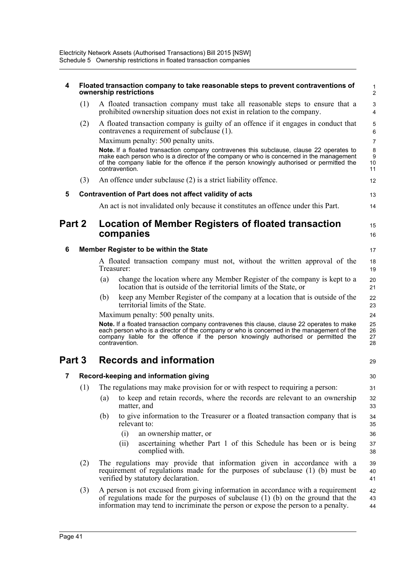| 4              |     | Floated transaction company to take reasonable steps to prevent contraventions of<br>ownership restrictions                                                                                                                                                                                        | 1<br>$\overline{\mathbf{c}}$ |
|----------------|-----|----------------------------------------------------------------------------------------------------------------------------------------------------------------------------------------------------------------------------------------------------------------------------------------------------|------------------------------|
|                | (1) | A floated transaction company must take all reasonable steps to ensure that a<br>prohibited ownership situation does not exist in relation to the company.                                                                                                                                         | 3<br>4                       |
|                | (2) | A floated transaction company is guilty of an offence if it engages in conduct that<br>contravenes a requirement of subclause (1).                                                                                                                                                                 | 5<br>6                       |
|                |     | Maximum penalty: 500 penalty units.                                                                                                                                                                                                                                                                | $\overline{7}$               |
|                |     | Note. If a floated transaction company contravenes this subclause, clause 22 operates to<br>make each person who is a director of the company or who is concerned in the management<br>of the company liable for the offence if the person knowingly authorised or permitted the<br>contravention. | 8<br>9<br>10<br>11           |
|                | (3) | An offence under subclause (2) is a strict liability offence.                                                                                                                                                                                                                                      | 12                           |
| 5              |     | Contravention of Part does not affect validity of acts                                                                                                                                                                                                                                             | 13                           |
|                |     | An act is not invalidated only because it constitutes an offence under this Part.                                                                                                                                                                                                                  | 14                           |
| Part 2         |     | Location of Member Registers of floated transaction<br>companies                                                                                                                                                                                                                                   | 15<br>16                     |
| 6              |     | Member Register to be within the State                                                                                                                                                                                                                                                             | 17                           |
|                |     | A floated transaction company must not, without the written approval of the<br>Treasurer:                                                                                                                                                                                                          | 18<br>19                     |
|                |     | change the location where any Member Register of the company is kept to a<br>(a)<br>location that is outside of the territorial limits of the State, or                                                                                                                                            | 20<br>21                     |
|                |     | keep any Member Register of the company at a location that is outside of the<br>(b)<br>territorial limits of the State.                                                                                                                                                                            | 22<br>23                     |
|                |     | Maximum penalty: 500 penalty units.                                                                                                                                                                                                                                                                | 24                           |
|                |     | Note. If a floated transaction company contravenes this clause, clause 22 operates to make<br>each person who is a director of the company or who is concerned in the management of the<br>company liable for the offence if the person knowingly authorised or permitted the<br>contravention.    | 25<br>26<br>27<br>28         |
| Part 3         |     | <b>Records and information</b>                                                                                                                                                                                                                                                                     | 29                           |
| $\overline{7}$ |     | Record-keeping and information giving                                                                                                                                                                                                                                                              | 30                           |
|                | (1) | The regulations may make provision for or with respect to requiring a person:                                                                                                                                                                                                                      | 31                           |
|                |     | to keep and retain records, where the records are relevant to an ownership<br>(a)<br>matter, and                                                                                                                                                                                                   | 32<br>33                     |
|                |     | to give information to the Treasurer or a floated transaction company that is<br>(b)<br>relevant to:                                                                                                                                                                                               | 34<br>35                     |
|                |     | (i)<br>an ownership matter, or                                                                                                                                                                                                                                                                     | 36                           |
|                |     | ascertaining whether Part 1 of this Schedule has been or is being<br>(ii)<br>complied with.                                                                                                                                                                                                        | 37<br>38                     |
|                | (2) | The regulations may provide that information given in accordance with a<br>requirement of regulations made for the purposes of subclause (1) (b) must be<br>verified by statutory declaration.                                                                                                     | 39<br>40<br>41               |
|                | (3) | A person is not excused from giving information in accordance with a requirement<br>of regulations made for the purposes of subclause $(1)$ (b) on the ground that the<br>information may tend to incriminate the person or expose the person to a penalty.                                        | 42<br>43<br>44               |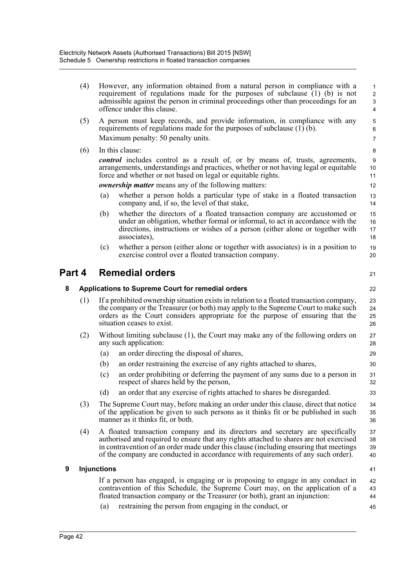|                                  | (4) |                    | However, any information obtained from a natural person in compliance with a<br>requirement of regulations made for the purposes of subclause (1) (b) is not<br>admissible against the person in criminal proceedings other than proceedings for an<br>offence under this clause.                                                                     | 1<br>$\overline{\mathbf{c}}$<br>3<br>4 |
|----------------------------------|-----|--------------------|-------------------------------------------------------------------------------------------------------------------------------------------------------------------------------------------------------------------------------------------------------------------------------------------------------------------------------------------------------|----------------------------------------|
|                                  | (5) |                    | A person must keep records, and provide information, in compliance with any<br>requirements of regulations made for the purposes of subclause $(1)$ (b).<br>Maximum penalty: 50 penalty units.                                                                                                                                                        | 5<br>6<br>$\overline{7}$               |
|                                  | (6) |                    | In this clause:                                                                                                                                                                                                                                                                                                                                       | 8                                      |
|                                  |     |                    | control includes control as a result of, or by means of, trusts, agreements,<br>arrangements, understandings and practices, whether or not having legal or equitable<br>force and whether or not based on legal or equitable rights.                                                                                                                  | 9<br>10<br>11                          |
|                                  |     |                    | <i>ownership matter</i> means any of the following matters:                                                                                                                                                                                                                                                                                           | 12                                     |
|                                  |     | (a)                | whether a person holds a particular type of stake in a floated transaction<br>company and, if so, the level of that stake,                                                                                                                                                                                                                            | 13<br>14                               |
|                                  |     | (b)                | whether the directors of a floated transaction company are accustomed or<br>under an obligation, whether formal or informal, to act in accordance with the<br>directions, instructions or wishes of a person (either alone or together with<br>associates),                                                                                           | 15<br>16<br>17<br>18                   |
|                                  |     | (c)                | whether a person (either alone or together with associates) is in a position to<br>exercise control over a floated transaction company.                                                                                                                                                                                                               | 19<br>20                               |
| <b>Remedial orders</b><br>Part 4 |     |                    | 21                                                                                                                                                                                                                                                                                                                                                    |                                        |
| 8                                |     |                    | Applications to Supreme Court for remedial orders                                                                                                                                                                                                                                                                                                     | 22                                     |
|                                  | (1) |                    | If a prohibited ownership situation exists in relation to a floated transaction company,                                                                                                                                                                                                                                                              | 23                                     |
|                                  |     |                    | the company or the Treasurer (or both) may apply to the Supreme Court to make such<br>orders as the Court considers appropriate for the purpose of ensuring that the<br>situation ceases to exist.                                                                                                                                                    | 24<br>25<br>26                         |
|                                  | (2) |                    | Without limiting subclause (1), the Court may make any of the following orders on<br>any such application:                                                                                                                                                                                                                                            | 27<br>28                               |
|                                  |     | (a)                | an order directing the disposal of shares,                                                                                                                                                                                                                                                                                                            | 29                                     |
|                                  |     | (b)                | an order restraining the exercise of any rights attached to shares,                                                                                                                                                                                                                                                                                   | 30                                     |
|                                  |     | (c)                | an order prohibiting or deferring the payment of any sums due to a person in<br>respect of shares held by the person,                                                                                                                                                                                                                                 | 31<br>32                               |
|                                  |     | (d)                | an order that any exercise of rights attached to shares be disregarded.                                                                                                                                                                                                                                                                               | 33                                     |
|                                  | (3) |                    | The Supreme Court may, before making an order under this clause, direct that notice<br>of the application be given to such persons as it thinks fit or be published in such<br>manner as it thinks fit, or both.                                                                                                                                      | 34<br>35<br>36                         |
|                                  | (4) |                    | A floated transaction company and its directors and secretary are specifically<br>authorised and required to ensure that any rights attached to shares are not exercised<br>in contravention of an order made under this clause (including ensuring that meetings<br>of the company are conducted in accordance with requirements of any such order). | 37<br>38<br>39<br>40                   |
| 9                                |     | <b>Injunctions</b> |                                                                                                                                                                                                                                                                                                                                                       | 41                                     |
|                                  |     |                    | If a person has engaged, is engaging or is proposing to engage in any conduct in<br>contravention of this Schedule, the Supreme Court may, on the application of a<br>floated transaction company or the Treasurer (or both), grant an injunction:                                                                                                    | 42<br>43<br>44                         |
|                                  |     | (a)                | restraining the person from engaging in the conduct, or                                                                                                                                                                                                                                                                                               | 45                                     |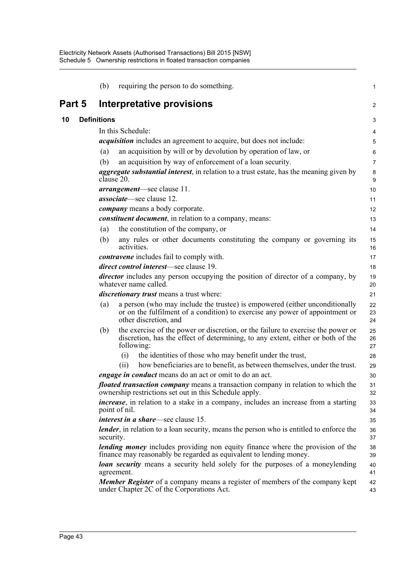|        | (b)                |                   | requiring the person to do something.                                                                                                                                                | $\mathbf{1}$          |
|--------|--------------------|-------------------|--------------------------------------------------------------------------------------------------------------------------------------------------------------------------------------|-----------------------|
| Part 5 |                    |                   | Interpretative provisions                                                                                                                                                            | 2                     |
| 10     | <b>Definitions</b> |                   |                                                                                                                                                                                      | 3                     |
|        |                    | In this Schedule: |                                                                                                                                                                                      | 4                     |
|        |                    |                   | <i>acquisition</i> includes an agreement to acquire, but does not include:                                                                                                           | $\mathbf 5$           |
|        | (a)                |                   | an acquisition by will or by devolution by operation of law, or                                                                                                                      | 6                     |
|        | (b)                |                   | an acquisition by way of enforcement of a loan security.                                                                                                                             | $\overline{7}$        |
|        |                    | clause 20.        | <i>aggregate substantial interest</i> , in relation to a trust estate, has the meaning given by                                                                                      | 8<br>$\boldsymbol{9}$ |
|        |                    |                   | <i>arrangement</i> —see clause 11.                                                                                                                                                   | 10                    |
|        |                    |                   | <i>associate</i> —see clause 12.                                                                                                                                                     | 11                    |
|        |                    |                   | <i>company</i> means a body corporate.                                                                                                                                               | 12                    |
|        |                    |                   | <i>constituent document</i> , in relation to a company, means:                                                                                                                       | 13                    |
|        | (a)                |                   | the constitution of the company, or                                                                                                                                                  | 14                    |
|        | (b)                | activities.       | any rules or other documents constituting the company or governing its                                                                                                               | 15<br>16              |
|        |                    |                   | <i>contravene</i> includes fail to comply with.                                                                                                                                      | 17                    |
|        |                    |                   | direct control interest-see clause 19.                                                                                                                                               | 18                    |
|        |                    |                   | <i>director</i> includes any person occupying the position of director of a company, by<br>whatever name called.                                                                     | 19<br>20              |
|        |                    |                   | <i>discretionary trust</i> means a trust where:                                                                                                                                      | 21                    |
|        | (a)                |                   | a person (who may include the trustee) is empowered (either unconditionally<br>or on the fulfilment of a condition) to exercise any power of appointment or<br>other discretion, and | 22<br>23<br>24        |
|        | (b)                |                   | the exercise of the power or discretion, or the failure to exercise the power or<br>discretion, has the effect of determining, to any extent, either or both of the<br>following:    | 25<br>26<br>27        |
|        |                    | (i)               | the identities of those who may benefit under the trust,                                                                                                                             | 28                    |
|        |                    | (ii)              | how beneficiaries are to benefit, as between themselves, under the trust.                                                                                                            | 29                    |
|        |                    |                   | <i>engage in conduct</i> means do an act or omit to do an act.                                                                                                                       | 30                    |
|        |                    |                   | <i>floated transaction company</i> means a transaction company in relation to which the<br>ownership restrictions set out in this Schedule apply.                                    | 31<br>32              |
|        |                    | point of nil.     | <i>increase</i> , in relation to a stake in a company, includes an increase from a starting                                                                                          | 33<br>34              |
|        |                    |                   | <i>interest in a share</i> —see clause 15.                                                                                                                                           | 35                    |
|        | security.          |                   | <i>lender</i> , in relation to a loan security, means the person who is entitled to enforce the                                                                                      | 36<br>37              |
|        |                    |                   | <i>lending money</i> includes providing non equity finance where the provision of the<br>finance may reasonably be regarded as equivalent to lending money.                          | 38<br>39              |
|        |                    | agreement.        | <b><i>loan security</i></b> means a security held solely for the purposes of a moneylending                                                                                          | 40<br>41              |
|        |                    |                   | <b>Member Register</b> of a company means a register of members of the company kept<br>under Chapter 2C of the Corporations Act.                                                     | 42<br>43              |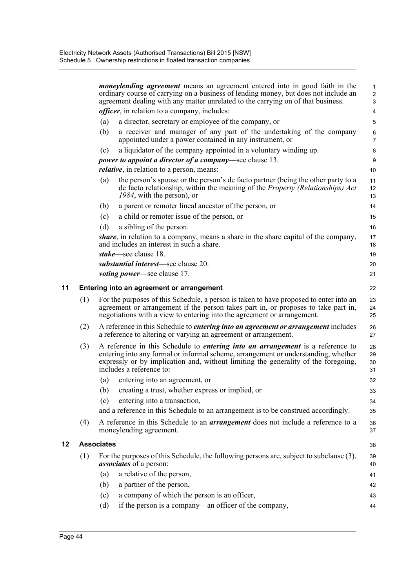|    |     |                   | <i>moneylending agreement</i> means an agreement entered into in good faith in the<br>ordinary course of carrying on a business of lending money, but does not include an<br>agreement dealing with any matter unrelated to the carrying on of that business.                                 | $\mathbf{1}$<br>$\overline{c}$<br>$\ensuremath{\mathsf{3}}$ |
|----|-----|-------------------|-----------------------------------------------------------------------------------------------------------------------------------------------------------------------------------------------------------------------------------------------------------------------------------------------|-------------------------------------------------------------|
|    |     |                   | <i>officer</i> , in relation to a company, includes:                                                                                                                                                                                                                                          | 4                                                           |
|    |     | (a)               | a director, secretary or employee of the company, or                                                                                                                                                                                                                                          | 5                                                           |
|    |     | (b)               | a receiver and manager of any part of the undertaking of the company                                                                                                                                                                                                                          | 6                                                           |
|    |     |                   | appointed under a power contained in any instrument, or                                                                                                                                                                                                                                       | $\overline{7}$                                              |
|    |     | (c)               | a liquidator of the company appointed in a voluntary winding up.                                                                                                                                                                                                                              | 8                                                           |
|    |     |                   | <i>power to appoint a director of a company</i> —see clause 13.                                                                                                                                                                                                                               | 9                                                           |
|    |     |                   | <i>relative</i> , in relation to a person, means:                                                                                                                                                                                                                                             | 10                                                          |
|    |     | (a)               | the person's spouse or the person's de facto partner (being the other party to a<br>de facto relationship, within the meaning of the <i>Property (Relationships) Act</i><br>1984, with the person), or                                                                                        | 11<br>12<br>13                                              |
|    |     | (b)               | a parent or remoter lineal ancestor of the person, or                                                                                                                                                                                                                                         | 14                                                          |
|    |     | (c)               | a child or remoter issue of the person, or                                                                                                                                                                                                                                                    | 15                                                          |
|    |     | (d)               | a sibling of the person.                                                                                                                                                                                                                                                                      | 16                                                          |
|    |     |                   | share, in relation to a company, means a share in the share capital of the company,<br>and includes an interest in such a share.                                                                                                                                                              | 17<br>18                                                    |
|    |     |                   | stake—see clause 18.                                                                                                                                                                                                                                                                          | 19                                                          |
|    |     |                   | substantial interest-see clause 20.                                                                                                                                                                                                                                                           | 20                                                          |
|    |     |                   | <i>voting power—see clause 17.</i>                                                                                                                                                                                                                                                            | 21                                                          |
| 11 |     |                   | Entering into an agreement or arrangement                                                                                                                                                                                                                                                     | 22                                                          |
|    | (1) |                   | For the purposes of this Schedule, a person is taken to have proposed to enter into an<br>agreement or arrangement if the person takes part in, or proposes to take part in,<br>negotiations with a view to entering into the agreement or arrangement.                                       | 23<br>24<br>25                                              |
|    | (2) |                   | A reference in this Schedule to <i>entering into an agreement or arrangement</i> includes<br>a reference to altering or varying an agreement or arrangement.                                                                                                                                  | 26<br>27                                                    |
|    | (3) |                   | A reference in this Schedule to <i>entering into an arrangement</i> is a reference to<br>entering into any formal or informal scheme, arrangement or understanding, whether<br>expressly or by implication and, without limiting the generality of the foregoing,<br>includes a reference to: | 28<br>29<br>30<br>31                                        |
|    |     | (a)               | entering into an agreement, or                                                                                                                                                                                                                                                                | 32                                                          |
|    |     |                   | (b) creating a trust, whether express or implied, or                                                                                                                                                                                                                                          | 33                                                          |
|    |     | (c)               | entering into a transaction,                                                                                                                                                                                                                                                                  | 34                                                          |
|    |     |                   | and a reference in this Schedule to an arrangement is to be construed accordingly.                                                                                                                                                                                                            | 35                                                          |
|    | (4) |                   | A reference in this Schedule to an <i>arrangement</i> does not include a reference to a<br>moneylending agreement.                                                                                                                                                                            | 36<br>37                                                    |
| 12 |     | <b>Associates</b> |                                                                                                                                                                                                                                                                                               | 38                                                          |
|    | (1) |                   | For the purposes of this Schedule, the following persons are, subject to subclause (3),<br><i>associates</i> of a person:                                                                                                                                                                     | 39<br>40                                                    |
|    |     | (a)               | a relative of the person,                                                                                                                                                                                                                                                                     | 41                                                          |
|    |     | (b)               | a partner of the person,                                                                                                                                                                                                                                                                      | 42                                                          |
|    |     | (c)               | a company of which the person is an officer,                                                                                                                                                                                                                                                  | 43                                                          |
|    |     | (d)               | if the person is a company-an officer of the company,                                                                                                                                                                                                                                         | 44                                                          |
|    |     |                   |                                                                                                                                                                                                                                                                                               |                                                             |

**12 Associates**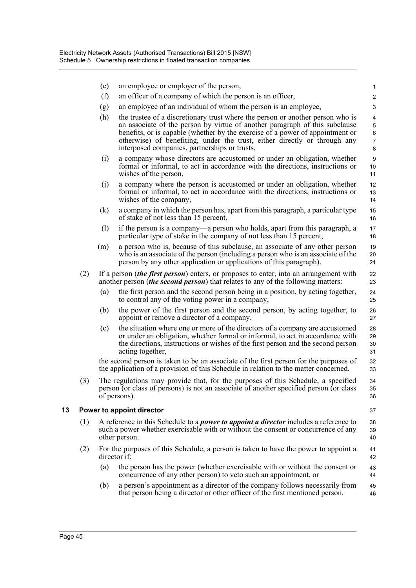|    |     | (e)          | an employee or employer of the person,                                                                                                                                                                                                                                                                                                                                       |                                                    |
|----|-----|--------------|------------------------------------------------------------------------------------------------------------------------------------------------------------------------------------------------------------------------------------------------------------------------------------------------------------------------------------------------------------------------------|----------------------------------------------------|
|    |     | (f)          | an officer of a company of which the person is an officer,                                                                                                                                                                                                                                                                                                                   | 1<br>$\overline{\mathbf{c}}$                       |
|    |     | (g)          | an employee of an individual of whom the person is an employee,                                                                                                                                                                                                                                                                                                              | 3                                                  |
|    |     | (h)          | the trustee of a discretionary trust where the person or another person who is<br>an associate of the person by virtue of another paragraph of this subclause<br>benefits, or is capable (whether by the exercise of a power of appointment or<br>otherwise) of benefiting, under the trust, either directly or through any<br>interposed companies, partnerships or trusts, | 4<br>$\mathbf 5$<br>$\,6\,$<br>$\overline{7}$<br>8 |
|    |     | (i)          | a company whose directors are accustomed or under an obligation, whether<br>formal or informal, to act in accordance with the directions, instructions or<br>wishes of the person,                                                                                                                                                                                           | $\boldsymbol{9}$<br>$10$<br>11                     |
|    |     | (j)          | a company where the person is accustomed or under an obligation, whether<br>formal or informal, to act in accordance with the directions, instructions or<br>wishes of the company,                                                                                                                                                                                          | 12<br>13<br>14                                     |
|    |     | (k)          | a company in which the person has, apart from this paragraph, a particular type<br>of stake of not less than 15 percent,                                                                                                                                                                                                                                                     | 15<br>16                                           |
|    |     | (1)          | if the person is a company—a person who holds, apart from this paragraph, a<br>particular type of stake in the company of not less than 15 percent,                                                                                                                                                                                                                          | 17<br>18                                           |
|    |     | (m)          | a person who is, because of this subclause, an associate of any other person<br>who is an associate of the person (including a person who is an associate of the<br>person by any other application or applications of this paragraph).                                                                                                                                      | 19<br>20<br>21                                     |
|    | (2) |              | If a person <i>(the first person)</i> enters, or proposes to enter, into an arrangement with<br>another person <i>(the second person)</i> that relates to any of the following matters:                                                                                                                                                                                      | 22<br>23                                           |
|    |     | (a)          | the first person and the second person being in a position, by acting together,<br>to control any of the voting power in a company,                                                                                                                                                                                                                                          | 24<br>25                                           |
|    |     | (b)          | the power of the first person and the second person, by acting together, to<br>appoint or remove a director of a company,                                                                                                                                                                                                                                                    | 26<br>27                                           |
|    |     | (c)          | the situation where one or more of the directors of a company are accustomed<br>or under an obligation, whether formal or informal, to act in accordance with<br>the directions, instructions or wishes of the first person and the second person<br>acting together,                                                                                                        | 28<br>29<br>30<br>31                               |
|    |     |              | the second person is taken to be an associate of the first person for the purposes of<br>the application of a provision of this Schedule in relation to the matter concerned.                                                                                                                                                                                                | 32<br>33                                           |
|    | (3) |              | The regulations may provide that, for the purposes of this Schedule, a specified<br>person (or class of persons) is not an associate of another specified person (or class<br>of persons).                                                                                                                                                                                   | 34<br>35<br>36                                     |
| 13 |     |              | Power to appoint director                                                                                                                                                                                                                                                                                                                                                    | 37                                                 |
|    | (1) |              | A reference in this Schedule to a <i>power to appoint a director</i> includes a reference to<br>such a power whether exercisable with or without the consent or concurrence of any<br>other person.                                                                                                                                                                          | 38<br>39<br>40                                     |
|    | (2) | director if: | For the purposes of this Schedule, a person is taken to have the power to appoint a                                                                                                                                                                                                                                                                                          | 41<br>42                                           |
|    |     | (a)          | the person has the power (whether exercisable with or without the consent or<br>concurrence of any other person) to veto such an appointment, or                                                                                                                                                                                                                             | 43<br>44                                           |
|    |     | (b)          | a person's appointment as a director of the company follows necessarily from<br>that person being a director or other officer of the first mentioned person.                                                                                                                                                                                                                 | 45<br>46                                           |
|    |     |              |                                                                                                                                                                                                                                                                                                                                                                              |                                                    |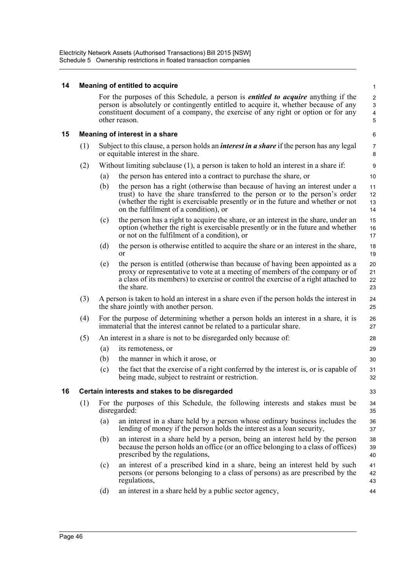Electricity Network Assets (Authorised Transactions) Bill 2015 [NSW] Schedule 5 Ownership restrictions in floated transaction companies

| 14 |                                                      |     | <b>Meaning of entitled to acquire</b>                                                                                                                                                                                                                                                   | 1                                               |  |  |  |
|----|------------------------------------------------------|-----|-----------------------------------------------------------------------------------------------------------------------------------------------------------------------------------------------------------------------------------------------------------------------------------------|-------------------------------------------------|--|--|--|
|    |                                                      |     | For the purposes of this Schedule, a person is <i>entitled to acquire</i> anything if the<br>person is absolutely or contingently entitled to acquire it, whether because of any<br>constituent document of a company, the exercise of any right or option or for any<br>other reason.  | $\sqrt{2}$<br>3<br>$\overline{\mathbf{4}}$<br>5 |  |  |  |
| 15 |                                                      |     | Meaning of interest in a share                                                                                                                                                                                                                                                          | 6                                               |  |  |  |
|    | (1)                                                  |     | Subject to this clause, a person holds an <i>interest in a share</i> if the person has any legal<br>or equitable interest in the share.                                                                                                                                                 | 7<br>8                                          |  |  |  |
|    | (2)                                                  |     | Without limiting subclause (1), a person is taken to hold an interest in a share if:                                                                                                                                                                                                    | $\boldsymbol{9}$                                |  |  |  |
|    |                                                      | (a) | the person has entered into a contract to purchase the share, or                                                                                                                                                                                                                        | 10                                              |  |  |  |
|    |                                                      | (b) | the person has a right (otherwise than because of having an interest under a<br>trust) to have the share transferred to the person or to the person's order<br>(whether the right is exercisable presently or in the future and whether or not<br>on the fulfilment of a condition), or | 11<br>12<br>13<br>14                            |  |  |  |
|    |                                                      | (c) | the person has a right to acquire the share, or an interest in the share, under an<br>option (whether the right is exercisable presently or in the future and whether<br>or not on the fulfilment of a condition), or                                                                   | 15<br>16<br>17                                  |  |  |  |
|    |                                                      | (d) | the person is otherwise entitled to acquire the share or an interest in the share,<br><sub>or</sub>                                                                                                                                                                                     | 18<br>19                                        |  |  |  |
|    |                                                      | (e) | the person is entitled (otherwise than because of having been appointed as a<br>proxy or representative to vote at a meeting of members of the company or of<br>a class of its members) to exercise or control the exercise of a right attached to<br>the share.                        | 20<br>21<br>22<br>23                            |  |  |  |
|    | (3)                                                  |     | A person is taken to hold an interest in a share even if the person holds the interest in<br>the share jointly with another person.                                                                                                                                                     | 24<br>25                                        |  |  |  |
|    | (4)                                                  |     | For the purpose of determining whether a person holds an interest in a share, it is<br>immaterial that the interest cannot be related to a particular share.                                                                                                                            | 26<br>27                                        |  |  |  |
|    | (5)                                                  |     | An interest in a share is not to be disregarded only because of:                                                                                                                                                                                                                        | 28                                              |  |  |  |
|    |                                                      | (a) | its remoteness, or                                                                                                                                                                                                                                                                      | 29                                              |  |  |  |
|    |                                                      | (b) | the manner in which it arose, or                                                                                                                                                                                                                                                        | 30                                              |  |  |  |
|    |                                                      | (c) | the fact that the exercise of a right conferred by the interest is, or is capable of<br>being made, subject to restraint or restriction.                                                                                                                                                | 31<br>32                                        |  |  |  |
| 16 | Certain interests and stakes to be disregarded<br>33 |     |                                                                                                                                                                                                                                                                                         |                                                 |  |  |  |
|    | (1)                                                  |     | For the purposes of this Schedule, the following interests and stakes must be<br>disregarded:                                                                                                                                                                                           | 34<br>35                                        |  |  |  |
|    |                                                      | (a) | an interest in a share held by a person whose ordinary business includes the<br>lending of money if the person holds the interest as a loan security,                                                                                                                                   | 36<br>37                                        |  |  |  |
|    |                                                      | (b) | an interest in a share held by a person, being an interest held by the person<br>because the person holds an office (or an office belonging to a class of offices)<br>prescribed by the regulations,                                                                                    | 38<br>39<br>40                                  |  |  |  |
|    |                                                      | (c) | an interest of a prescribed kind in a share, being an interest held by such<br>persons (or persons belonging to a class of persons) as are prescribed by the<br>regulations,                                                                                                            | 41<br>42<br>43                                  |  |  |  |
|    |                                                      | (d) | an interest in a share held by a public sector agency,                                                                                                                                                                                                                                  | 44                                              |  |  |  |
|    |                                                      |     |                                                                                                                                                                                                                                                                                         |                                                 |  |  |  |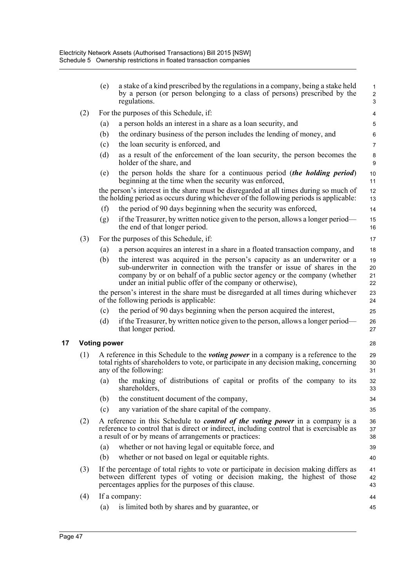|     | (e)                 | a stake of a kind prescribed by the regulations in a company, being a stake held<br>by a person (or person belonging to a class of persons) prescribed by the<br>regulations.                                                                                                                      | $\mathbf{1}$<br>$\overline{2}$<br>3 |
|-----|---------------------|----------------------------------------------------------------------------------------------------------------------------------------------------------------------------------------------------------------------------------------------------------------------------------------------------|-------------------------------------|
| (2) |                     | For the purposes of this Schedule, if:                                                                                                                                                                                                                                                             | 4                                   |
|     | (a)                 | a person holds an interest in a share as a loan security, and                                                                                                                                                                                                                                      | 5                                   |
|     | (b)                 | the ordinary business of the person includes the lending of money, and                                                                                                                                                                                                                             | 6                                   |
|     | (c)                 | the loan security is enforced, and                                                                                                                                                                                                                                                                 | $\overline{7}$                      |
|     | (d)                 | as a result of the enforcement of the loan security, the person becomes the<br>holder of the share, and                                                                                                                                                                                            | 8<br>9                              |
|     | (e)                 | the person holds the share for a continuous period (the holding period)<br>beginning at the time when the security was enforced,                                                                                                                                                                   | 10<br>11                            |
|     |                     | the person's interest in the share must be disregarded at all times during so much of<br>the holding period as occurs during whichever of the following periods is applicable:                                                                                                                     | 12<br>13                            |
|     | (f)                 | the period of 90 days beginning when the security was enforced,                                                                                                                                                                                                                                    | 14                                  |
|     | (g)                 | if the Treasurer, by written notice given to the person, allows a longer period—<br>the end of that longer period.                                                                                                                                                                                 | 15<br>16                            |
| (3) |                     | For the purposes of this Schedule, if:                                                                                                                                                                                                                                                             | 17                                  |
|     | (a)                 | a person acquires an interest in a share in a floated transaction company, and                                                                                                                                                                                                                     | 18                                  |
|     | (b)                 | the interest was acquired in the person's capacity as an underwriter or a<br>sub-underwriter in connection with the transfer or issue of shares in the<br>company by or on behalf of a public sector agency or the company (whether<br>under an initial public offer of the company or otherwise), | 19<br>20<br>21<br>22                |
|     |                     | the person's interest in the share must be disregarded at all times during whichever<br>of the following periods is applicable:                                                                                                                                                                    | 23<br>24                            |
|     | (c)                 | the period of 90 days beginning when the person acquired the interest,                                                                                                                                                                                                                             | 25                                  |
|     | (d)                 | if the Treasurer, by written notice given to the person, allows a longer period—<br>that longer period.                                                                                                                                                                                            | 26<br>27                            |
|     | <b>Voting power</b> |                                                                                                                                                                                                                                                                                                    | 28                                  |
| (1) |                     | A reference in this Schedule to the <i>voting power</i> in a company is a reference to the<br>total rights of shareholders to vote, or participate in any decision making, concerning<br>any of the following:                                                                                     | 29<br>30<br>31                      |
|     | (a)                 | the making of distributions of capital or profits of the company to its<br>shareholders,                                                                                                                                                                                                           | 32<br>33                            |
|     | (b)                 | the constituent document of the company,                                                                                                                                                                                                                                                           | 34                                  |
|     | (c)                 | any variation of the share capital of the company.                                                                                                                                                                                                                                                 | 35                                  |
| (2) |                     | A reference in this Schedule to <i>control of the voting power</i> in a company is a<br>reference to control that is direct or indirect, including control that is exercisable as<br>a result of or by means of arrangements or practices:                                                         | 36<br>37<br>38                      |
|     | (a)                 | whether or not having legal or equitable force, and                                                                                                                                                                                                                                                | 39                                  |
|     | (b)                 | whether or not based on legal or equitable rights.                                                                                                                                                                                                                                                 | 40                                  |
| (3) |                     | If the percentage of total rights to vote or participate in decision making differs as<br>between different types of voting or decision making, the highest of those<br>percentages applies for the purposes of this clause.                                                                       | 41<br>42<br>43                      |
| (4) |                     | If a company:                                                                                                                                                                                                                                                                                      | 44                                  |
|     | (a)                 | is limited both by shares and by guarantee, or                                                                                                                                                                                                                                                     | 45                                  |
|     |                     |                                                                                                                                                                                                                                                                                                    |                                     |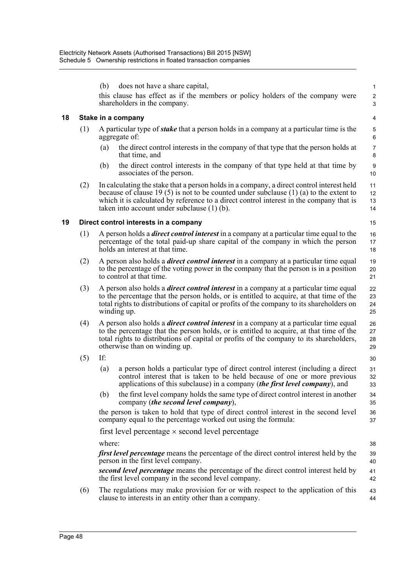|                                                                                                                                                                                                                                                                                      | $\mathbf{1}$                                                                                                                                                                         |
|--------------------------------------------------------------------------------------------------------------------------------------------------------------------------------------------------------------------------------------------------------------------------------------|--------------------------------------------------------------------------------------------------------------------------------------------------------------------------------------|
| this clause has effect as if the members or policy holders of the company were                                                                                                                                                                                                       | $\boldsymbol{2}$<br>$\mathsf 3$                                                                                                                                                      |
|                                                                                                                                                                                                                                                                                      | $\overline{4}$                                                                                                                                                                       |
| A particular type of <i>stake</i> that a person holds in a company at a particular time is the                                                                                                                                                                                       | $\mathbf 5$<br>$\,6\,$                                                                                                                                                               |
| the direct control interests in the company of that type that the person holds at                                                                                                                                                                                                    | $\boldsymbol{7}$<br>8                                                                                                                                                                |
| the direct control interests in the company of that type held at that time by                                                                                                                                                                                                        | $\boldsymbol{9}$<br>10                                                                                                                                                               |
| In calculating the stake that a person holds in a company, a direct control interest held<br>because of clause 19 (5) is not to be counted under subclause (1) (a) to the extent to<br>which it is calculated by reference to a direct control interest in the company that is       | 11<br>12<br>13<br>14                                                                                                                                                                 |
|                                                                                                                                                                                                                                                                                      | 15                                                                                                                                                                                   |
| A person holds a <i>direct control interest</i> in a company at a particular time equal to the<br>percentage of the total paid-up share capital of the company in which the person                                                                                                   | 16<br>17<br>18                                                                                                                                                                       |
| A person also holds a <i>direct control interest</i> in a company at a particular time equal<br>to the percentage of the voting power in the company that the person is in a position                                                                                                | 19<br>20<br>21                                                                                                                                                                       |
| A person also holds a <i>direct control interest</i> in a company at a particular time equal<br>to the percentage that the person holds, or is entitled to acquire, at that time of the<br>total rights to distributions of capital or profits of the company to its shareholders on | 22<br>23<br>24<br>25                                                                                                                                                                 |
| A person also holds a <i>direct control interest</i> in a company at a particular time equal<br>to the percentage that the person holds, or is entitled to acquire, at that time of the<br>total rights to distributions of capital or profits of the company to its shareholders,   | 26<br>27<br>28<br>29                                                                                                                                                                 |
|                                                                                                                                                                                                                                                                                      | 30                                                                                                                                                                                   |
| a person holds a particular type of direct control interest (including a direct<br>control interest that is taken to be held because of one or more previous<br>applications of this subclause) in a company <i>(the first level company)</i> , and                                  | 31<br>32<br>33                                                                                                                                                                       |
| the first level company holds the same type of direct control interest in another                                                                                                                                                                                                    | 34<br>35                                                                                                                                                                             |
| the person is taken to hold that type of direct control interest in the second level<br>company equal to the percentage worked out using the formula:                                                                                                                                | 36<br>37                                                                                                                                                                             |
|                                                                                                                                                                                                                                                                                      |                                                                                                                                                                                      |
|                                                                                                                                                                                                                                                                                      | 38                                                                                                                                                                                   |
|                                                                                                                                                                                                                                                                                      | 39<br>40                                                                                                                                                                             |
|                                                                                                                                                                                                                                                                                      | 41<br>42                                                                                                                                                                             |
| The regulations may make provision for or with respect to the application of this                                                                                                                                                                                                    | 43<br>44                                                                                                                                                                             |
|                                                                                                                                                                                                                                                                                      | <i>first level percentage</i> means the percentage of the direct control interest held by the<br>second level percentage means the percentage of the direct control interest held by |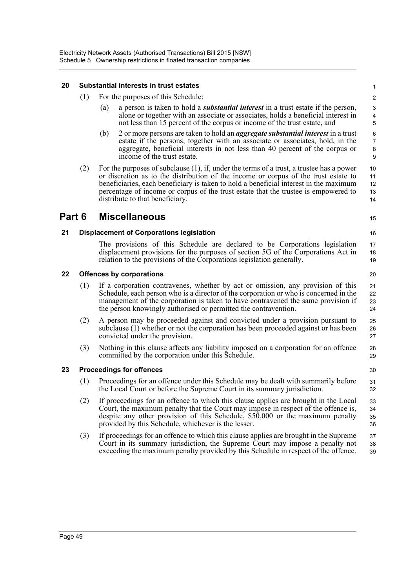#### **20 Substantial interests in trust estates**

- (1) For the purposes of this Schedule:
	- (a) a person is taken to hold a *substantial interest* in a trust estate if the person, alone or together with an associate or associates, holds a beneficial interest in not less than 15 percent of the corpus or income of the trust estate, and

15

16

30 31 32

- (b) 2 or more persons are taken to hold an *aggregate substantial interest* in a trust estate if the persons, together with an associate or associates, hold, in the aggregate, beneficial interests in not less than 40 percent of the corpus or income of the trust estate.
- (2) For the purposes of subclause (1), if, under the terms of a trust, a trustee has a power or discretion as to the distribution of the income or corpus of the trust estate to beneficiaries, each beneficiary is taken to hold a beneficial interest in the maximum percentage of income or corpus of the trust estate that the trustee is empowered to distribute to that beneficiary. 10 11 12 13 14

# **Part 6 Miscellaneous**

**21 Displacement of Corporations legislation**

The provisions of this Schedule are declared to be Corporations legislation displacement provisions for the purposes of section 5G of the Corporations Act in relation to the provisions of the Corporations legislation generally. 17 18 19

#### **22 Offences by corporations**

- (1) If a corporation contravenes, whether by act or omission, any provision of this Schedule, each person who is a director of the corporation or who is concerned in the management of the corporation is taken to have contravened the same provision if the person knowingly authorised or permitted the contravention.
- (2) A person may be proceeded against and convicted under a provision pursuant to subclause (1) whether or not the corporation has been proceeded against or has been convicted under the provision. 25 26 27
- (3) Nothing in this clause affects any liability imposed on a corporation for an offence committed by the corporation under this Schedule. 28 29

#### **23 Proceedings for offences**

- (1) Proceedings for an offence under this Schedule may be dealt with summarily before the Local Court or before the Supreme Court in its summary jurisdiction.
- (2) If proceedings for an offence to which this clause applies are brought in the Local Court, the maximum penalty that the Court may impose in respect of the offence is, despite any other provision of this Schedule, \$50,000 or the maximum penalty provided by this Schedule, whichever is the lesser. 33 34 35 36
- (3) If proceedings for an offence to which this clause applies are brought in the Supreme Court in its summary jurisdiction, the Supreme Court may impose a penalty not exceeding the maximum penalty provided by this Schedule in respect of the offence. 37 38 39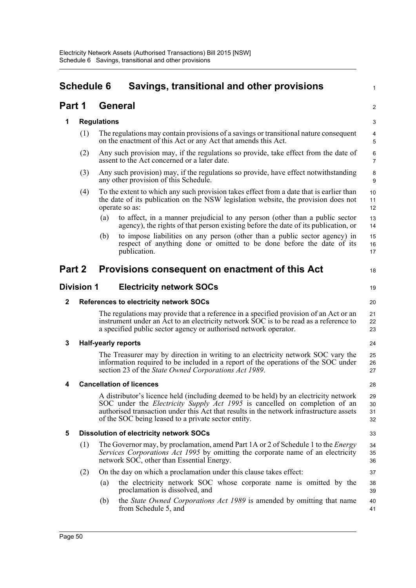|        | <b>Schedule 6</b> |                            | Savings, transitional and other provisions                                                                                                                                                                                                                                                                           | 1                    |
|--------|-------------------|----------------------------|----------------------------------------------------------------------------------------------------------------------------------------------------------------------------------------------------------------------------------------------------------------------------------------------------------------------|----------------------|
| Part 1 |                   | <b>General</b>             |                                                                                                                                                                                                                                                                                                                      | 2                    |
| 1      |                   | <b>Regulations</b>         |                                                                                                                                                                                                                                                                                                                      | 3                    |
|        | (1)               |                            | The regulations may contain provisions of a savings or transitional nature consequent<br>on the enactment of this Act or any Act that amends this Act.                                                                                                                                                               | 4<br>5               |
|        | (2)               |                            | Any such provision may, if the regulations so provide, take effect from the date of<br>assent to the Act concerned or a later date.                                                                                                                                                                                  | 6<br>$\overline{7}$  |
|        | (3)               |                            | Any such provision) may, if the regulations so provide, have effect notwithstanding<br>any other provision of this Schedule.                                                                                                                                                                                         | 8<br>9               |
|        | (4)               |                            | To the extent to which any such provision takes effect from a date that is earlier than<br>the date of its publication on the NSW legislation website, the provision does not<br>operate so as:                                                                                                                      | 10<br>11<br>12       |
|        |                   | (a)                        | to affect, in a manner prejudicial to any person (other than a public sector<br>agency), the rights of that person existing before the date of its publication, or                                                                                                                                                   | 13<br>14             |
|        |                   | (b)                        | to impose liabilities on any person (other than a public sector agency) in<br>respect of anything done or omitted to be done before the date of its<br>publication.                                                                                                                                                  | 15<br>16<br>17       |
| Part 2 |                   |                            | Provisions consequent on enactment of this Act                                                                                                                                                                                                                                                                       | 18                   |
|        | <b>Division 1</b> |                            | <b>Electricity network SOCs</b>                                                                                                                                                                                                                                                                                      | 19                   |
| 2      |                   |                            | <b>References to electricity network SOCs</b>                                                                                                                                                                                                                                                                        | 20                   |
|        |                   |                            | The regulations may provide that a reference in a specified provision of an Act or an<br>instrument under an Act to an electricity network SOC is to be read as a reference to<br>a specified public sector agency or authorised network operator.                                                                   | 21<br>22<br>23       |
| 3      |                   | <b>Half-yearly reports</b> |                                                                                                                                                                                                                                                                                                                      | 24                   |
|        |                   |                            | The Treasurer may by direction in writing to an electricity network SOC vary the<br>information required to be included in a report of the operations of the SOC under<br>section 23 of the State Owned Corporations Act 1989.                                                                                       | 25<br>26<br>27       |
| 4      |                   |                            | <b>Cancellation of licences</b>                                                                                                                                                                                                                                                                                      | 28                   |
|        |                   |                            | A distributor's licence held (including deemed to be held) by an electricity network<br>SOC under the Electricity Supply Act 1995 is cancelled on completion of an<br>authorised transaction under this Act that results in the network infrastructure assets<br>of the SOC being leased to a private sector entity. | 29<br>30<br>31<br>32 |
| 5      |                   |                            | <b>Dissolution of electricity network SOCs</b>                                                                                                                                                                                                                                                                       | 33                   |
|        | (1)               |                            | The Governor may, by proclamation, amend Part 1A or 2 of Schedule 1 to the <i>Energy</i><br>Services Corporations Act 1995 by omitting the corporate name of an electricity<br>network SOC, other than Essential Energy.                                                                                             | 34<br>35<br>36       |
|        | (2)               |                            | On the day on which a proclamation under this clause takes effect:                                                                                                                                                                                                                                                   | 37                   |
|        |                   | (a)                        | the electricity network SOC whose corporate name is omitted by the<br>proclamation is dissolved, and                                                                                                                                                                                                                 | 38<br>39             |
|        |                   | (b)                        | the <i>State Owned Corporations Act 1989</i> is amended by omitting that name<br>from Schedule 5, and                                                                                                                                                                                                                | 40<br>41             |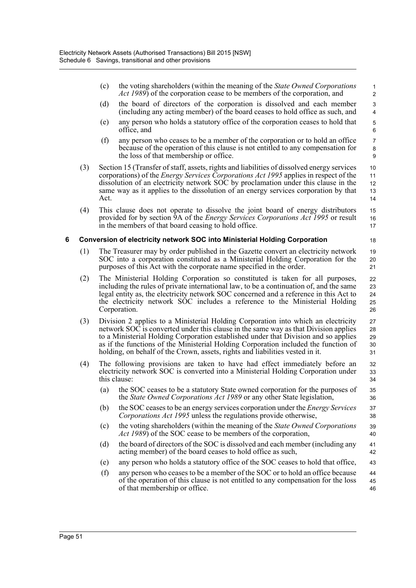- (c) the voting shareholders (within the meaning of the *State Owned Corporations Act 1989*) of the corporation cease to be members of the corporation, and (d) the board of directors of the corporation is dissolved and each member (including any acting member) of the board ceases to hold office as such, and (e) any person who holds a statutory office of the corporation ceases to hold that office, and (f) any person who ceases to be a member of the corporation or to hold an office because of the operation of this clause is not entitled to any compensation for the loss of that membership or office. (3) Section 15 (Transfer of staff, assets, rights and liabilities of dissolved energy services corporations) of the *Energy Services Corporations Act 1995* applies in respect of the dissolution of an electricity network SOC by proclamation under this clause in the same way as it applies to the dissolution of an energy services corporation by that Act. (4) This clause does not operate to dissolve the joint board of energy distributors provided for by section 9A of the *Energy Services Corporations Act 1995* or result in the members of that board ceasing to hold office. **6 Conversion of electricity network SOC into Ministerial Holding Corporation** (1) The Treasurer may by order published in the Gazette convert an electricity network SOC into a corporation constituted as a Ministerial Holding Corporation for the purposes of this Act with the corporate name specified in the order. (2) The Ministerial Holding Corporation so constituted is taken for all purposes, including the rules of private international law, to be a continuation of, and the same legal entity as, the electricity network SOC concerned and a reference in this Act to the electricity network SOC includes a reference to the Ministerial Holding Corporation. (3) Division 2 applies to a Ministerial Holding Corporation into which an electricity network SOC is converted under this clause in the same way as that Division applies to a Ministerial Holding Corporation established under that Division and so applies as if the functions of the Ministerial Holding Corporation included the function of holding, on behalf of the Crown, assets, rights and liabilities vested in it. (4) The following provisions are taken to have had effect immediately before an 1 2 3 4 5 6 7 8 9 10 11 12 13 14 15 16 17 18 19 20  $21$ 22 23 24 25 26 27 28 29 30 31 32 33
	- electricity network SOC is converted into a Ministerial Holding Corporation under this clause:
		- (a) the SOC ceases to be a statutory State owned corporation for the purposes of the *State Owned Corporations Act 1989* or any other State legislation,

- (b) the SOC ceases to be an energy services corporation under the *Energy Services Corporations Act 1995* unless the regulations provide otherwise, 37 38
- (c) the voting shareholders (within the meaning of the *State Owned Corporations Act 1989*) of the SOC cease to be members of the corporation, 39 40
- (d) the board of directors of the SOC is dissolved and each member (including any acting member) of the board ceases to hold office as such, 41 42
- (e) any person who holds a statutory office of the SOC ceases to hold that office, 43
- (f) any person who ceases to be a member of the SOC or to hold an office because of the operation of this clause is not entitled to any compensation for the loss of that membership or office. 44 45 46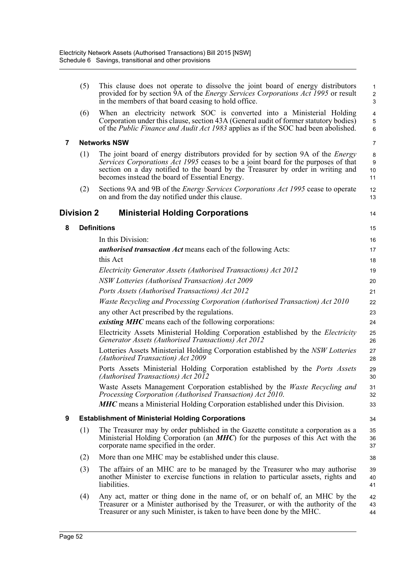|   | (5)        | This clause does not operate to dissolve the joint board of energy distributors<br>provided for by section 9A of the <i>Energy Services Corporations Act 1995</i> or result<br>in the members of that board ceasing to hold office.                                                                               | 1<br>$\overline{\mathbf{c}}$<br>3 |
|---|------------|-------------------------------------------------------------------------------------------------------------------------------------------------------------------------------------------------------------------------------------------------------------------------------------------------------------------|-----------------------------------|
|   | (6)        | When an electricity network SOC is converted into a Ministerial Holding<br>Corporation under this clause, section 43A (General audit of former statutory bodies)<br>of the Public Finance and Audit Act 1983 applies as if the SOC had been abolished.                                                            | 4<br>5<br>6                       |
| 7 |            | <b>Networks NSW</b>                                                                                                                                                                                                                                                                                               | 7                                 |
|   | (1)        | The joint board of energy distributors provided for by section 9A of the <i>Energy</i><br>Services Corporations Act 1995 ceases to be a joint board for the purposes of that<br>section on a day notified to the board by the Treasurer by order in writing and<br>becomes instead the board of Essential Energy. | 8<br>9<br>10<br>11                |
|   | (2)        | Sections 9A and 9B of the <i>Energy Services Corporations Act 1995</i> cease to operate<br>on and from the day notified under this clause.                                                                                                                                                                        | 12<br>13                          |
|   | Division 2 | <b>Ministerial Holding Corporations</b>                                                                                                                                                                                                                                                                           | 14                                |
| 8 |            | <b>Definitions</b>                                                                                                                                                                                                                                                                                                | 15                                |
|   |            | In this Division:                                                                                                                                                                                                                                                                                                 | 16                                |
|   |            | <b><i>authorised transaction Act</i></b> means each of the following Acts:                                                                                                                                                                                                                                        | 17                                |
|   |            | this Act                                                                                                                                                                                                                                                                                                          | 18                                |
|   |            | Electricity Generator Assets (Authorised Transactions) Act 2012                                                                                                                                                                                                                                                   | 19                                |
|   |            | NSW Lotteries (Authorised Transaction) Act 2009                                                                                                                                                                                                                                                                   | 20                                |
|   |            | Ports Assets (Authorised Transactions) Act 2012                                                                                                                                                                                                                                                                   | 21                                |
|   |            | Waste Recycling and Processing Corporation (Authorised Transaction) Act 2010                                                                                                                                                                                                                                      | 22                                |
|   |            | any other Act prescribed by the regulations.                                                                                                                                                                                                                                                                      | 23                                |
|   |            | <i>existing MHC</i> means each of the following corporations:                                                                                                                                                                                                                                                     | 24                                |
|   |            | Electricity Assets Ministerial Holding Corporation established by the <i>Electricity</i><br>Generator Assets (Authorised Transactions) Act 2012                                                                                                                                                                   | 25<br>26                          |
|   |            | Lotteries Assets Ministerial Holding Corporation established by the NSW Lotteries<br>(Authorised Transaction) Act 2009                                                                                                                                                                                            | 27<br>28                          |
|   |            | Ports Assets Ministerial Holding Corporation established by the Ports Assets<br>(Authorised Transactions) Act 2012                                                                                                                                                                                                | 29<br>30                          |
|   |            | Waste Assets Management Corporation established by the Waste Recycling and<br>Processing Corporation (Authorised Transaction) Act 2010.                                                                                                                                                                           | 31<br>32                          |
|   |            | <b>MHC</b> means a Ministerial Holding Corporation established under this Division.                                                                                                                                                                                                                               | 33                                |
| 9 |            | <b>Establishment of Ministerial Holding Corporations</b>                                                                                                                                                                                                                                                          | 34                                |
|   | (1)        | The Treasurer may by order published in the Gazette constitute a corporation as a<br>Ministerial Holding Corporation (an <i>MHC</i> ) for the purposes of this Act with the<br>corporate name specified in the order.                                                                                             | 35<br>36<br>37                    |
|   | (2)        | More than one MHC may be established under this clause.                                                                                                                                                                                                                                                           | 38                                |
|   | (3)        | The affairs of an MHC are to be managed by the Treasurer who may authorise<br>another Minister to exercise functions in relation to particular assets, rights and<br>liabilities.                                                                                                                                 | 39<br>40<br>41                    |
|   | (4)        | Any act, matter or thing done in the name of, or on behalf of, an MHC by the<br>Treasurer or a Minister authorised by the Treasurer, or with the authority of the<br>Treasurer or any such Minister, is taken to have been done by the MHC.                                                                       | 42<br>43<br>44                    |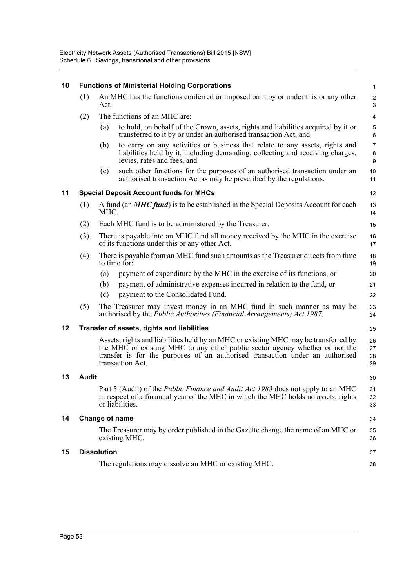| 10 |              | <b>Functions of Ministerial Holding Corporations</b>                                                                                                                                                                                                                     | 1                            |
|----|--------------|--------------------------------------------------------------------------------------------------------------------------------------------------------------------------------------------------------------------------------------------------------------------------|------------------------------|
|    | (1)          | An MHC has the functions conferred or imposed on it by or under this or any other<br>Act.                                                                                                                                                                                | $\overline{\mathbf{c}}$<br>3 |
|    | (2)          | The functions of an MHC are:                                                                                                                                                                                                                                             | 4                            |
|    |              | to hold, on behalf of the Crown, assets, rights and liabilities acquired by it or<br>(a)<br>transferred to it by or under an authorised transaction Act, and                                                                                                             | 5<br>6                       |
|    |              | to carry on any activities or business that relate to any assets, rights and<br>(b)<br>liabilities held by it, including demanding, collecting and receiving charges,<br>levies, rates and fees, and                                                                     | 7<br>8<br>9                  |
|    |              | such other functions for the purposes of an authorised transaction under an<br>(c)<br>authorised transaction Act as may be prescribed by the regulations.                                                                                                                | 10<br>11                     |
| 11 |              | <b>Special Deposit Account funds for MHCs</b>                                                                                                                                                                                                                            | 12                           |
|    | (1)          | A fund (an <b>MHC fund</b> ) is to be established in the Special Deposits Account for each<br>MHC.                                                                                                                                                                       | 13<br>14                     |
|    | (2)          | Each MHC fund is to be administered by the Treasurer.                                                                                                                                                                                                                    | 15                           |
|    | (3)          | There is payable into an MHC fund all money received by the MHC in the exercise<br>of its functions under this or any other Act.                                                                                                                                         | 16<br>17                     |
|    | (4)          | There is payable from an MHC fund such amounts as the Treasurer directs from time<br>to time for:                                                                                                                                                                        | 18<br>19                     |
|    |              | payment of expenditure by the MHC in the exercise of its functions, or<br>(a)                                                                                                                                                                                            | 20                           |
|    |              | payment of administrative expenses incurred in relation to the fund, or<br>(b)                                                                                                                                                                                           | 21                           |
|    |              | payment to the Consolidated Fund.<br>(c)                                                                                                                                                                                                                                 | 22                           |
|    | (5)          | The Treasurer may invest money in an MHC fund in such manner as may be<br>authorised by the Public Authorities (Financial Arrangements) Act 1987.                                                                                                                        | 23<br>24                     |
| 12 |              | Transfer of assets, rights and liabilities                                                                                                                                                                                                                               | 25                           |
|    |              | Assets, rights and liabilities held by an MHC or existing MHC may be transferred by<br>the MHC or existing MHC to any other public sector agency whether or not the<br>transfer is for the purposes of an authorised transaction under an authorised<br>transaction Act. | 26<br>27<br>28<br>29         |
| 13 | <b>Audit</b> |                                                                                                                                                                                                                                                                          | 30                           |
|    |              | Part 3 (Audit) of the <i>Public Finance and Audit Act 1983</i> does not apply to an MHC<br>in respect of a financial year of the MHC in which the MHC holds no assets, rights<br>or liabilities.                                                                         | 31<br>32<br>33               |
| 14 |              | Change of name                                                                                                                                                                                                                                                           | 34                           |
|    |              | The Treasurer may by order published in the Gazette change the name of an MHC or<br>existing MHC.                                                                                                                                                                        | 35<br>36                     |
| 15 |              | <b>Dissolution</b>                                                                                                                                                                                                                                                       | 37                           |
|    |              | The regulations may dissolve an MHC or existing MHC.                                                                                                                                                                                                                     | 38                           |
|    |              |                                                                                                                                                                                                                                                                          |                              |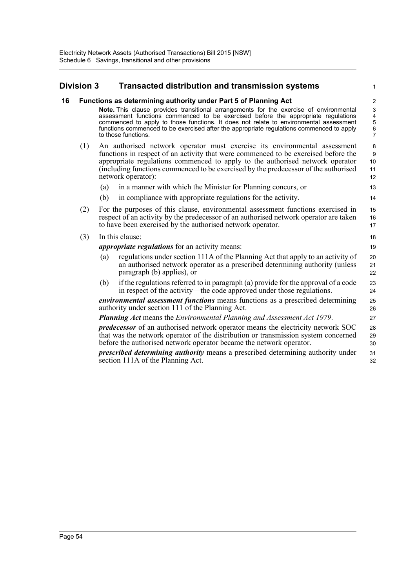# **Division 3 Transacted distribution and transmission systems**

| 16 |     | Functions as determining authority under Part 5 of Planning Act                                                                                                                                                                                                                                                                                                                                | $\overline{2}$                           |  |  |  |
|----|-----|------------------------------------------------------------------------------------------------------------------------------------------------------------------------------------------------------------------------------------------------------------------------------------------------------------------------------------------------------------------------------------------------|------------------------------------------|--|--|--|
|    |     | <b>Note.</b> This clause provides transitional arrangements for the exercise of environmental<br>assessment functions commenced to be exercised before the appropriate regulations<br>commenced to apply to those functions. It does not relate to environmental assessment<br>functions commenced to be exercised after the appropriate regulations commenced to apply<br>to those functions. | 3<br>4<br>5<br>$\,6\,$<br>$\overline{7}$ |  |  |  |
|    | (1) | An authorised network operator must exercise its environmental assessment<br>functions in respect of an activity that were commenced to be exercised before the<br>appropriate regulations commenced to apply to the authorised network operator<br>(including functions commenced to be exercised by the predecessor of the authorised<br>network operator):                                  |                                          |  |  |  |
|    |     | in a manner with which the Minister for Planning concurs, or<br>(a)                                                                                                                                                                                                                                                                                                                            | 13                                       |  |  |  |
|    |     | (b)<br>in compliance with appropriate regulations for the activity.                                                                                                                                                                                                                                                                                                                            | 14                                       |  |  |  |
|    | (2) | For the purposes of this clause, environmental assessment functions exercised in<br>respect of an activity by the predecessor of an authorised network operator are taken<br>to have been exercised by the authorised network operator.                                                                                                                                                        |                                          |  |  |  |
|    | (3) | In this clause:                                                                                                                                                                                                                                                                                                                                                                                |                                          |  |  |  |
|    |     | <i>appropriate regulations</i> for an activity means:                                                                                                                                                                                                                                                                                                                                          | 19                                       |  |  |  |
|    |     | regulations under section 111A of the Planning Act that apply to an activity of<br>(a)<br>an authorised network operator as a prescribed determining authority (unless<br>paragraph (b) applies), or                                                                                                                                                                                           | 20<br>21<br>22                           |  |  |  |
|    |     | if the regulations referred to in paragraph (a) provide for the approval of a code<br>(b)<br>in respect of the activity—the code approved under those regulations.                                                                                                                                                                                                                             | 23<br>24                                 |  |  |  |
|    |     | environmental assessment functions means functions as a prescribed determining<br>authority under section 111 of the Planning Act.                                                                                                                                                                                                                                                             | 25<br>26                                 |  |  |  |
|    |     | <b>Planning Act means the Environmental Planning and Assessment Act 1979.</b>                                                                                                                                                                                                                                                                                                                  |                                          |  |  |  |
|    |     | <i>predecessor</i> of an authorised network operator means the electricity network SOC<br>that was the network operator of the distribution or transmission system concerned<br>before the authorised network operator became the network operator.                                                                                                                                            |                                          |  |  |  |
|    |     | prescribed determining authority means a prescribed determining authority under<br>section 111A of the Planning Act.                                                                                                                                                                                                                                                                           |                                          |  |  |  |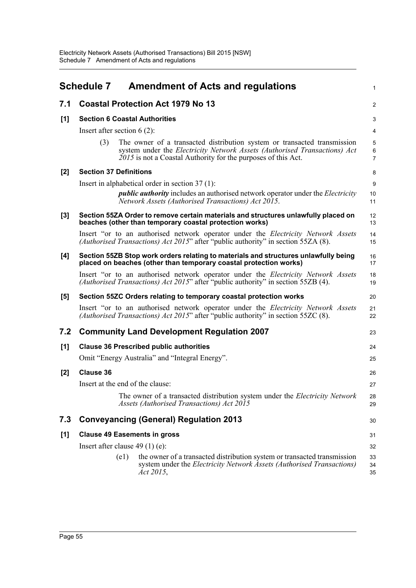|       | <b>Schedule 7</b>                    | <b>Amendment of Acts and regulations</b>                                                                                                                                                                               | 1                        |  |  |
|-------|--------------------------------------|------------------------------------------------------------------------------------------------------------------------------------------------------------------------------------------------------------------------|--------------------------|--|--|
| 7.1   |                                      | <b>Coastal Protection Act 1979 No 13</b>                                                                                                                                                                               | $\overline{2}$           |  |  |
| [1]   | <b>Section 6 Coastal Authorities</b> |                                                                                                                                                                                                                        |                          |  |  |
|       |                                      | Insert after section $6(2)$ :                                                                                                                                                                                          | $\overline{4}$           |  |  |
|       | (3)                                  | The owner of a transacted distribution system or transacted transmission<br>system under the Electricity Network Assets (Authorised Transactions) Act<br>2015 is not a Coastal Authority for the purposes of this Act. | 5<br>6<br>$\overline{7}$ |  |  |
| [2]   | <b>Section 37 Definitions</b>        |                                                                                                                                                                                                                        | 8                        |  |  |
|       |                                      | Insert in alphabetical order in section $37(1)$ :                                                                                                                                                                      | 9                        |  |  |
|       |                                      | <i>public authority</i> includes an authorised network operator under the <i>Electricity</i><br>Network Assets (Authorised Transactions) Act 2015.                                                                     | 10<br>11                 |  |  |
| [3]   |                                      | Section 55ZA Order to remove certain materials and structures unlawfully placed on<br>beaches (other than temporary coastal protection works)                                                                          | 12<br>13                 |  |  |
|       |                                      | Insert "or to an authorised network operator under the <i>Electricity Network Assets</i><br><i>(Authorised Transactions) Act 2015</i> " after "public authority" in section 55ZA $(8)$ .                               | 14<br>15                 |  |  |
| [4]   |                                      | Section 55ZB Stop work orders relating to materials and structures unlawfully being<br>placed on beaches (other than temporary coastal protection works)                                                               | 16<br>17                 |  |  |
|       |                                      | Insert "or to an authorised network operator under the <i>Electricity Network Assets</i><br>(Authorised Transactions) Act 2015" after "public authority" in section 55ZB (4).                                          | 18<br>19                 |  |  |
| [5]   |                                      | Section 55ZC Orders relating to temporary coastal protection works                                                                                                                                                     | 20                       |  |  |
|       |                                      | Insert "or to an authorised network operator under the <i>Electricity Network Assets</i><br>(Authorised Transactions) Act 2015" after "public authority" in section 55ZC (8).                                          | 21<br>22                 |  |  |
| 7.2   |                                      | <b>Community Land Development Regulation 2007</b>                                                                                                                                                                      | 23                       |  |  |
| [1]   |                                      | <b>Clause 36 Prescribed public authorities</b>                                                                                                                                                                         | 24                       |  |  |
|       |                                      | Omit "Energy Australia" and "Integral Energy".                                                                                                                                                                         | 25                       |  |  |
| $[2]$ | <b>Clause 36</b>                     |                                                                                                                                                                                                                        | 26                       |  |  |
|       |                                      | Insert at the end of the clause:                                                                                                                                                                                       | 27                       |  |  |
|       |                                      | The owner of a transacted distribution system under the Electricity Network<br>Assets (Authorised Transactions) Act 2015                                                                                               | 28<br>29                 |  |  |
| 7.3   |                                      | <b>Conveyancing (General) Regulation 2013</b>                                                                                                                                                                          | 30                       |  |  |
| [1]   |                                      | <b>Clause 49 Easements in gross</b>                                                                                                                                                                                    | 31                       |  |  |
|       |                                      | Insert after clause $49(1)(e)$ :                                                                                                                                                                                       | 32                       |  |  |
|       |                                      | the owner of a transacted distribution system or transacted transmission<br>(e1)<br>system under the <i>Electricity Network Assets</i> (Authorised Transactions)<br>Act 2015,                                          | 33<br>34<br>35           |  |  |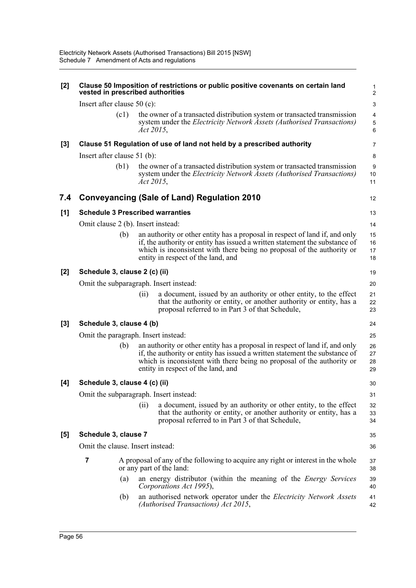| [2]   | Clause 50 Imposition of restrictions or public positive covenants on certain land<br>vested in prescribed authorities |                                                                                                                                                                                                                                                                            |                                   |  |  |
|-------|-----------------------------------------------------------------------------------------------------------------------|----------------------------------------------------------------------------------------------------------------------------------------------------------------------------------------------------------------------------------------------------------------------------|-----------------------------------|--|--|
|       | Insert after clause $50$ (c):                                                                                         |                                                                                                                                                                                                                                                                            | $\mathsf 3$                       |  |  |
|       | (c1)                                                                                                                  | the owner of a transacted distribution system or transacted transmission<br>system under the <i>Electricity Network Assets</i> (Authorised Transactions)<br>Act 2015,                                                                                                      | $\overline{\mathbf{4}}$<br>5<br>6 |  |  |
| $[3]$ |                                                                                                                       | Clause 51 Regulation of use of land not held by a prescribed authority                                                                                                                                                                                                     | 7                                 |  |  |
|       | Insert after clause $51$ (b):                                                                                         |                                                                                                                                                                                                                                                                            | 8                                 |  |  |
|       | (b1)                                                                                                                  | the owner of a transacted distribution system or transacted transmission<br>system under the Electricity Network Assets (Authorised Transactions)<br>Act 2015,                                                                                                             | 9<br>10<br>11                     |  |  |
| 7.4   |                                                                                                                       | <b>Conveyancing (Sale of Land) Regulation 2010</b>                                                                                                                                                                                                                         | 12                                |  |  |
| [1]   |                                                                                                                       | <b>Schedule 3 Prescribed warranties</b>                                                                                                                                                                                                                                    | 13                                |  |  |
|       | Omit clause 2 (b). Insert instead:                                                                                    |                                                                                                                                                                                                                                                                            | 14                                |  |  |
|       | (b)                                                                                                                   | an authority or other entity has a proposal in respect of land if, and only<br>if, the authority or entity has issued a written statement the substance of<br>which is inconsistent with there being no proposal of the authority or<br>entity in respect of the land, and | 15<br>16<br>17<br>18              |  |  |
| [2]   | Schedule 3, clause 2 (c) (ii)                                                                                         |                                                                                                                                                                                                                                                                            | 19                                |  |  |
|       |                                                                                                                       | Omit the subparagraph. Insert instead:                                                                                                                                                                                                                                     | 20                                |  |  |
|       |                                                                                                                       | a document, issued by an authority or other entity, to the effect<br>(i)<br>that the authority or entity, or another authority or entity, has a<br>proposal referred to in Part 3 of that Schedule,                                                                        | 21<br>22<br>23                    |  |  |
| $[3]$ | Schedule 3, clause 4 (b)                                                                                              |                                                                                                                                                                                                                                                                            | 24                                |  |  |
|       |                                                                                                                       | Omit the paragraph. Insert instead:                                                                                                                                                                                                                                        | 25                                |  |  |
|       | (b)                                                                                                                   | an authority or other entity has a proposal in respect of land if, and only<br>if, the authority or entity has issued a written statement the substance of<br>which is inconsistent with there being no proposal of the authority or<br>entity in respect of the land, and | 26<br>27<br>28<br>29              |  |  |
| [4]   | Schedule 3, clause 4 (c) (ii)                                                                                         |                                                                                                                                                                                                                                                                            | 30                                |  |  |
|       |                                                                                                                       | Omit the subparagraph. Insert instead:                                                                                                                                                                                                                                     | 31                                |  |  |
|       |                                                                                                                       | a document, issued by an authority or other entity, to the effect<br>(i)<br>that the authority or entity, or another authority or entity, has a<br>proposal referred to in Part 3 of that Schedule,                                                                        | 32<br>33<br>34                    |  |  |
| $[5]$ | Schedule 3, clause 7                                                                                                  |                                                                                                                                                                                                                                                                            |                                   |  |  |
|       | Omit the clause. Insert instead:                                                                                      |                                                                                                                                                                                                                                                                            |                                   |  |  |
|       | 7                                                                                                                     | A proposal of any of the following to acquire any right or interest in the whole<br>or any part of the land:                                                                                                                                                               | 37<br>38                          |  |  |
|       | (a)                                                                                                                   | an energy distributor (within the meaning of the <i>Energy Services</i><br>Corporations Act 1995),                                                                                                                                                                         | 39<br>40                          |  |  |
|       | (b)                                                                                                                   | an authorised network operator under the <i>Electricity Network Assets</i><br>(Authorised Transactions) Act 2015,                                                                                                                                                          | 41<br>42                          |  |  |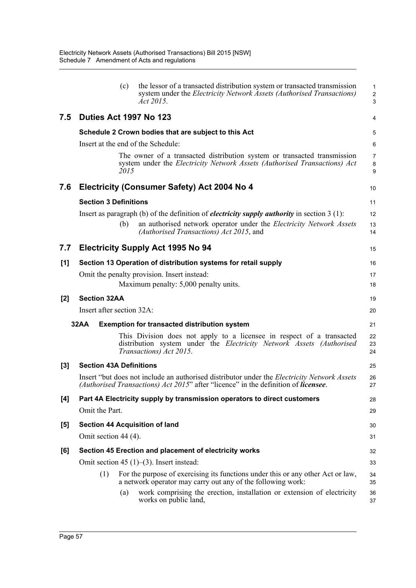|       | the lessor of a transacted distribution system or transacted transmission<br>(c)<br>system under the <i>Electricity Network Assets</i> (Authorised Transactions)<br><i>Act 2015.</i>             | $\mathbf{1}$<br>$\overline{c}$<br>3 |
|-------|--------------------------------------------------------------------------------------------------------------------------------------------------------------------------------------------------|-------------------------------------|
| 7.5   | Duties Act 1997 No 123                                                                                                                                                                           | 4                                   |
|       | Schedule 2 Crown bodies that are subject to this Act                                                                                                                                             | 5                                   |
|       | Insert at the end of the Schedule:                                                                                                                                                               | 6                                   |
|       | The owner of a transacted distribution system or transacted transmission<br>system under the Electricity Network Assets (Authorised Transactions) Act<br>2015                                    | $\overline{7}$<br>8<br>9            |
| 7.6   | Electricity (Consumer Safety) Act 2004 No 4                                                                                                                                                      | 10                                  |
|       | <b>Section 3 Definitions</b>                                                                                                                                                                     | 11                                  |
|       | Insert as paragraph (b) of the definition of <i>electricity supply authority</i> in section $3(1)$ :                                                                                             | 12                                  |
|       | an authorised network operator under the Electricity Network Assets<br>(b)<br>(Authorised Transactions) Act 2015, and                                                                            | 13<br>14                            |
| 7.7   | <b>Electricity Supply Act 1995 No 94</b>                                                                                                                                                         | 15                                  |
| [1]   | Section 13 Operation of distribution systems for retail supply                                                                                                                                   | 16                                  |
|       | Omit the penalty provision. Insert instead:                                                                                                                                                      | 17                                  |
|       | Maximum penalty: 5,000 penalty units.                                                                                                                                                            | 18                                  |
| $[2]$ | <b>Section 32AA</b>                                                                                                                                                                              | 19                                  |
|       | Insert after section 32A:                                                                                                                                                                        | 20                                  |
|       | <b>32AA</b><br><b>Exemption for transacted distribution system</b>                                                                                                                               | 21                                  |
|       | This Division does not apply to a licensee in respect of a transacted<br>distribution system under the Electricity Network Assets (Authorised<br>Transactions) Act 2015.                         | 22<br>23<br>24                      |
| $[3]$ | <b>Section 43A Definitions</b>                                                                                                                                                                   | 25                                  |
|       | Insert "but does not include an authorised distributor under the <i>Electricity Network Assets</i><br>(Authorised Transactions) Act 2015" after "licence" in the definition of <b>licensee</b> . | 26<br>27                            |
| $[4]$ | Part 4A Electricity supply by transmission operators to direct customers                                                                                                                         | 28                                  |
|       | Omit the Part.                                                                                                                                                                                   | 29                                  |
| [5]   | <b>Section 44 Acquisition of land</b>                                                                                                                                                            | 30                                  |
|       | Omit section 44 (4).                                                                                                                                                                             | 31                                  |
| [6]   | Section 45 Erection and placement of electricity works                                                                                                                                           | 32                                  |
|       | Omit section 45 $(1)$ – $(3)$ . Insert instead:                                                                                                                                                  | 33                                  |
|       | For the purpose of exercising its functions under this or any other Act or law,<br>(1)<br>a network operator may carry out any of the following work:                                            | 34<br>35                            |
|       | work comprising the erection, installation or extension of electricity<br>(a)<br>works on public land,                                                                                           | 36<br>37                            |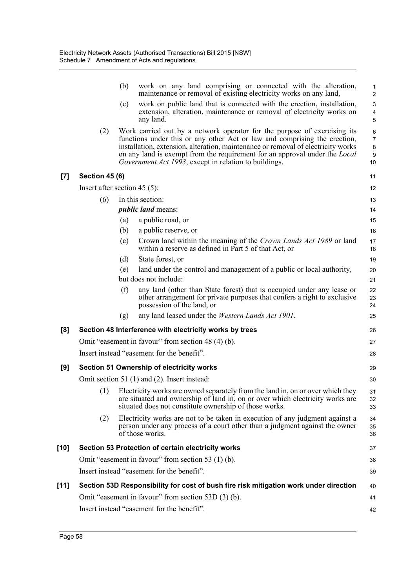|        |                                 | (b) | work on any land comprising or connected with the alteration,<br>maintenance or removal of existing electricity works on any land,                                                                                                                                                                                                                                                              | 1<br>$\overline{2}$                     |
|--------|---------------------------------|-----|-------------------------------------------------------------------------------------------------------------------------------------------------------------------------------------------------------------------------------------------------------------------------------------------------------------------------------------------------------------------------------------------------|-----------------------------------------|
|        |                                 | (c) | work on public land that is connected with the erection, installation,<br>extension, alteration, maintenance or removal of electricity works on<br>any land.                                                                                                                                                                                                                                    | $\ensuremath{\mathsf{3}}$<br>4<br>5     |
|        | (2)                             |     | Work carried out by a network operator for the purpose of exercising its<br>functions under this or any other Act or law and comprising the erection,<br>installation, extension, alteration, maintenance or removal of electricity works<br>on any land is exempt from the requirement for an approval under the <i>Local</i><br><i>Government Act 1993</i> , except in relation to buildings. | 6<br>$\overline{7}$<br>8<br>$9\,$<br>10 |
| $[7]$  | <b>Section 45 (6)</b>           |     |                                                                                                                                                                                                                                                                                                                                                                                                 | 11                                      |
|        | Insert after section 45 $(5)$ : |     |                                                                                                                                                                                                                                                                                                                                                                                                 | 12                                      |
|        | (6)                             |     | In this section:                                                                                                                                                                                                                                                                                                                                                                                | 13                                      |
|        |                                 |     | <i>public land</i> means:                                                                                                                                                                                                                                                                                                                                                                       | 14                                      |
|        |                                 | (a) | a public road, or                                                                                                                                                                                                                                                                                                                                                                               | 15                                      |
|        |                                 | (b) | a public reserve, or                                                                                                                                                                                                                                                                                                                                                                            | 16                                      |
|        |                                 | (c) | Crown land within the meaning of the Crown Lands Act 1989 or land<br>within a reserve as defined in Part 5 of that Act, or                                                                                                                                                                                                                                                                      | 17<br>18                                |
|        |                                 | (d) | State forest, or                                                                                                                                                                                                                                                                                                                                                                                | 19                                      |
|        |                                 | (e) | land under the control and management of a public or local authority,<br>but does not include:                                                                                                                                                                                                                                                                                                  | 20                                      |
|        |                                 | (f) | any land (other than State forest) that is occupied under any lease or                                                                                                                                                                                                                                                                                                                          | 21<br>22                                |
|        |                                 |     | other arrangement for private purposes that confers a right to exclusive<br>possession of the land, or                                                                                                                                                                                                                                                                                          | 23<br>24                                |
|        |                                 | (g) | any land leased under the <i>Western Lands Act 1901</i> .                                                                                                                                                                                                                                                                                                                                       | 25                                      |
| [8]    |                                 |     | Section 48 Interference with electricity works by trees                                                                                                                                                                                                                                                                                                                                         | 26                                      |
|        |                                 |     | Omit "easement in favour" from section 48 (4) (b).                                                                                                                                                                                                                                                                                                                                              | 27                                      |
|        |                                 |     | Insert instead "easement for the benefit".                                                                                                                                                                                                                                                                                                                                                      | 28                                      |
| [9]    |                                 |     | Section 51 Ownership of electricity works                                                                                                                                                                                                                                                                                                                                                       | 29                                      |
|        |                                 |     | Omit section 51 (1) and (2). Insert instead:                                                                                                                                                                                                                                                                                                                                                    | 30                                      |
|        |                                 |     | (1) Electricity works are owned separately from the land in, on or over which they<br>are situated and ownership of land in, on or over which electricity works are<br>situated does not constitute ownership of those works.                                                                                                                                                                   | 31<br>32<br>33                          |
|        | (2)                             |     | Electricity works are not to be taken in execution of any judgment against a<br>person under any process of a court other than a judgment against the owner<br>of those works.                                                                                                                                                                                                                  | 34<br>35<br>36                          |
| [10]   |                                 |     | Section 53 Protection of certain electricity works                                                                                                                                                                                                                                                                                                                                              | 37                                      |
|        |                                 |     | Omit "easement in favour" from section 53 (1) (b).                                                                                                                                                                                                                                                                                                                                              | 38                                      |
|        |                                 |     | Insert instead "easement for the benefit".                                                                                                                                                                                                                                                                                                                                                      | 39                                      |
| $[11]$ |                                 |     | Section 53D Responsibility for cost of bush fire risk mitigation work under direction                                                                                                                                                                                                                                                                                                           | 40                                      |
|        |                                 |     | Omit "easement in favour" from section 53D (3) (b).                                                                                                                                                                                                                                                                                                                                             | 41                                      |
|        |                                 |     | Insert instead "easement for the benefit".                                                                                                                                                                                                                                                                                                                                                      | 42                                      |
|        |                                 |     |                                                                                                                                                                                                                                                                                                                                                                                                 |                                         |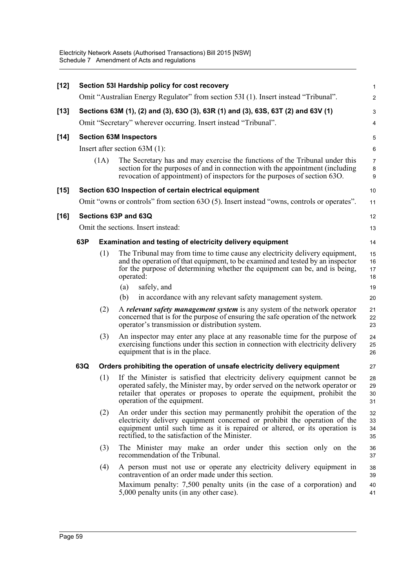| $[12]$ | Section 53I Hardship policy for cost recovery |                                                                 |                                                                                                                                                                                                                                                                                          |                          |  |  |
|--------|-----------------------------------------------|-----------------------------------------------------------------|------------------------------------------------------------------------------------------------------------------------------------------------------------------------------------------------------------------------------------------------------------------------------------------|--------------------------|--|--|
|        |                                               |                                                                 | Omit "Australian Energy Regulator" from section 53I (1). Insert instead "Tribunal".                                                                                                                                                                                                      | $\overline{2}$           |  |  |
| $[13]$ |                                               |                                                                 | Sections 63M (1), (2) and (3), 63O (3), 63R (1) and (3), 63S, 63T (2) and 63V (1)                                                                                                                                                                                                        | 3                        |  |  |
|        |                                               | Omit "Secretary" wherever occurring. Insert instead "Tribunal". |                                                                                                                                                                                                                                                                                          |                          |  |  |
| $[14]$ |                                               |                                                                 | <b>Section 63M Inspectors</b>                                                                                                                                                                                                                                                            | 5                        |  |  |
|        |                                               |                                                                 | Insert after section $63M(1)$ :                                                                                                                                                                                                                                                          | 6                        |  |  |
|        |                                               | (1A)                                                            | The Secretary has and may exercise the functions of the Tribunal under this<br>section for the purposes of and in connection with the appointment (including<br>revocation of appointment) of inspectors for the purposes of section 63O.                                                | $\overline{7}$<br>8<br>9 |  |  |
| $[15]$ |                                               |                                                                 | Section 63O Inspection of certain electrical equipment                                                                                                                                                                                                                                   | 10                       |  |  |
|        |                                               |                                                                 | Omit "owns or controls" from section 63O (5). Insert instead "owns, controls or operates".                                                                                                                                                                                               | 11                       |  |  |
| $[16]$ |                                               |                                                                 | Sections 63P and 63Q                                                                                                                                                                                                                                                                     | 12                       |  |  |
|        |                                               |                                                                 | Omit the sections. Insert instead:                                                                                                                                                                                                                                                       | 13                       |  |  |
|        | 63P                                           |                                                                 | <b>Examination and testing of electricity delivery equipment</b>                                                                                                                                                                                                                         | 14                       |  |  |
|        |                                               | (1)                                                             | The Tribunal may from time to time cause any electricity delivery equipment,<br>and the operation of that equipment, to be examined and tested by an inspector<br>for the purpose of determining whether the equipment can be, and is being,<br>operated:                                | 15<br>16<br>17<br>18     |  |  |
|        |                                               |                                                                 | safely, and<br>(a)                                                                                                                                                                                                                                                                       | 19                       |  |  |
|        |                                               |                                                                 | in accordance with any relevant safety management system.<br>(b)                                                                                                                                                                                                                         | 20                       |  |  |
|        |                                               | (2)                                                             | A <i>relevant safety management system</i> is any system of the network operator<br>concerned that is for the purpose of ensuring the safe operation of the network<br>operator's transmission or distribution system.                                                                   | 21<br>22<br>23           |  |  |
|        |                                               | (3)                                                             | An inspector may enter any place at any reasonable time for the purpose of<br>exercising functions under this section in connection with electricity delivery<br>equipment that is in the place.                                                                                         | 24<br>25<br>26           |  |  |
|        | 63Q                                           |                                                                 | Orders prohibiting the operation of unsafe electricity delivery equipment                                                                                                                                                                                                                | 27                       |  |  |
|        |                                               | (1)                                                             | If the Minister is satisfied that electricity delivery equipment cannot be<br>operated safely, the Minister may, by order served on the network operator or<br>retailer that operates or proposes to operate the equipment, prohibit the<br>operation of the equipment.                  | 28<br>29<br>30<br>31     |  |  |
|        |                                               | (2)                                                             | An order under this section may permanently prohibit the operation of the<br>electricity delivery equipment concerned or prohibit the operation of the<br>equipment until such time as it is repaired or altered, or its operation is<br>rectified, to the satisfaction of the Minister. | 32<br>33<br>34<br>35     |  |  |
|        |                                               | (3)                                                             | The Minister may make an order under this section only on the<br>recommendation of the Tribunal.                                                                                                                                                                                         | 36<br>37                 |  |  |
|        |                                               | (4)                                                             | A person must not use or operate any electricity delivery equipment in<br>contravention of an order made under this section.<br>Maximum penalty: 7,500 penalty units (in the case of a corporation) and<br>5,000 penalty units (in any other case).                                      | 38<br>39<br>40<br>41     |  |  |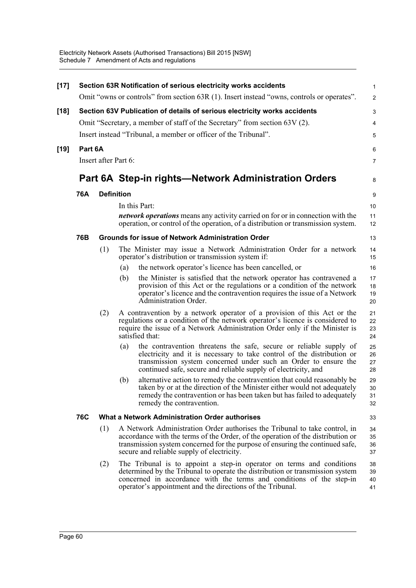| Omit "owns or controls" from section 63R (1). Insert instead "owns, controls or operates".<br>Section 63V Publication of details of serious electricity works accidents<br>$[18]$<br>Omit "Secretary, a member of staff of the Secretary" from section 63V (2).<br>Insert instead "Tribunal, a member or officer of the Tribunal".<br>Part 6A<br>$[19]$<br>Insert after Part 6:<br>Part 6A Step-in rights—Network Administration Orders<br><b>76A</b><br><b>Definition</b><br>In this Part:<br><i>network operations</i> means any activity carried on for or in connection with the<br>operation, or control of the operation, of a distribution or transmission system.<br>76B<br><b>Grounds for issue of Network Administration Order</b><br>The Minister may issue a Network Administration Order for a network<br>(1)<br>operator's distribution or transmission system if:<br>the network operator's licence has been cancelled, or<br>(a)<br>the Minister is satisfied that the network operator has contravened a<br>(b)<br>provision of this Act or the regulations or a condition of the network<br>operator's licence and the contravention requires the issue of a Network<br>Administration Order.<br>A contravention by a network operator of a provision of this Act or the<br>(2)<br>regulations or a condition of the network operator's licence is considered to<br>require the issue of a Network Administration Order only if the Minister is<br>satisfied that:<br>the contravention threatens the safe, secure or reliable supply of<br>(a)<br>electricity and it is necessary to take control of the distribution or<br>transmission system concerned under such an Order to ensure the<br>continued safe, secure and reliable supply of electricity, and<br>alternative action to remedy the contravention that could reasonably be<br>(b)<br>taken by or at the direction of the Minister either would not adequately<br>remedy the contravention or has been taken but has failed to adequately<br>remedy the contravention.<br>What a Network Administration Order authorises<br>76C<br>A Network Administration Order authorises the Tribunal to take control, in<br>(1)<br>accordance with the terms of the Order, of the operation of the distribution or<br>transmission system concerned for the purpose of ensuring the continued safe,<br>secure and reliable supply of electricity.<br>(2)<br>The Tribunal is to appoint a step-in operator on terms and conditions<br>determined by the Tribunal to operate the distribution or transmission system<br>concerned in accordance with the terms and conditions of the step-in<br>operator's appointment and the directions of the Tribunal. | $[17]$ |  |   | Section 63R Notification of serious electricity works accidents | 1                    |  |  |  |  |
|-------------------------------------------------------------------------------------------------------------------------------------------------------------------------------------------------------------------------------------------------------------------------------------------------------------------------------------------------------------------------------------------------------------------------------------------------------------------------------------------------------------------------------------------------------------------------------------------------------------------------------------------------------------------------------------------------------------------------------------------------------------------------------------------------------------------------------------------------------------------------------------------------------------------------------------------------------------------------------------------------------------------------------------------------------------------------------------------------------------------------------------------------------------------------------------------------------------------------------------------------------------------------------------------------------------------------------------------------------------------------------------------------------------------------------------------------------------------------------------------------------------------------------------------------------------------------------------------------------------------------------------------------------------------------------------------------------------------------------------------------------------------------------------------------------------------------------------------------------------------------------------------------------------------------------------------------------------------------------------------------------------------------------------------------------------------------------------------------------------------------------------------------------------------------------------------------------------------------------------------------------------------------------------------------------------------------------------------------------------------------------------------------------------------------------------------------------------------------------------------------------------------------------------------------------------------------------------------------------------------------------------------------------------------------------------------------------------------------------|--------|--|---|-----------------------------------------------------------------|----------------------|--|--|--|--|
|                                                                                                                                                                                                                                                                                                                                                                                                                                                                                                                                                                                                                                                                                                                                                                                                                                                                                                                                                                                                                                                                                                                                                                                                                                                                                                                                                                                                                                                                                                                                                                                                                                                                                                                                                                                                                                                                                                                                                                                                                                                                                                                                                                                                                                                                                                                                                                                                                                                                                                                                                                                                                                                                                                                               |        |  |   |                                                                 | $\overline{c}$       |  |  |  |  |
|                                                                                                                                                                                                                                                                                                                                                                                                                                                                                                                                                                                                                                                                                                                                                                                                                                                                                                                                                                                                                                                                                                                                                                                                                                                                                                                                                                                                                                                                                                                                                                                                                                                                                                                                                                                                                                                                                                                                                                                                                                                                                                                                                                                                                                                                                                                                                                                                                                                                                                                                                                                                                                                                                                                               |        |  |   |                                                                 | 3                    |  |  |  |  |
|                                                                                                                                                                                                                                                                                                                                                                                                                                                                                                                                                                                                                                                                                                                                                                                                                                                                                                                                                                                                                                                                                                                                                                                                                                                                                                                                                                                                                                                                                                                                                                                                                                                                                                                                                                                                                                                                                                                                                                                                                                                                                                                                                                                                                                                                                                                                                                                                                                                                                                                                                                                                                                                                                                                               |        |  |   |                                                                 | 4                    |  |  |  |  |
|                                                                                                                                                                                                                                                                                                                                                                                                                                                                                                                                                                                                                                                                                                                                                                                                                                                                                                                                                                                                                                                                                                                                                                                                                                                                                                                                                                                                                                                                                                                                                                                                                                                                                                                                                                                                                                                                                                                                                                                                                                                                                                                                                                                                                                                                                                                                                                                                                                                                                                                                                                                                                                                                                                                               |        |  |   |                                                                 | 5                    |  |  |  |  |
|                                                                                                                                                                                                                                                                                                                                                                                                                                                                                                                                                                                                                                                                                                                                                                                                                                                                                                                                                                                                                                                                                                                                                                                                                                                                                                                                                                                                                                                                                                                                                                                                                                                                                                                                                                                                                                                                                                                                                                                                                                                                                                                                                                                                                                                                                                                                                                                                                                                                                                                                                                                                                                                                                                                               |        |  |   |                                                                 | 6                    |  |  |  |  |
|                                                                                                                                                                                                                                                                                                                                                                                                                                                                                                                                                                                                                                                                                                                                                                                                                                                                                                                                                                                                                                                                                                                                                                                                                                                                                                                                                                                                                                                                                                                                                                                                                                                                                                                                                                                                                                                                                                                                                                                                                                                                                                                                                                                                                                                                                                                                                                                                                                                                                                                                                                                                                                                                                                                               |        |  |   |                                                                 |                      |  |  |  |  |
|                                                                                                                                                                                                                                                                                                                                                                                                                                                                                                                                                                                                                                                                                                                                                                                                                                                                                                                                                                                                                                                                                                                                                                                                                                                                                                                                                                                                                                                                                                                                                                                                                                                                                                                                                                                                                                                                                                                                                                                                                                                                                                                                                                                                                                                                                                                                                                                                                                                                                                                                                                                                                                                                                                                               |        |  | 8 |                                                                 |                      |  |  |  |  |
|                                                                                                                                                                                                                                                                                                                                                                                                                                                                                                                                                                                                                                                                                                                                                                                                                                                                                                                                                                                                                                                                                                                                                                                                                                                                                                                                                                                                                                                                                                                                                                                                                                                                                                                                                                                                                                                                                                                                                                                                                                                                                                                                                                                                                                                                                                                                                                                                                                                                                                                                                                                                                                                                                                                               |        |  |   |                                                                 | 9                    |  |  |  |  |
|                                                                                                                                                                                                                                                                                                                                                                                                                                                                                                                                                                                                                                                                                                                                                                                                                                                                                                                                                                                                                                                                                                                                                                                                                                                                                                                                                                                                                                                                                                                                                                                                                                                                                                                                                                                                                                                                                                                                                                                                                                                                                                                                                                                                                                                                                                                                                                                                                                                                                                                                                                                                                                                                                                                               |        |  |   |                                                                 | 10                   |  |  |  |  |
|                                                                                                                                                                                                                                                                                                                                                                                                                                                                                                                                                                                                                                                                                                                                                                                                                                                                                                                                                                                                                                                                                                                                                                                                                                                                                                                                                                                                                                                                                                                                                                                                                                                                                                                                                                                                                                                                                                                                                                                                                                                                                                                                                                                                                                                                                                                                                                                                                                                                                                                                                                                                                                                                                                                               |        |  |   |                                                                 | 11<br>12             |  |  |  |  |
|                                                                                                                                                                                                                                                                                                                                                                                                                                                                                                                                                                                                                                                                                                                                                                                                                                                                                                                                                                                                                                                                                                                                                                                                                                                                                                                                                                                                                                                                                                                                                                                                                                                                                                                                                                                                                                                                                                                                                                                                                                                                                                                                                                                                                                                                                                                                                                                                                                                                                                                                                                                                                                                                                                                               |        |  |   |                                                                 | 13                   |  |  |  |  |
|                                                                                                                                                                                                                                                                                                                                                                                                                                                                                                                                                                                                                                                                                                                                                                                                                                                                                                                                                                                                                                                                                                                                                                                                                                                                                                                                                                                                                                                                                                                                                                                                                                                                                                                                                                                                                                                                                                                                                                                                                                                                                                                                                                                                                                                                                                                                                                                                                                                                                                                                                                                                                                                                                                                               |        |  |   |                                                                 | 14<br>15             |  |  |  |  |
|                                                                                                                                                                                                                                                                                                                                                                                                                                                                                                                                                                                                                                                                                                                                                                                                                                                                                                                                                                                                                                                                                                                                                                                                                                                                                                                                                                                                                                                                                                                                                                                                                                                                                                                                                                                                                                                                                                                                                                                                                                                                                                                                                                                                                                                                                                                                                                                                                                                                                                                                                                                                                                                                                                                               |        |  |   |                                                                 | 16                   |  |  |  |  |
|                                                                                                                                                                                                                                                                                                                                                                                                                                                                                                                                                                                                                                                                                                                                                                                                                                                                                                                                                                                                                                                                                                                                                                                                                                                                                                                                                                                                                                                                                                                                                                                                                                                                                                                                                                                                                                                                                                                                                                                                                                                                                                                                                                                                                                                                                                                                                                                                                                                                                                                                                                                                                                                                                                                               |        |  |   |                                                                 | 17<br>18<br>19<br>20 |  |  |  |  |
|                                                                                                                                                                                                                                                                                                                                                                                                                                                                                                                                                                                                                                                                                                                                                                                                                                                                                                                                                                                                                                                                                                                                                                                                                                                                                                                                                                                                                                                                                                                                                                                                                                                                                                                                                                                                                                                                                                                                                                                                                                                                                                                                                                                                                                                                                                                                                                                                                                                                                                                                                                                                                                                                                                                               |        |  |   |                                                                 | 21<br>22<br>23<br>24 |  |  |  |  |
|                                                                                                                                                                                                                                                                                                                                                                                                                                                                                                                                                                                                                                                                                                                                                                                                                                                                                                                                                                                                                                                                                                                                                                                                                                                                                                                                                                                                                                                                                                                                                                                                                                                                                                                                                                                                                                                                                                                                                                                                                                                                                                                                                                                                                                                                                                                                                                                                                                                                                                                                                                                                                                                                                                                               |        |  |   |                                                                 | 25<br>26<br>27<br>28 |  |  |  |  |
|                                                                                                                                                                                                                                                                                                                                                                                                                                                                                                                                                                                                                                                                                                                                                                                                                                                                                                                                                                                                                                                                                                                                                                                                                                                                                                                                                                                                                                                                                                                                                                                                                                                                                                                                                                                                                                                                                                                                                                                                                                                                                                                                                                                                                                                                                                                                                                                                                                                                                                                                                                                                                                                                                                                               |        |  |   |                                                                 | 29<br>30<br>31<br>32 |  |  |  |  |
|                                                                                                                                                                                                                                                                                                                                                                                                                                                                                                                                                                                                                                                                                                                                                                                                                                                                                                                                                                                                                                                                                                                                                                                                                                                                                                                                                                                                                                                                                                                                                                                                                                                                                                                                                                                                                                                                                                                                                                                                                                                                                                                                                                                                                                                                                                                                                                                                                                                                                                                                                                                                                                                                                                                               |        |  |   |                                                                 | 33                   |  |  |  |  |
|                                                                                                                                                                                                                                                                                                                                                                                                                                                                                                                                                                                                                                                                                                                                                                                                                                                                                                                                                                                                                                                                                                                                                                                                                                                                                                                                                                                                                                                                                                                                                                                                                                                                                                                                                                                                                                                                                                                                                                                                                                                                                                                                                                                                                                                                                                                                                                                                                                                                                                                                                                                                                                                                                                                               |        |  |   |                                                                 | 34<br>35<br>36<br>37 |  |  |  |  |
|                                                                                                                                                                                                                                                                                                                                                                                                                                                                                                                                                                                                                                                                                                                                                                                                                                                                                                                                                                                                                                                                                                                                                                                                                                                                                                                                                                                                                                                                                                                                                                                                                                                                                                                                                                                                                                                                                                                                                                                                                                                                                                                                                                                                                                                                                                                                                                                                                                                                                                                                                                                                                                                                                                                               |        |  |   |                                                                 | 38<br>39<br>40<br>41 |  |  |  |  |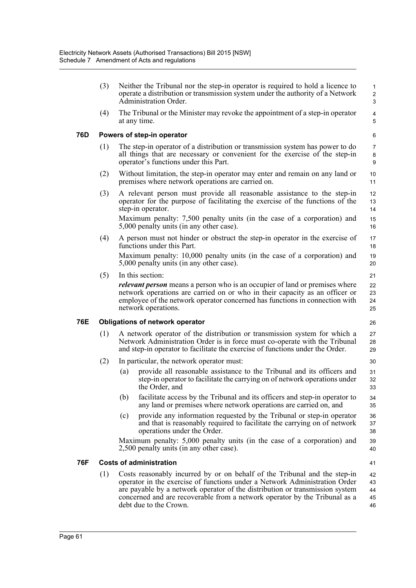|                               | (3) |     | Neither the Tribunal nor the step-in operator is required to hold a licence to<br>operate a distribution or transmission system under the authority of a Network<br>Administration Order.                                                                                                                             | $\mathbf{1}$<br>$\overline{c}$<br>3 |
|-------------------------------|-----|-----|-----------------------------------------------------------------------------------------------------------------------------------------------------------------------------------------------------------------------------------------------------------------------------------------------------------------------|-------------------------------------|
|                               | (4) |     | The Tribunal or the Minister may revoke the appointment of a step-in operator<br>at any time.                                                                                                                                                                                                                         | $\overline{4}$<br>5                 |
| 76D                           |     |     | Powers of step-in operator                                                                                                                                                                                                                                                                                            | 6                                   |
|                               | (1) |     | The step-in operator of a distribution or transmission system has power to do<br>all things that are necessary or convenient for the exercise of the step-in<br>operator's functions under this Part.                                                                                                                 | $\overline{7}$<br>8<br>9            |
|                               | (2) |     | Without limitation, the step-in operator may enter and remain on any land or<br>premises where network operations are carried on.                                                                                                                                                                                     | 10<br>11                            |
|                               | (3) |     | A relevant person must provide all reasonable assistance to the step-in<br>operator for the purpose of facilitating the exercise of the functions of the<br>step-in operator.<br>Maximum penalty: 7,500 penalty units (in the case of a corporation) and                                                              | 12<br>13<br>14<br>15                |
|                               |     |     | 5,000 penalty units (in any other case).                                                                                                                                                                                                                                                                              | 16                                  |
|                               | (4) |     | A person must not hinder or obstruct the step-in operator in the exercise of<br>functions under this Part.                                                                                                                                                                                                            | 17<br>18                            |
|                               |     |     | Maximum penalty: 10,000 penalty units (in the case of a corporation) and<br>5,000 penalty units (in any other case).                                                                                                                                                                                                  | 19<br>20                            |
|                               | (5) |     | In this section:                                                                                                                                                                                                                                                                                                      | 21                                  |
|                               |     |     | <i>relevant person</i> means a person who is an occupier of land or premises where<br>network operations are carried on or who in their capacity as an officer or<br>employee of the network operator concerned has functions in connection with<br>network operations.                                               | 22<br>23<br>24<br>25                |
| 76E                           |     |     | <b>Obligations of network operator</b>                                                                                                                                                                                                                                                                                | 26                                  |
|                               | (1) |     | A network operator of the distribution or transmission system for which a<br>Network Administration Order is in force must co-operate with the Tribunal<br>and step-in operator to facilitate the exercise of functions under the Order.                                                                              | 27<br>28<br>29                      |
|                               | (2) |     | In particular, the network operator must:                                                                                                                                                                                                                                                                             | 30                                  |
|                               |     | (a) | provide all reasonable assistance to the Tribunal and its officers and<br>step-in operator to facilitate the carrying on of network operations under<br>the Order, and                                                                                                                                                | 31<br>32<br>33                      |
|                               |     | (b) | facilitate access by the Tribunal and its officers and step-in operator to<br>any land or premises where network operations are carried on, and                                                                                                                                                                       | 34<br>35                            |
|                               |     | (c) | provide any information requested by the Tribunal or step-in operator<br>and that is reasonably required to facilitate the carrying on of network<br>operations under the Order.                                                                                                                                      | 36<br>37<br>38                      |
|                               |     |     | Maximum penalty: 5,000 penalty units (in the case of a corporation) and<br>2,500 penalty units (in any other case).                                                                                                                                                                                                   | 39<br>40                            |
| 76F                           |     |     | <b>Costs of administration</b>                                                                                                                                                                                                                                                                                        | 41                                  |
| (1)<br>debt due to the Crown. |     |     | Costs reasonably incurred by or on behalf of the Tribunal and the step-in<br>operator in the exercise of functions under a Network Administration Order<br>are payable by a network operator of the distribution or transmission system<br>concerned and are recoverable from a network operator by the Tribunal as a | 42<br>43<br>44<br>45<br>46          |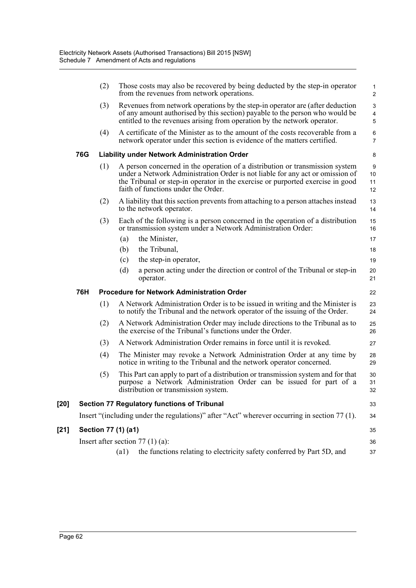|        |     | (2) | Those costs may also be recovered by being deducted by the step-in operator<br>from the revenues from network operations.                                                                                                                                                              | 1<br>$\overline{2}$ |
|--------|-----|-----|----------------------------------------------------------------------------------------------------------------------------------------------------------------------------------------------------------------------------------------------------------------------------------------|---------------------|
|        |     | (3) | Revenues from network operations by the step-in operator are (after deduction<br>of any amount authorised by this section) payable to the person who would be<br>entitled to the revenues arising from operation by the network operator.                                              | 3<br>4<br>5         |
|        |     | (4) | A certificate of the Minister as to the amount of the costs recoverable from a<br>network operator under this section is evidence of the matters certified.                                                                                                                            | 6<br>$\overline{7}$ |
|        | 76G |     | <b>Liability under Network Administration Order</b>                                                                                                                                                                                                                                    | 8                   |
|        |     | (1) | A person concerned in the operation of a distribution or transmission system<br>under a Network Administration Order is not liable for any act or omission of<br>the Tribunal or step-in operator in the exercise or purported exercise in good<br>faith of functions under the Order. | 9<br>10<br>11<br>12 |
|        |     | (2) | A liability that this section prevents from attaching to a person attaches instead<br>to the network operator.                                                                                                                                                                         | 13<br>14            |
|        |     | (3) | Each of the following is a person concerned in the operation of a distribution<br>or transmission system under a Network Administration Order:                                                                                                                                         | 15<br>16            |
|        |     |     | the Minister,<br>(a)                                                                                                                                                                                                                                                                   | 17                  |
|        |     |     | the Tribunal,<br>(b)                                                                                                                                                                                                                                                                   | 18                  |
|        |     |     | (c)<br>the step-in operator,                                                                                                                                                                                                                                                           | 19                  |
|        |     |     | a person acting under the direction or control of the Tribunal or step-in<br>(d)<br>operator.                                                                                                                                                                                          | 20<br>21            |
|        | 76H |     | <b>Procedure for Network Administration Order</b>                                                                                                                                                                                                                                      | 22                  |
|        |     | (1) | A Network Administration Order is to be issued in writing and the Minister is<br>to notify the Tribunal and the network operator of the issuing of the Order.                                                                                                                          | 23<br>24            |
|        |     | (2) | A Network Administration Order may include directions to the Tribunal as to<br>the exercise of the Tribunal's functions under the Order.                                                                                                                                               | 25<br>26            |
|        |     | (3) | A Network Administration Order remains in force until it is revoked.                                                                                                                                                                                                                   | 27                  |
|        |     | (4) | The Minister may revoke a Network Administration Order at any time by<br>notice in writing to the Tribunal and the network operator concerned.                                                                                                                                         | 28<br>29            |
|        |     | (5) | This Part can apply to part of a distribution or transmission system and for that<br>purpose a Network Administration Order can be issued for part of a<br>distribution or transmission system.                                                                                        | 30<br>31<br>32      |
| $[20]$ |     |     | <b>Section 77 Regulatory functions of Tribunal</b>                                                                                                                                                                                                                                     | 33                  |
|        |     |     | Insert "(including under the regulations)" after "Act" wherever occurring in section 77 (1).                                                                                                                                                                                           | 34                  |
| $[21]$ |     |     | Section 77 (1) (a1)                                                                                                                                                                                                                                                                    | 35                  |
|        |     |     | Insert after section $77(1)(a)$ :                                                                                                                                                                                                                                                      | 36                  |
|        |     |     | the functions relating to electricity safety conferred by Part 5D, and<br>(a1)                                                                                                                                                                                                         | 37                  |
|        |     |     |                                                                                                                                                                                                                                                                                        |                     |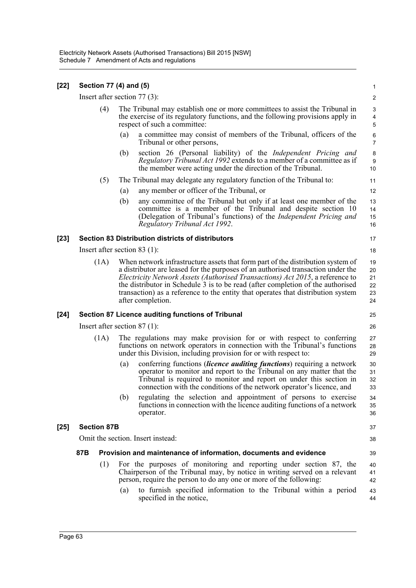| [22]   | Section 77 (4) and (5) |      |     |                                                                                                                                                                                                                                                                                                                                                                                                                                                  | 1                                |
|--------|------------------------|------|-----|--------------------------------------------------------------------------------------------------------------------------------------------------------------------------------------------------------------------------------------------------------------------------------------------------------------------------------------------------------------------------------------------------------------------------------------------------|----------------------------------|
|        |                        |      |     | Insert after section $77(3)$ :                                                                                                                                                                                                                                                                                                                                                                                                                   | $\overline{\mathbf{c}}$          |
|        |                        | (4)  |     | The Tribunal may establish one or more committees to assist the Tribunal in<br>the exercise of its regulatory functions, and the following provisions apply in<br>respect of such a committee:                                                                                                                                                                                                                                                   | 3<br>4<br>5                      |
|        |                        |      | (a) | a committee may consist of members of the Tribunal, officers of the<br>Tribunal or other persons,                                                                                                                                                                                                                                                                                                                                                | 6<br>$\overline{7}$              |
|        |                        |      | (b) | section 26 (Personal liability) of the <i>Independent Pricing and</i><br>Regulatory Tribunal Act 1992 extends to a member of a committee as if<br>the member were acting under the direction of the Tribunal.                                                                                                                                                                                                                                    | 8<br>9<br>10                     |
|        |                        | (5)  |     | The Tribunal may delegate any regulatory function of the Tribunal to:                                                                                                                                                                                                                                                                                                                                                                            | 11                               |
|        |                        |      | (a) | any member or officer of the Tribunal, or                                                                                                                                                                                                                                                                                                                                                                                                        | 12                               |
|        |                        |      | (b) | any committee of the Tribunal but only if at least one member of the<br>committee is a member of the Tribunal and despite section 10<br>(Delegation of Tribunal's functions) of the <i>Independent Pricing and</i><br>Regulatory Tribunal Act 1992.                                                                                                                                                                                              | 13<br>14<br>15<br>16             |
| [23]   |                        |      |     | <b>Section 83 Distribution districts of distributors</b>                                                                                                                                                                                                                                                                                                                                                                                         | 17                               |
|        |                        |      |     | Insert after section 83 $(1)$ :                                                                                                                                                                                                                                                                                                                                                                                                                  | 18                               |
|        |                        | (1A) |     | When network infrastructure assets that form part of the distribution system of<br>a distributor are leased for the purposes of an authorised transaction under the<br>Electricity Network Assets (Authorised Transactions) Act 2015, a reference to<br>the distributor in Schedule 3 is to be read (after completion of the authorised<br>transaction) as a reference to the entity that operates that distribution system<br>after completion. | 19<br>20<br>21<br>22<br>23<br>24 |
| $[24]$ |                        |      |     | <b>Section 87 Licence auditing functions of Tribunal</b>                                                                                                                                                                                                                                                                                                                                                                                         | 25                               |
|        |                        |      |     | Insert after section $87(1)$ :                                                                                                                                                                                                                                                                                                                                                                                                                   | 26                               |
|        |                        | (1A) |     | The regulations may make provision for or with respect to conferring<br>functions on network operators in connection with the Tribunal's functions<br>under this Division, including provision for or with respect to:                                                                                                                                                                                                                           | 27<br>28<br>29                   |
|        |                        |      | (a) | conferring functions <i>(licence auditing functions)</i> requiring a network<br>operator to monitor and report to the Tribunal on any matter that the<br>Tribunal is required to monitor and report on under this section in<br>connection with the conditions of the network operator's licence, and                                                                                                                                            | 30<br>31<br>32<br>33             |
|        |                        |      | (b) | regulating the selection and appointment of persons to exercise<br>functions in connection with the licence auditing functions of a network<br>operator.                                                                                                                                                                                                                                                                                         | 34<br>35<br>36                   |
| $[25]$ | <b>Section 87B</b>     |      |     |                                                                                                                                                                                                                                                                                                                                                                                                                                                  | 37                               |
|        |                        |      |     | Omit the section. Insert instead:                                                                                                                                                                                                                                                                                                                                                                                                                | 38                               |
|        | 87B                    |      |     | Provision and maintenance of information, documents and evidence                                                                                                                                                                                                                                                                                                                                                                                 | 39                               |
|        |                        | (1)  |     | For the purposes of monitoring and reporting under section 87, the                                                                                                                                                                                                                                                                                                                                                                               | 40                               |
|        |                        |      |     | Chairperson of the Tribunal may, by notice in writing served on a relevant<br>person, require the person to do any one or more of the following:                                                                                                                                                                                                                                                                                                 | 41<br>42                         |
|        |                        |      | (a) | to furnish specified information to the Tribunal within a period<br>specified in the notice,                                                                                                                                                                                                                                                                                                                                                     | 43<br>44                         |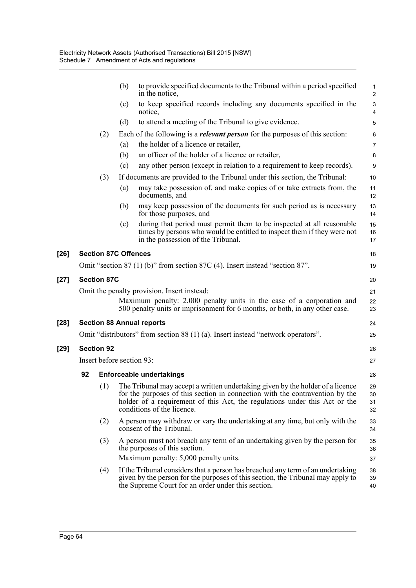|        |                           |                             | (b) | to provide specified documents to the Tribunal within a period specified<br>in the notice,                                                                                                                                                                                 | $\mathbf{1}$<br>$\overline{2}$                       |  |  |
|--------|---------------------------|-----------------------------|-----|----------------------------------------------------------------------------------------------------------------------------------------------------------------------------------------------------------------------------------------------------------------------------|------------------------------------------------------|--|--|
|        |                           |                             | (c) | to keep specified records including any documents specified in the<br>notice,                                                                                                                                                                                              | $\ensuremath{\mathsf{3}}$<br>$\overline{\mathbf{4}}$ |  |  |
|        |                           |                             | (d) | to attend a meeting of the Tribunal to give evidence.                                                                                                                                                                                                                      | 5                                                    |  |  |
|        |                           | (2)                         |     | Each of the following is a <i>relevant person</i> for the purposes of this section:                                                                                                                                                                                        | $\,6\,$                                              |  |  |
|        |                           |                             | (a) | the holder of a licence or retailer,                                                                                                                                                                                                                                       | $\overline{7}$                                       |  |  |
|        |                           |                             | (b) | an officer of the holder of a licence or retailer,                                                                                                                                                                                                                         | 8                                                    |  |  |
|        |                           |                             | (c) | any other person (except in relation to a requirement to keep records).                                                                                                                                                                                                    | 9                                                    |  |  |
|        |                           | (3)                         |     | If documents are provided to the Tribunal under this section, the Tribunal:                                                                                                                                                                                                | 10                                                   |  |  |
|        |                           |                             | (a) | may take possession of, and make copies of or take extracts from, the<br>documents, and                                                                                                                                                                                    | 11<br>12                                             |  |  |
|        |                           |                             | (b) | may keep possession of the documents for such period as is necessary<br>for those purposes, and                                                                                                                                                                            | 13<br>14                                             |  |  |
|        |                           |                             | (c) | during that period must permit them to be inspected at all reasonable<br>times by persons who would be entitled to inspect them if they were not<br>in the possession of the Tribunal.                                                                                     | 15<br>16<br>17                                       |  |  |
| $[26]$ |                           | <b>Section 87C Offences</b> |     |                                                                                                                                                                                                                                                                            | 18                                                   |  |  |
|        |                           |                             |     | Omit "section $87(1)$ (b)" from section $87C(4)$ . Insert instead "section $87$ ".                                                                                                                                                                                         | 19                                                   |  |  |
| $[27]$ |                           | <b>Section 87C</b>          |     |                                                                                                                                                                                                                                                                            | 20                                                   |  |  |
|        |                           |                             |     | Omit the penalty provision. Insert instead:                                                                                                                                                                                                                                | 21                                                   |  |  |
|        |                           |                             |     | Maximum penalty: 2,000 penalty units in the case of a corporation and<br>500 penalty units or imprisonment for 6 months, or both, in any other case.                                                                                                                       | 22<br>23                                             |  |  |
| $[28]$ |                           |                             |     | <b>Section 88 Annual reports</b>                                                                                                                                                                                                                                           | 24                                                   |  |  |
|        |                           |                             |     | Omit "distributors" from section 88 (1) (a). Insert instead "network operators".                                                                                                                                                                                           | 25                                                   |  |  |
| $[29]$ | <b>Section 92</b>         |                             |     |                                                                                                                                                                                                                                                                            |                                                      |  |  |
|        | Insert before section 93: |                             |     |                                                                                                                                                                                                                                                                            |                                                      |  |  |
|        | 92                        |                             |     | <b>Enforceable undertakings</b>                                                                                                                                                                                                                                            | 28                                                   |  |  |
|        |                           | (1)                         |     | The Tribunal may accept a written undertaking given by the holder of a licence<br>for the purposes of this section in connection with the contravention by the<br>holder of a requirement of this Act, the regulations under this Act or the<br>conditions of the licence. | 29<br>30<br>31<br>32                                 |  |  |
|        |                           | (2)                         |     | A person may withdraw or vary the undertaking at any time, but only with the<br>consent of the Tribunal.                                                                                                                                                                   | 33<br>34                                             |  |  |
|        |                           | (3)                         |     | A person must not breach any term of an undertaking given by the person for<br>the purposes of this section.                                                                                                                                                               | 35<br>36                                             |  |  |
|        |                           |                             |     | Maximum penalty: 5,000 penalty units.                                                                                                                                                                                                                                      | 37                                                   |  |  |
|        |                           | (4)                         |     | If the Tribunal considers that a person has breached any term of an undertaking<br>given by the person for the purposes of this section, the Tribunal may apply to<br>the Supreme Court for an order under this section.                                                   | 38<br>39<br>40                                       |  |  |
|        |                           |                             |     |                                                                                                                                                                                                                                                                            |                                                      |  |  |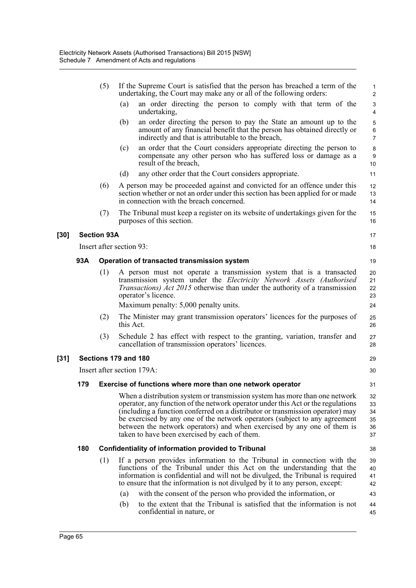|        |                            | (5)                | If the Supreme Court is satisfied that the person has breached a term of the<br>undertaking, the Court may make any or all of the following orders:                                                                                                                                                                                                                                                                                                         | $\mathbf{1}$<br>$\overline{2}$              |  |  |  |
|--------|----------------------------|--------------------|-------------------------------------------------------------------------------------------------------------------------------------------------------------------------------------------------------------------------------------------------------------------------------------------------------------------------------------------------------------------------------------------------------------------------------------------------------------|---------------------------------------------|--|--|--|
|        |                            |                    | (a)<br>an order directing the person to comply with that term of the<br>undertaking,                                                                                                                                                                                                                                                                                                                                                                        | $\ensuremath{\mathsf{3}}$<br>$\overline{4}$ |  |  |  |
|        |                            |                    | an order directing the person to pay the State an amount up to the<br>(b)<br>amount of any financial benefit that the person has obtained directly or<br>indirectly and that is attributable to the breach,                                                                                                                                                                                                                                                 | 5<br>$\,6\,$<br>$\overline{7}$              |  |  |  |
|        |                            |                    | an order that the Court considers appropriate directing the person to<br>(c)<br>compensate any other person who has suffered loss or damage as a<br>result of the breach,                                                                                                                                                                                                                                                                                   | 8<br>$\boldsymbol{9}$<br>10                 |  |  |  |
|        |                            |                    | (d)<br>any other order that the Court considers appropriate.                                                                                                                                                                                                                                                                                                                                                                                                | 11                                          |  |  |  |
|        |                            | (6)                | A person may be proceeded against and convicted for an offence under this<br>section whether or not an order under this section has been applied for or made<br>in connection with the breach concerned.                                                                                                                                                                                                                                                    | 12<br>13<br>14                              |  |  |  |
|        |                            | (7)                | The Tribunal must keep a register on its website of undertakings given for the<br>purposes of this section.                                                                                                                                                                                                                                                                                                                                                 | 15<br>16                                    |  |  |  |
| $[30]$ |                            | <b>Section 93A</b> |                                                                                                                                                                                                                                                                                                                                                                                                                                                             | 17                                          |  |  |  |
|        |                            |                    | Insert after section 93:                                                                                                                                                                                                                                                                                                                                                                                                                                    | 18                                          |  |  |  |
|        | 93A                        |                    | Operation of transacted transmission system                                                                                                                                                                                                                                                                                                                                                                                                                 | 19                                          |  |  |  |
|        |                            | (1)                | A person must not operate a transmission system that is a transacted<br>transmission system under the Electricity Network Assets (Authorised<br><i>Transactions) Act 2015</i> otherwise than under the authority of a transmission<br>operator's licence.                                                                                                                                                                                                   | 20<br>21<br>22<br>23                        |  |  |  |
|        |                            |                    | Maximum penalty: 5,000 penalty units.                                                                                                                                                                                                                                                                                                                                                                                                                       | 24                                          |  |  |  |
|        |                            | (2)                | The Minister may grant transmission operators' licences for the purposes of<br>this Act.                                                                                                                                                                                                                                                                                                                                                                    | 25<br>26                                    |  |  |  |
|        |                            | (3)                | Schedule 2 has effect with respect to the granting, variation, transfer and<br>cancellation of transmission operators' licences.                                                                                                                                                                                                                                                                                                                            | 27<br>28                                    |  |  |  |
| $[31]$ |                            |                    | Sections 179 and 180                                                                                                                                                                                                                                                                                                                                                                                                                                        | 29                                          |  |  |  |
|        | Insert after section 179A: |                    |                                                                                                                                                                                                                                                                                                                                                                                                                                                             |                                             |  |  |  |
|        | 179                        |                    | Exercise of functions where more than one network operator                                                                                                                                                                                                                                                                                                                                                                                                  | 31                                          |  |  |  |
|        |                            |                    | When a distribution system or transmission system has more than one network<br>operator, any function of the network operator under this Act or the regulations<br>(including a function conferred on a distributor or transmission operator) may<br>be exercised by any one of the network operators (subject to any agreement<br>between the network operators) and when exercised by any one of them is<br>taken to have been exercised by each of them. | 32<br>33<br>34<br>35<br>36<br>37            |  |  |  |
|        | 180                        |                    | <b>Confidentiality of information provided to Tribunal</b>                                                                                                                                                                                                                                                                                                                                                                                                  | 38                                          |  |  |  |
|        |                            | (1)                | If a person provides information to the Tribunal in connection with the<br>functions of the Tribunal under this Act on the understanding that the<br>information is confidential and will not be divulged, the Tribunal is required<br>to ensure that the information is not divulged by it to any person, except:                                                                                                                                          | 39<br>40<br>41<br>42                        |  |  |  |
|        |                            |                    | with the consent of the person who provided the information, or<br>(a)                                                                                                                                                                                                                                                                                                                                                                                      | 43                                          |  |  |  |
|        |                            |                    | to the extent that the Tribunal is satisfied that the information is not<br>(b)<br>confidential in nature, or                                                                                                                                                                                                                                                                                                                                               | 44<br>45                                    |  |  |  |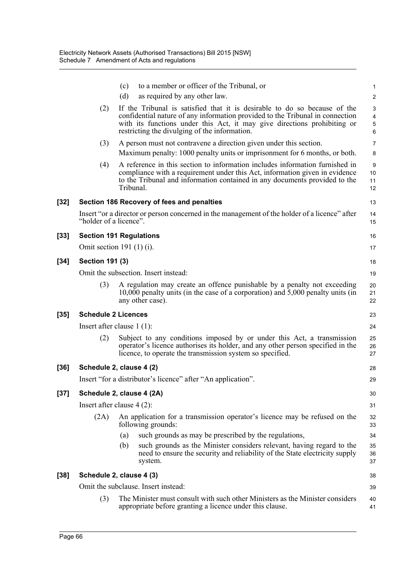|        |                            | to a member or officer of the Tribunal, or<br>(c)                                                                                                                                                                                                                                       | $\mathbf{1}$                                                   |
|--------|----------------------------|-----------------------------------------------------------------------------------------------------------------------------------------------------------------------------------------------------------------------------------------------------------------------------------------|----------------------------------------------------------------|
|        |                            | as required by any other law.<br>(d)                                                                                                                                                                                                                                                    | $\overline{\mathbf{c}}$                                        |
|        | (2)                        | If the Tribunal is satisfied that it is desirable to do so because of the<br>confidential nature of any information provided to the Tribunal in connection<br>with its functions under this Act, it may give directions prohibiting or<br>restricting the divulging of the information. | $\ensuremath{\mathsf{3}}$<br>$\overline{\mathbf{4}}$<br>5<br>6 |
|        | (3)                        | A person must not contravene a direction given under this section.                                                                                                                                                                                                                      | $\overline{7}$                                                 |
|        |                            | Maximum penalty: 1000 penalty units or imprisonment for 6 months, or both.                                                                                                                                                                                                              | 8                                                              |
|        | (4)                        | A reference in this section to information includes information furnished in<br>compliance with a requirement under this Act, information given in evidence<br>to the Tribunal and information contained in any documents provided to the<br>Tribunal.                                  | 9<br>10<br>11<br>12                                            |
| [32]   |                            | Section 186 Recovery of fees and penalties                                                                                                                                                                                                                                              | 13                                                             |
|        | "holder of a licence".     | Insert "or a director or person concerned in the management of the holder of a licence" after                                                                                                                                                                                           | 14<br>15                                                       |
| [33]   |                            | <b>Section 191 Regulations</b>                                                                                                                                                                                                                                                          | 16                                                             |
|        |                            | Omit section 191 $(1)$ $(i)$ .                                                                                                                                                                                                                                                          | 17                                                             |
| [34]   | <b>Section 191 (3)</b>     |                                                                                                                                                                                                                                                                                         | 18                                                             |
|        |                            | Omit the subsection. Insert instead:                                                                                                                                                                                                                                                    | 19                                                             |
|        | (3)                        | A regulation may create an offence punishable by a penalty not exceeding<br>10,000 penalty units (in the case of a corporation) and 5,000 penalty units (in<br>any other case).                                                                                                         | 20<br>21<br>22                                                 |
| [35]   | <b>Schedule 2 Licences</b> |                                                                                                                                                                                                                                                                                         | 23                                                             |
|        |                            | Insert after clause $1(1)$ :                                                                                                                                                                                                                                                            | 24                                                             |
|        | (2)                        | Subject to any conditions imposed by or under this Act, a transmission<br>operator's licence authorises its holder, and any other person specified in the<br>licence, to operate the transmission system so specified.                                                                  | 25<br>26<br>27                                                 |
| [36]   |                            | Schedule 2, clause 4 (2)                                                                                                                                                                                                                                                                | 28                                                             |
|        |                            | Insert "for a distributor's licence" after "An application".                                                                                                                                                                                                                            | 29                                                             |
| $[37]$ |                            | Schedule 2, clause 4 (2A)                                                                                                                                                                                                                                                               | 30                                                             |
|        |                            | Insert after clause $4(2)$ :                                                                                                                                                                                                                                                            | 31                                                             |
|        | (2A)                       | An application for a transmission operator's licence may be refused on the<br>following grounds:                                                                                                                                                                                        | 32<br>33                                                       |
|        |                            | such grounds as may be prescribed by the regulations,<br>(a)                                                                                                                                                                                                                            | 34                                                             |
|        |                            | such grounds as the Minister considers relevant, having regard to the<br>(b)<br>need to ensure the security and reliability of the State electricity supply<br>system.                                                                                                                  | 35<br>36<br>37                                                 |
| [38]   |                            | Schedule 2, clause 4 (3)                                                                                                                                                                                                                                                                | 38                                                             |
|        |                            | Omit the subclause. Insert instead:                                                                                                                                                                                                                                                     | 39                                                             |
|        | (3)                        | The Minister must consult with such other Ministers as the Minister considers<br>appropriate before granting a licence under this clause.                                                                                                                                               | 40<br>41                                                       |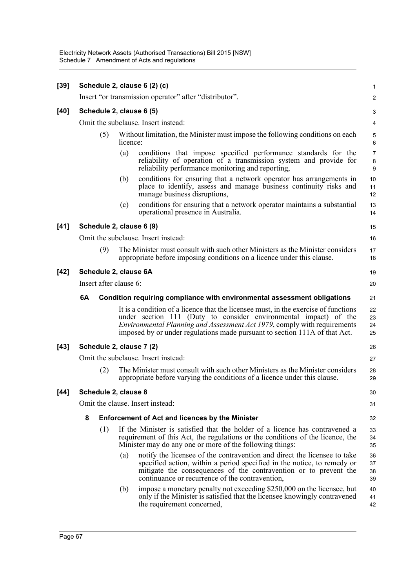Electricity Network Assets (Authorised Transactions) Bill 2015 [NSW] Schedule 7 Amendment of Acts and regulations

| $[39]$ |                                     |                      |          | Schedule 2, clause 6 (2) (c)                                                                                                                                                                                                                                                                                      | $\mathbf{1}$                   |  |  |
|--------|-------------------------------------|----------------------|----------|-------------------------------------------------------------------------------------------------------------------------------------------------------------------------------------------------------------------------------------------------------------------------------------------------------------------|--------------------------------|--|--|
|        |                                     |                      |          | Insert "or transmission operator" after "distributor".                                                                                                                                                                                                                                                            | 2                              |  |  |
| $[40]$ |                                     |                      |          | Schedule 2, clause 6 (5)                                                                                                                                                                                                                                                                                          | 3                              |  |  |
|        | Omit the subclause. Insert instead: |                      |          |                                                                                                                                                                                                                                                                                                                   |                                |  |  |
|        |                                     | (5)                  | licence: | Without limitation, the Minister must impose the following conditions on each                                                                                                                                                                                                                                     | $\mathbf 5$<br>$6\phantom{1}6$ |  |  |
|        |                                     |                      | (a)      | conditions that impose specified performance standards for the<br>reliability of operation of a transmission system and provide for<br>reliability performance monitoring and reporting,                                                                                                                          | $\overline{7}$<br>8<br>9       |  |  |
|        |                                     |                      | (b)      | conditions for ensuring that a network operator has arrangements in<br>place to identify, assess and manage business continuity risks and<br>manage business disruptions,                                                                                                                                         | 10<br>11<br>12                 |  |  |
|        |                                     |                      | (c)      | conditions for ensuring that a network operator maintains a substantial<br>operational presence in Australia.                                                                                                                                                                                                     | 13<br>14                       |  |  |
| $[41]$ |                                     |                      |          | Schedule 2, clause 6 (9)                                                                                                                                                                                                                                                                                          | 15                             |  |  |
|        |                                     |                      |          | Omit the subclause. Insert instead:                                                                                                                                                                                                                                                                               | 16                             |  |  |
|        |                                     | (9)                  |          | The Minister must consult with such other Ministers as the Minister considers<br>appropriate before imposing conditions on a licence under this clause.                                                                                                                                                           | 17<br>18                       |  |  |
| $[42]$ | Schedule 2, clause 6A               |                      |          |                                                                                                                                                                                                                                                                                                                   |                                |  |  |
|        | Insert after clause 6:              |                      |          |                                                                                                                                                                                                                                                                                                                   |                                |  |  |
|        | 6A                                  |                      |          | Condition requiring compliance with environmental assessment obligations                                                                                                                                                                                                                                          | 21                             |  |  |
|        |                                     |                      |          | It is a condition of a licence that the licensee must, in the exercise of functions<br>under section 111 (Duty to consider environmental impact) of the<br>Environmental Planning and Assessment Act 1979, comply with requirements<br>imposed by or under regulations made pursuant to section 111A of that Act. | 22<br>23<br>24<br>25           |  |  |
| $[43]$ |                                     |                      |          | Schedule 2, clause 7 (2)                                                                                                                                                                                                                                                                                          | 26                             |  |  |
|        |                                     |                      |          | Omit the subclause. Insert instead:                                                                                                                                                                                                                                                                               | 27                             |  |  |
|        |                                     | (2)                  |          | The Minister must consult with such other Ministers as the Minister considers<br>appropriate before varying the conditions of a licence under this clause.                                                                                                                                                        | 28<br>29                       |  |  |
| $[44]$ |                                     | Schedule 2, clause 8 |          |                                                                                                                                                                                                                                                                                                                   | 30                             |  |  |
|        |                                     |                      |          | Omit the clause. Insert instead:                                                                                                                                                                                                                                                                                  | 31                             |  |  |
|        | 8                                   |                      |          | <b>Enforcement of Act and licences by the Minister</b>                                                                                                                                                                                                                                                            | 32                             |  |  |
|        |                                     | (1)                  |          | If the Minister is satisfied that the holder of a licence has contravened a<br>requirement of this Act, the regulations or the conditions of the licence, the<br>Minister may do any one or more of the following things:                                                                                         | 33<br>34<br>35                 |  |  |
|        |                                     |                      | (a)      | notify the licensee of the contravention and direct the licensee to take<br>specified action, within a period specified in the notice, to remedy or<br>mitigate the consequences of the contravention or to prevent the<br>continuance or recurrence of the contravention,                                        | 36<br>37<br>38<br>39           |  |  |
|        |                                     |                      | (b)      | impose a monetary penalty not exceeding \$250,000 on the licensee, but<br>only if the Minister is satisfied that the licensee knowingly contravened<br>the requirement concerned,                                                                                                                                 | 40<br>41<br>42                 |  |  |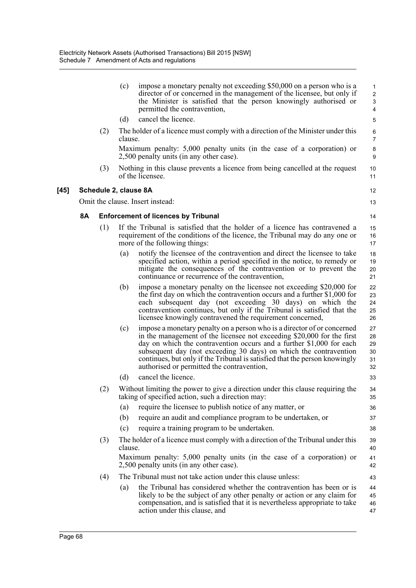|    |                       | (c)     | impose a monetary penalty not exceeding \$50,000 on a person who is a<br>director of or concerned in the management of the licensee, but only if<br>the Minister is satisfied that the person knowingly authorised or<br>permitted the contravention,                                                                                                                                                                      | 1<br>$\overline{\mathbf{c}}$<br>3<br>4 |
|----|-----------------------|---------|----------------------------------------------------------------------------------------------------------------------------------------------------------------------------------------------------------------------------------------------------------------------------------------------------------------------------------------------------------------------------------------------------------------------------|----------------------------------------|
|    |                       | (d)     | cancel the licence.                                                                                                                                                                                                                                                                                                                                                                                                        | 5                                      |
|    | (2)                   | clause. | The holder of a licence must comply with a direction of the Minister under this                                                                                                                                                                                                                                                                                                                                            | 6<br>7                                 |
|    |                       |         | Maximum penalty: 5,000 penalty units (in the case of a corporation) or<br>2,500 penalty units (in any other case).                                                                                                                                                                                                                                                                                                         | 8<br>9                                 |
|    | (3)                   |         | Nothing in this clause prevents a licence from being cancelled at the request<br>of the licensee.                                                                                                                                                                                                                                                                                                                          | 10<br>11                               |
|    | Schedule 2, clause 8A |         |                                                                                                                                                                                                                                                                                                                                                                                                                            | 12                                     |
|    |                       |         | Omit the clause. Insert instead:                                                                                                                                                                                                                                                                                                                                                                                           | 13                                     |
| 8A |                       |         | <b>Enforcement of licences by Tribunal</b>                                                                                                                                                                                                                                                                                                                                                                                 | 14                                     |
|    | (1)                   |         | If the Tribunal is satisfied that the holder of a licence has contravened a<br>requirement of the conditions of the licence, the Tribunal may do any one or<br>more of the following things:                                                                                                                                                                                                                               | 15<br>16<br>17                         |
|    |                       | (a)     | notify the licensee of the contravention and direct the licensee to take<br>specified action, within a period specified in the notice, to remedy or<br>mitigate the consequences of the contravention or to prevent the<br>continuance or recurrence of the contravention,                                                                                                                                                 | 18<br>19<br>20<br>21                   |
|    |                       | (b)     | impose a monetary penalty on the licensee not exceeding \$20,000 for<br>the first day on which the contravention occurs and a further \$1,000 for<br>each subsequent day (not exceeding 30 days) on which the<br>contravention continues, but only if the Tribunal is satisfied that the<br>licensee knowingly contravened the requirement concerned,                                                                      | 22<br>23<br>24<br>25<br>26             |
|    |                       | (c)     | impose a monetary penalty on a person who is a director of or concerned<br>in the management of the licensee not exceeding \$20,000 for the first<br>day on which the contravention occurs and a further \$1,000 for each<br>subsequent day (not exceeding 30 days) on which the contravention<br>continues, but only if the Tribunal is satisfied that the person knowingly<br>authorised or permitted the contravention, | 27<br>28<br>29<br>30<br>31<br>32       |
|    |                       | (d)     | cancel the licence.                                                                                                                                                                                                                                                                                                                                                                                                        | 33                                     |
|    | (2)                   |         | Without limiting the power to give a direction under this clause requiring the<br>taking of specified action, such a direction may:                                                                                                                                                                                                                                                                                        | 34<br>35                               |
|    |                       | (a)     | require the licensee to publish notice of any matter, or                                                                                                                                                                                                                                                                                                                                                                   | 36                                     |
|    |                       | (b)     | require an audit and compliance program to be undertaken, or                                                                                                                                                                                                                                                                                                                                                               | 37                                     |
|    |                       | (c)     | require a training program to be undertaken.                                                                                                                                                                                                                                                                                                                                                                               | 38                                     |
|    | (3)                   | clause. | The holder of a licence must comply with a direction of the Tribunal under this                                                                                                                                                                                                                                                                                                                                            | 39<br>40                               |
|    |                       |         | Maximum penalty: 5,000 penalty units (in the case of a corporation) or<br>2,500 penalty units (in any other case).                                                                                                                                                                                                                                                                                                         | 41<br>42                               |
|    | (4)                   |         | The Tribunal must not take action under this clause unless:                                                                                                                                                                                                                                                                                                                                                                | 43                                     |
|    |                       | (a)     | the Tribunal has considered whether the contravention has been or is<br>likely to be the subject of any other penalty or action or any claim for<br>compensation, and is satisfied that it is nevertheless appropriate to take<br>action under this clause, and                                                                                                                                                            | 44<br>45<br>46<br>47                   |

 $[45]$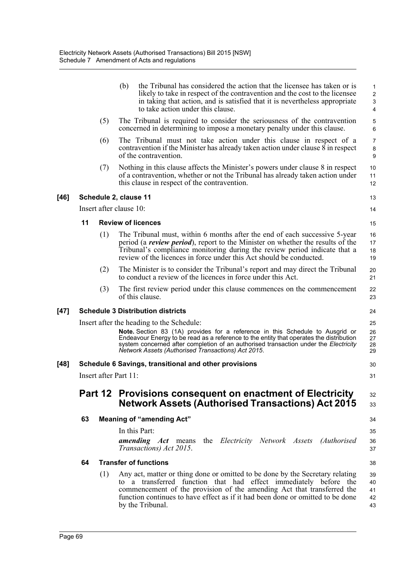|      |                             |     | (b)<br>the Tribunal has considered the action that the licensee has taken or is<br>likely to take in respect of the contravention and the cost to the licensee<br>in taking that action, and is satisfied that it is nevertheless appropriate<br>to take action under this clause.                                                                                  | 1<br>$\overline{\mathbf{c}}$<br>3<br>4 |  |  |  |
|------|-----------------------------|-----|---------------------------------------------------------------------------------------------------------------------------------------------------------------------------------------------------------------------------------------------------------------------------------------------------------------------------------------------------------------------|----------------------------------------|--|--|--|
|      |                             | (5) | The Tribunal is required to consider the seriousness of the contravention<br>concerned in determining to impose a monetary penalty under this clause.                                                                                                                                                                                                               | 5<br>6                                 |  |  |  |
|      |                             | (6) | The Tribunal must not take action under this clause in respect of a<br>contravention if the Minister has already taken action under clause 8 in respect<br>of the contravention.                                                                                                                                                                                    | $\overline{7}$<br>8<br>9               |  |  |  |
|      |                             | (7) | Nothing in this clause affects the Minister's powers under clause 8 in respect<br>of a contravention, whether or not the Tribunal has already taken action under<br>this clause in respect of the contravention.                                                                                                                                                    | 10<br>11<br>12                         |  |  |  |
| [46] |                             |     | Schedule 2, clause 11                                                                                                                                                                                                                                                                                                                                               | 13                                     |  |  |  |
|      |                             |     | Insert after clause 10:                                                                                                                                                                                                                                                                                                                                             | 14                                     |  |  |  |
|      | 11                          |     | <b>Review of licences</b>                                                                                                                                                                                                                                                                                                                                           | 15                                     |  |  |  |
|      |                             | (1) | The Tribunal must, within 6 months after the end of each successive 5-year<br>period (a <i>review period</i> ), report to the Minister on whether the results of the<br>Tribunal's compliance monitoring during the review period indicate that a<br>review of the licences in force under this Act should be conducted.                                            | 16<br>17<br>18<br>19                   |  |  |  |
|      |                             | (2) | The Minister is to consider the Tribunal's report and may direct the Tribunal<br>to conduct a review of the licences in force under this Act.                                                                                                                                                                                                                       | 20<br>21                               |  |  |  |
|      |                             | (3) | The first review period under this clause commences on the commencement<br>of this clause.                                                                                                                                                                                                                                                                          | 22<br>23                               |  |  |  |
| [47] |                             |     | <b>Schedule 3 Distribution districts</b>                                                                                                                                                                                                                                                                                                                            | 24                                     |  |  |  |
|      |                             |     | Insert after the heading to the Schedule:<br>Note. Section 83 (1A) provides for a reference in this Schedule to Ausgrid or<br>Endeavour Energy to be read as a reference to the entity that operates the distribution<br>system concerned after completion of an authorised transaction under the Electricity<br>Network Assets (Authorised Transactions) Act 2015. | 25<br>26<br>27<br>28<br>29             |  |  |  |
| [48] |                             |     | Schedule 6 Savings, transitional and other provisions                                                                                                                                                                                                                                                                                                               | 30                                     |  |  |  |
|      | Insert after Part 11:<br>31 |     |                                                                                                                                                                                                                                                                                                                                                                     |                                        |  |  |  |
|      |                             |     | Part 12 Provisions consequent on enactment of Electricity<br><b>Network Assets (Authorised Transactions) Act 2015</b>                                                                                                                                                                                                                                               | 32<br>33                               |  |  |  |
|      | 63                          |     | <b>Meaning of "amending Act"</b>                                                                                                                                                                                                                                                                                                                                    | 34                                     |  |  |  |
|      |                             |     | In this Part:                                                                                                                                                                                                                                                                                                                                                       | 35                                     |  |  |  |
|      |                             |     | <i>amending Act</i> means<br>the Electricity Network Assets (Authorised<br>Transactions) Act 2015.                                                                                                                                                                                                                                                                  | 36<br>37                               |  |  |  |
|      | 64                          |     | <b>Transfer of functions</b>                                                                                                                                                                                                                                                                                                                                        | 38                                     |  |  |  |
|      |                             | (1) | Any act, matter or thing done or omitted to be done by the Secretary relating<br>to a transferred function that had effect immediately before the<br>commencement of the provision of the amending Act that transferred the<br>function continues to have effect as if it had been done or omitted to be done<br>by the Tribunal.                                   | 39<br>40<br>41<br>42<br>43             |  |  |  |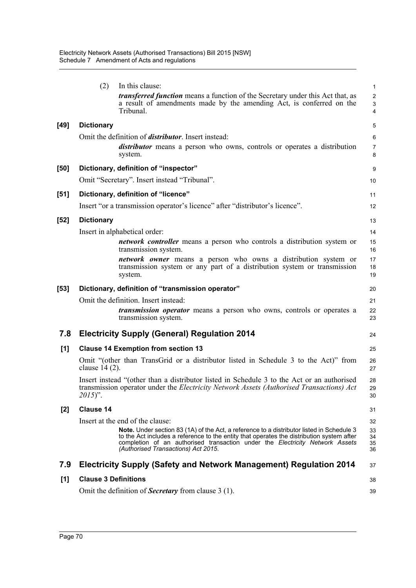|        | (2)                         | In this clause:                                                                                                                                                                                                                                                                                               | $\mathbf 1$              |
|--------|-----------------------------|---------------------------------------------------------------------------------------------------------------------------------------------------------------------------------------------------------------------------------------------------------------------------------------------------------------|--------------------------|
|        |                             | <i>transferred function</i> means a function of the Secretary under this Act that, as<br>a result of amendments made by the amending Act, is conferred on the<br>Tribunal.                                                                                                                                    | $\overline{c}$<br>3<br>4 |
| [49]   | <b>Dictionary</b>           |                                                                                                                                                                                                                                                                                                               | 5                        |
|        |                             | Omit the definition of <i>distributor</i> . Insert instead:<br><i>distributor</i> means a person who owns, controls or operates a distribution<br>system.                                                                                                                                                     | 6<br>$\overline{7}$<br>8 |
| [50]   |                             | Dictionary, definition of "inspector"                                                                                                                                                                                                                                                                         | 9                        |
|        |                             | Omit "Secretary". Insert instead "Tribunal".                                                                                                                                                                                                                                                                  | 10                       |
| [51]   |                             | Dictionary, definition of "licence"                                                                                                                                                                                                                                                                           | 11                       |
|        |                             | Insert "or a transmission operator's licence" after "distributor's licence".                                                                                                                                                                                                                                  | 12                       |
| $[52]$ | <b>Dictionary</b>           |                                                                                                                                                                                                                                                                                                               | 13                       |
|        |                             | Insert in alphabetical order:                                                                                                                                                                                                                                                                                 | 14                       |
|        |                             | <i>network controller</i> means a person who controls a distribution system or<br>transmission system.                                                                                                                                                                                                        | 15<br>16                 |
|        |                             | <i>network owner</i> means a person who owns a distribution system or<br>transmission system or any part of a distribution system or transmission<br>system.                                                                                                                                                  | 17<br>18<br>19           |
| [53]   |                             | Dictionary, definition of "transmission operator"                                                                                                                                                                                                                                                             | 20                       |
|        |                             |                                                                                                                                                                                                                                                                                                               |                          |
|        |                             | Omit the definition. Insert instead:<br><i>transmission operator</i> means a person who owns, controls or operates a<br>transmission system.                                                                                                                                                                  | 21<br>22<br>23           |
| 7.8    |                             | <b>Electricity Supply (General) Regulation 2014</b>                                                                                                                                                                                                                                                           | 24                       |
|        |                             |                                                                                                                                                                                                                                                                                                               | 25                       |
| [1]    | clause $14(2)$ .            | <b>Clause 14 Exemption from section 13</b><br>Omit "(other than TransGrid or a distributor listed in Schedule 3 to the Act)" from                                                                                                                                                                             | 26<br>27                 |
|        | $2015)$ ".                  | Insert instead "(other than a distributor listed in Schedule 3 to the Act or an authorised<br>transmission operator under the Electricity Network Assets (Authorised Transactions) Act                                                                                                                        | 28<br>29<br>30           |
| $[2]$  | <b>Clause 14</b>            |                                                                                                                                                                                                                                                                                                               | 31                       |
|        |                             | Insert at the end of the clause:                                                                                                                                                                                                                                                                              | 32                       |
|        |                             | Note. Under section 83 (1A) of the Act, a reference to a distributor listed in Schedule 3<br>to the Act includes a reference to the entity that operates the distribution system after<br>completion of an authorised transaction under the Electricity Network Assets<br>(Authorised Transactions) Act 2015. | 33<br>34<br>35<br>36     |
| 7.9    |                             | <b>Electricity Supply (Safety and Network Management) Regulation 2014</b>                                                                                                                                                                                                                                     | 37                       |
| [1]    | <b>Clause 3 Definitions</b> |                                                                                                                                                                                                                                                                                                               | 38                       |
|        |                             | Omit the definition of <b>Secretary</b> from clause 3 (1).                                                                                                                                                                                                                                                    | 39                       |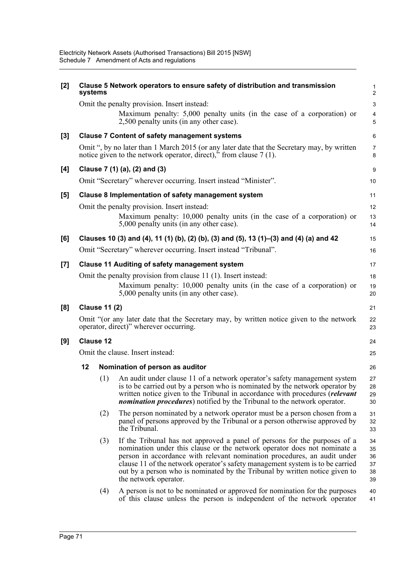| $[2]$ | systems          |                      | Clause 5 Network operators to ensure safety of distribution and transmission                                                                                                                                                                                                                                                                                                                                               | $\mathbf{1}$<br>$\overline{2}$    |  |  |
|-------|------------------|----------------------|----------------------------------------------------------------------------------------------------------------------------------------------------------------------------------------------------------------------------------------------------------------------------------------------------------------------------------------------------------------------------------------------------------------------------|-----------------------------------|--|--|
|       |                  |                      | Omit the penalty provision. Insert instead:<br>Maximum penalty: 5,000 penalty units (in the case of a corporation) or<br>2,500 penalty units (in any other case).                                                                                                                                                                                                                                                          | 3<br>$\overline{4}$<br>$\sqrt{5}$ |  |  |
| $[3]$ |                  |                      | <b>Clause 7 Content of safety management systems</b>                                                                                                                                                                                                                                                                                                                                                                       | 6                                 |  |  |
|       |                  |                      | Omit ", by no later than 1 March 2015 (or any later date that the Secretary may, by written<br>notice given to the network operator, direct), $\ddot{ }$ from clause 7 (1).                                                                                                                                                                                                                                                | $\overline{7}$<br>8               |  |  |
| $[4]$ |                  |                      | Clause 7 (1) (a), (2) and (3)                                                                                                                                                                                                                                                                                                                                                                                              | 9                                 |  |  |
|       |                  |                      | Omit "Secretary" wherever occurring. Insert instead "Minister".                                                                                                                                                                                                                                                                                                                                                            | 10                                |  |  |
| $[5]$ |                  |                      | Clause 8 Implementation of safety management system                                                                                                                                                                                                                                                                                                                                                                        | 11                                |  |  |
|       |                  |                      | Omit the penalty provision. Insert instead:                                                                                                                                                                                                                                                                                                                                                                                | 12                                |  |  |
|       |                  |                      | Maximum penalty: 10,000 penalty units (in the case of a corporation) or<br>5,000 penalty units (in any other case).                                                                                                                                                                                                                                                                                                        | 13<br>14                          |  |  |
| [6]   |                  |                      | Clauses 10 (3) and (4), 11 (1) (b), (2) (b), (3) and (5), 13 (1)–(3) and (4) (a) and 42                                                                                                                                                                                                                                                                                                                                    | 15                                |  |  |
|       |                  |                      | Omit "Secretary" wherever occurring. Insert instead "Tribunal".                                                                                                                                                                                                                                                                                                                                                            | 16                                |  |  |
| $[7]$ |                  |                      | <b>Clause 11 Auditing of safety management system</b>                                                                                                                                                                                                                                                                                                                                                                      | 17                                |  |  |
|       |                  |                      | Omit the penalty provision from clause 11 (1). Insert instead:                                                                                                                                                                                                                                                                                                                                                             | 18                                |  |  |
|       |                  |                      | Maximum penalty: 10,000 penalty units (in the case of a corporation) or<br>5,000 penalty units (in any other case).                                                                                                                                                                                                                                                                                                        | 19<br>20                          |  |  |
| [8]   |                  | <b>Clause 11 (2)</b> |                                                                                                                                                                                                                                                                                                                                                                                                                            | 21                                |  |  |
|       |                  |                      | Omit "(or any later date that the Secretary may, by written notice given to the network<br>operator, direct)" wherever occurring.                                                                                                                                                                                                                                                                                          | 22<br>23                          |  |  |
| [9]   | <b>Clause 12</b> |                      |                                                                                                                                                                                                                                                                                                                                                                                                                            |                                   |  |  |
|       |                  |                      | Omit the clause. Insert instead:                                                                                                                                                                                                                                                                                                                                                                                           | 25                                |  |  |
|       | 12               |                      | Nomination of person as auditor                                                                                                                                                                                                                                                                                                                                                                                            | 26                                |  |  |
|       |                  | (1)                  | An audit under clause 11 of a network operator's safety management system<br>is to be carried out by a person who is nominated by the network operator by<br>written notice given to the Tribunal in accordance with procedures (relevant<br><i>nomination procedures</i> ) notified by the Tribunal to the network operator.                                                                                              | 27<br>28<br>29<br>30              |  |  |
|       |                  | (2)                  | The person nominated by a network operator must be a person chosen from a<br>panel of persons approved by the Tribunal or a person otherwise approved by<br>the Tribunal.                                                                                                                                                                                                                                                  | 31<br>32<br>33                    |  |  |
|       |                  | (3)                  | If the Tribunal has not approved a panel of persons for the purposes of a<br>nomination under this clause or the network operator does not nominate a<br>person in accordance with relevant nomination procedures, an audit under<br>clause 11 of the network operator's safety management system is to be carried<br>out by a person who is nominated by the Tribunal by written notice given to<br>the network operator. | 34<br>35<br>36<br>37<br>38<br>39  |  |  |
|       |                  | (4)                  | A person is not to be nominated or approved for nomination for the purposes<br>of this clause unless the person is independent of the network operator                                                                                                                                                                                                                                                                     | 40<br>41                          |  |  |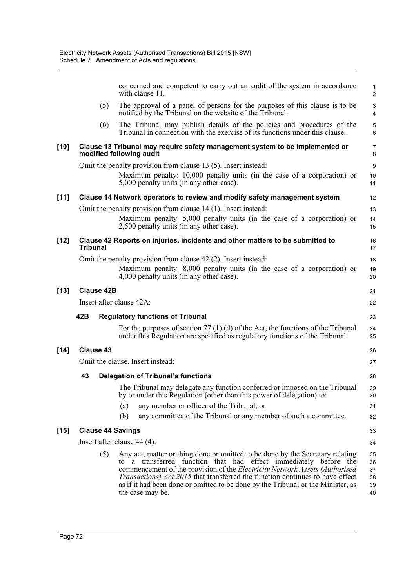|        |                 |                   | concerned and competent to carry out an audit of the system in accordance<br>with clause 11.                                                                                                                                                                                                                                                                                                                                           | 1<br>$\overline{2}$              |
|--------|-----------------|-------------------|----------------------------------------------------------------------------------------------------------------------------------------------------------------------------------------------------------------------------------------------------------------------------------------------------------------------------------------------------------------------------------------------------------------------------------------|----------------------------------|
|        |                 | (5)               | The approval of a panel of persons for the purposes of this clause is to be<br>notified by the Tribunal on the website of the Tribunal.                                                                                                                                                                                                                                                                                                | $\mathsf 3$<br>$\overline{4}$    |
|        |                 | (6)               | The Tribunal may publish details of the policies and procedures of the<br>Tribunal in connection with the exercise of its functions under this clause.                                                                                                                                                                                                                                                                                 | $\sqrt{5}$<br>6                  |
| $[10]$ |                 |                   | Clause 13 Tribunal may require safety management system to be implemented or<br>modified following audit                                                                                                                                                                                                                                                                                                                               | $\overline{7}$<br>8              |
|        |                 |                   | Omit the penalty provision from clause 13 (5). Insert instead:                                                                                                                                                                                                                                                                                                                                                                         | 9                                |
|        |                 |                   | Maximum penalty: 10,000 penalty units (in the case of a corporation) or<br>5,000 penalty units (in any other case).                                                                                                                                                                                                                                                                                                                    | 10<br>11                         |
| $[11]$ |                 |                   | Clause 14 Network operators to review and modify safety management system                                                                                                                                                                                                                                                                                                                                                              | 12                               |
|        |                 |                   | Omit the penalty provision from clause 14 (1). Insert instead:                                                                                                                                                                                                                                                                                                                                                                         | 13                               |
|        |                 |                   | Maximum penalty: 5,000 penalty units (in the case of a corporation) or<br>2,500 penalty units (in any other case).                                                                                                                                                                                                                                                                                                                     | 14<br>15                         |
| [12]   | <b>Tribunal</b> |                   | Clause 42 Reports on injuries, incidents and other matters to be submitted to                                                                                                                                                                                                                                                                                                                                                          | 16<br>17                         |
|        |                 |                   | Omit the penalty provision from clause 42 (2). Insert instead:                                                                                                                                                                                                                                                                                                                                                                         | 18                               |
|        |                 |                   | Maximum penalty: 8,000 penalty units (in the case of a corporation) or<br>4,000 penalty units (in any other case).                                                                                                                                                                                                                                                                                                                     | 19<br>20                         |
| [13]   |                 | <b>Clause 42B</b> |                                                                                                                                                                                                                                                                                                                                                                                                                                        | 21                               |
|        |                 |                   | Insert after clause 42A:                                                                                                                                                                                                                                                                                                                                                                                                               | 22                               |
|        | 42B             |                   | <b>Regulatory functions of Tribunal</b>                                                                                                                                                                                                                                                                                                                                                                                                | 23                               |
|        |                 |                   | For the purposes of section 77 (1) (d) of the Act, the functions of the Tribunal<br>under this Regulation are specified as regulatory functions of the Tribunal.                                                                                                                                                                                                                                                                       | 24<br>25                         |
| [14]   |                 | <b>Clause 43</b>  |                                                                                                                                                                                                                                                                                                                                                                                                                                        | 26                               |
|        |                 |                   | Omit the clause. Insert instead:                                                                                                                                                                                                                                                                                                                                                                                                       | 27                               |
|        | 43              |                   | <b>Delegation of Tribunal's functions</b>                                                                                                                                                                                                                                                                                                                                                                                              | 28                               |
|        |                 |                   | The Tribunal may delegate any function conferred or imposed on the Tribunal<br>by or under this Regulation (other than this power of delegation) to:                                                                                                                                                                                                                                                                                   | 29<br>30                         |
|        |                 |                   | any member or officer of the Tribunal, or<br>(a)                                                                                                                                                                                                                                                                                                                                                                                       | 31                               |
|        |                 |                   | (b)<br>any committee of the Tribunal or any member of such a committee.                                                                                                                                                                                                                                                                                                                                                                | 32                               |
| [15]   |                 |                   | <b>Clause 44 Savings</b>                                                                                                                                                                                                                                                                                                                                                                                                               | 33                               |
|        |                 |                   | Insert after clause 44 (4):                                                                                                                                                                                                                                                                                                                                                                                                            | 34                               |
|        |                 | (5)               | Any act, matter or thing done or omitted to be done by the Secretary relating<br>a transferred function that had effect immediately before the<br>commencement of the provision of the <i>Electricity Network Assets (Authorised</i> )<br><i>Transactions) Act 2015</i> that transferred the function continues to have effect<br>as if it had been done or omitted to be done by the Tribunal or the Minister, as<br>the case may be. | 35<br>36<br>37<br>38<br>39<br>40 |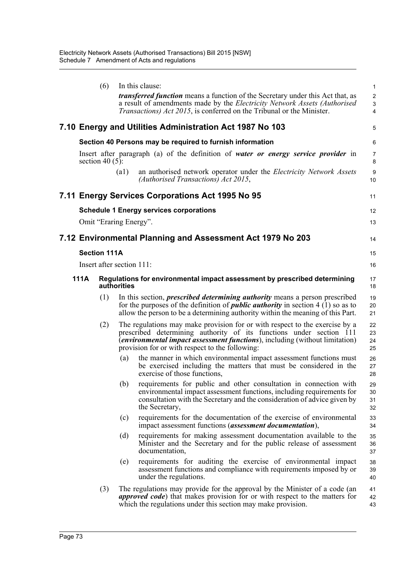|             | (6)                       |                    | In this clause:                                                                                                                                                                                                                                                                              | 1                        |
|-------------|---------------------------|--------------------|----------------------------------------------------------------------------------------------------------------------------------------------------------------------------------------------------------------------------------------------------------------------------------------------|--------------------------|
|             |                           |                    | <i>transferred function</i> means a function of the Secretary under this Act that, as<br>a result of amendments made by the Electricity Network Assets (Authorised<br><i>Transactions) Act 2015</i> , is conferred on the Tribunal or the Minister.                                          | $\overline{c}$<br>3<br>4 |
|             |                           |                    | 7.10 Energy and Utilities Administration Act 1987 No 103                                                                                                                                                                                                                                     | 5                        |
|             |                           |                    | Section 40 Persons may be required to furnish information                                                                                                                                                                                                                                    | 6                        |
|             | section 40 $(5)$ :        |                    | Insert after paragraph (a) of the definition of water or energy service provider in                                                                                                                                                                                                          | $\overline{7}$<br>8      |
|             |                           | $\left( a1\right)$ | an authorised network operator under the <i>Electricity Network Assets</i><br>(Authorised Transactions) Act 2015,                                                                                                                                                                            | 9<br>10                  |
|             |                           |                    | 7.11 Energy Services Corporations Act 1995 No 95                                                                                                                                                                                                                                             | 11                       |
|             |                           |                    | <b>Schedule 1 Energy services corporations</b>                                                                                                                                                                                                                                               | 12                       |
|             | Omit "Eraring Energy".    |                    |                                                                                                                                                                                                                                                                                              | 13                       |
|             |                           |                    | 7.12 Environmental Planning and Assessment Act 1979 No 203                                                                                                                                                                                                                                   | 14                       |
|             | <b>Section 111A</b>       |                    |                                                                                                                                                                                                                                                                                              | 15                       |
|             | Insert after section 111: |                    |                                                                                                                                                                                                                                                                                              | 16                       |
| <b>111A</b> |                           | authorities        | Regulations for environmental impact assessment by prescribed determining                                                                                                                                                                                                                    | 17<br>18                 |
|             | (1)                       |                    | In this section, <i>prescribed determining authority</i> means a person prescribed<br>for the purposes of the definition of <i>public authority</i> in section $4(1)$ so as to<br>allow the person to be a determining authority within the meaning of this Part.                            | 19<br>20<br>21           |
|             | (2)                       |                    | The regulations may make provision for or with respect to the exercise by a<br>prescribed determining authority of its functions under section 111<br><i>(environmental impact assessment functions)</i> , including (without limitation)<br>provision for or with respect to the following: | 22<br>23<br>24<br>25     |
|             |                           | (a)                | the manner in which environmental impact assessment functions must<br>be exercised including the matters that must be considered in the<br>exercise of those functions,                                                                                                                      | 26<br>27<br>28           |
|             |                           | (b)                | requirements for public and other consultation in connection with<br>environmental impact assessment functions, including requirements for<br>consultation with the Secretary and the consideration of advice given by<br>the Secretary,                                                     | 29<br>30<br>31<br>32     |
|             |                           | (c)                | requirements for the documentation of the exercise of environmental<br>impact assessment functions ( <i>assessment documentation</i> ),                                                                                                                                                      | 33<br>34                 |
|             |                           | (d)                | requirements for making assessment documentation available to the<br>Minister and the Secretary and for the public release of assessment<br>documentation,                                                                                                                                   | 35<br>36<br>37           |
|             |                           | (e)                | requirements for auditing the exercise of environmental impact<br>assessment functions and compliance with requirements imposed by or<br>under the regulations.                                                                                                                              | 38<br>39<br>40           |
|             | (3)                       |                    | The regulations may provide for the approval by the Minister of a code (an<br><i>approved code</i> ) that makes provision for or with respect to the matters for<br>which the regulations under this section may make provision.                                                             | 41<br>42<br>43           |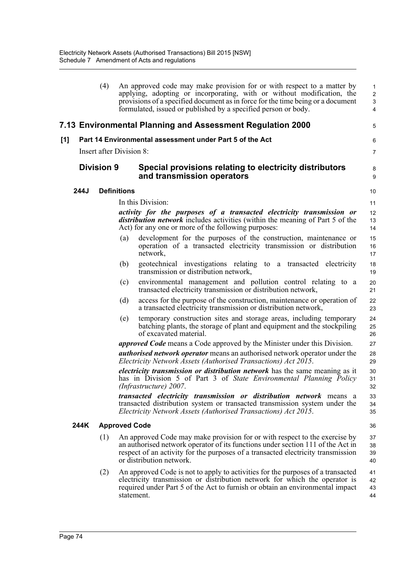|     |                   | (4)                             |                      | An approved code may make provision for or with respect to a matter by<br>applying, adopting or incorporating, with or without modification, the<br>provisions of a specified document as in force for the time being or a document<br>formulated, issued or published by a specified person or body. | $\mathbf{1}$<br>$\overline{c}$<br>3<br>4 |
|-----|-------------------|---------------------------------|----------------------|-------------------------------------------------------------------------------------------------------------------------------------------------------------------------------------------------------------------------------------------------------------------------------------------------------|------------------------------------------|
|     |                   |                                 |                      | 7.13 Environmental Planning and Assessment Regulation 2000                                                                                                                                                                                                                                            | 5                                        |
| [1] |                   |                                 |                      | Part 14 Environmental assessment under Part 5 of the Act                                                                                                                                                                                                                                              | 6                                        |
|     |                   | <b>Insert after Division 8:</b> |                      |                                                                                                                                                                                                                                                                                                       | $\overline{7}$                           |
|     | <b>Division 9</b> |                                 |                      | Special provisions relating to electricity distributors<br>and transmission operators                                                                                                                                                                                                                 | 8<br>9                                   |
|     | 244J              |                                 | <b>Definitions</b>   |                                                                                                                                                                                                                                                                                                       | 10                                       |
|     |                   |                                 |                      | In this Division:                                                                                                                                                                                                                                                                                     | 11                                       |
|     |                   |                                 |                      | activity for the purposes of a transacted electricity transmission or<br><i>distribution network</i> includes activities (within the meaning of Part 5 of the<br>Act) for any one or more of the following purposes:                                                                                  | 12<br>13<br>14                           |
|     |                   |                                 | (a)                  | development for the purposes of the construction, maintenance or<br>operation of a transacted electricity transmission or distribution<br>network,                                                                                                                                                    | 15<br>16<br>17                           |
|     |                   |                                 | (b)                  | geotechnical investigations relating to a transacted electricity<br>transmission or distribution network,                                                                                                                                                                                             | 18<br>19                                 |
|     |                   |                                 | (c)                  | environmental management and pollution control relating to a<br>transacted electricity transmission or distribution network,                                                                                                                                                                          | 20<br>21                                 |
|     |                   |                                 | (d)                  | access for the purpose of the construction, maintenance or operation of<br>a transacted electricity transmission or distribution network,                                                                                                                                                             | 22<br>23                                 |
|     |                   |                                 | (e)                  | temporary construction sites and storage areas, including temporary<br>batching plants, the storage of plant and equipment and the stockpiling<br>of excavated material.                                                                                                                              | 24<br>25<br>26                           |
|     |                   |                                 |                      | <i>approved Code</i> means a Code approved by the Minister under this Division.                                                                                                                                                                                                                       | 27                                       |
|     |                   |                                 |                      | <i>authorised network operator</i> means an authorised network operator under the<br>Electricity Network Assets (Authorised Transactions) Act 2015.                                                                                                                                                   | 28<br>29                                 |
|     |                   |                                 |                      | <i>electricity transmission or distribution network</i> has the same meaning as it<br>has in Division 5 of Part 3 of State Environmental Planning Policy<br>(Infrastructure) 2007.                                                                                                                    | 30<br>31<br>32                           |
|     |                   |                                 |                      | transacted electricity transmission or distribution network means a<br>transacted distribution system or transacted transmission system under the<br>Electricity Network Assets (Authorised Transactions) Act 2015.                                                                                   | 33<br>34<br>35                           |
|     | 244K              |                                 | <b>Approved Code</b> |                                                                                                                                                                                                                                                                                                       | 36                                       |
|     |                   | (1)                             |                      | An approved Code may make provision for or with respect to the exercise by<br>an authorised network operator of its functions under section 111 of the Act in<br>respect of an activity for the purposes of a transacted electricity transmission<br>or distribution network.                         | 37<br>38<br>39<br>40                     |
|     |                   | (2)                             |                      | An approved Code is not to apply to activities for the purposes of a transacted<br>electricity transmission or distribution network for which the operator is<br>required under Part 5 of the Act to furnish or obtain an environmental impact<br>statement.                                          | 41<br>42<br>43<br>44                     |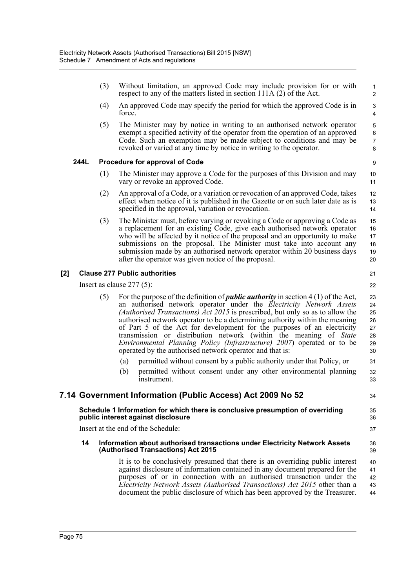|     |      | (3) | Without limitation, an approved Code may include provision for or with<br>respect to any of the matters listed in section 111A (2) of the Act.                                                                                                                                                                                                                                                                                                                                                                                                                                                                                  | $\mathbf{1}$<br>$\overline{2}$                  |
|-----|------|-----|---------------------------------------------------------------------------------------------------------------------------------------------------------------------------------------------------------------------------------------------------------------------------------------------------------------------------------------------------------------------------------------------------------------------------------------------------------------------------------------------------------------------------------------------------------------------------------------------------------------------------------|-------------------------------------------------|
|     |      | (4) | An approved Code may specify the period for which the approved Code is in<br>force.                                                                                                                                                                                                                                                                                                                                                                                                                                                                                                                                             | 3<br>$\overline{4}$                             |
|     |      | (5) | The Minister may by notice in writing to an authorised network operator<br>exempt a specified activity of the operator from the operation of an approved<br>Code. Such an exemption may be made subject to conditions and may be<br>revoked or varied at any time by notice in writing to the operator.                                                                                                                                                                                                                                                                                                                         | $\mathbf 5$<br>$\,6\,$<br>$\boldsymbol{7}$<br>8 |
|     | 244L |     | Procedure for approval of Code                                                                                                                                                                                                                                                                                                                                                                                                                                                                                                                                                                                                  | $\boldsymbol{9}$                                |
|     |      | (1) | The Minister may approve a Code for the purposes of this Division and may<br>vary or revoke an approved Code.                                                                                                                                                                                                                                                                                                                                                                                                                                                                                                                   | 10<br>11                                        |
|     |      | (2) | An approval of a Code, or a variation or revocation of an approved Code, takes<br>effect when notice of it is published in the Gazette or on such later date as is<br>specified in the approval, variation or revocation.                                                                                                                                                                                                                                                                                                                                                                                                       | 12<br>13<br>14                                  |
|     |      | (3) | The Minister must, before varying or revoking a Code or approving a Code as<br>a replacement for an existing Code, give each authorised network operator<br>who will be affected by it notice of the proposal and an opportunity to make<br>submissions on the proposal. The Minister must take into account any<br>submission made by an authorised network operator within 20 business days<br>after the operator was given notice of the proposal.                                                                                                                                                                           | 15<br>16<br>17<br>18<br>19<br>20                |
| [2] |      |     | <b>Clause 277 Public authorities</b>                                                                                                                                                                                                                                                                                                                                                                                                                                                                                                                                                                                            | 21                                              |
|     |      |     | Insert as clause $277(5)$ :                                                                                                                                                                                                                                                                                                                                                                                                                                                                                                                                                                                                     | 22                                              |
|     |      | (5) | For the purpose of the definition of <i>public authority</i> in section $4(1)$ of the Act,<br>an authorised network operator under the <i>Electricity Network Assets</i><br>(Authorised Transactions) Act 2015 is prescribed, but only so as to allow the<br>authorised network operator to be a determining authority within the meaning<br>of Part 5 of the Act for development for the purposes of an electricity<br>transmission or distribution network (within the meaning of State<br>Environmental Planning Policy (Infrastructure) 2007) operated or to be<br>operated by the authorised network operator and that is: | 23<br>24<br>25<br>26<br>27<br>28<br>29<br>30    |
|     |      |     | permitted without consent by a public authority under that Policy, or<br>(a)                                                                                                                                                                                                                                                                                                                                                                                                                                                                                                                                                    | 31                                              |
|     |      |     | (b)<br>permitted without consent under any other environmental planning<br>instrument.                                                                                                                                                                                                                                                                                                                                                                                                                                                                                                                                          | 32<br>33                                        |
|     |      |     | 7.14 Government Information (Public Access) Act 2009 No 52                                                                                                                                                                                                                                                                                                                                                                                                                                                                                                                                                                      | 34                                              |
|     |      |     | Schedule 1 Information for which there is conclusive presumption of overriding<br>public interest against disclosure                                                                                                                                                                                                                                                                                                                                                                                                                                                                                                            | 35<br>36                                        |
|     |      |     | Insert at the end of the Schedule:                                                                                                                                                                                                                                                                                                                                                                                                                                                                                                                                                                                              | 37                                              |
|     | 14   |     | Information about authorised transactions under Electricity Network Assets<br>(Authorised Transactions) Act 2015                                                                                                                                                                                                                                                                                                                                                                                                                                                                                                                | 38<br>39                                        |
|     |      |     | It is to be conclusively presumed that there is an overriding public interest<br>against disclosure of information contained in any document prepared for the<br>purposes of or in connection with an authorised transaction under the<br>Electricity Network Assets (Authorised Transactions) Act 2015 other than a<br>document the public disclosure of which has been approved by the Treasurer.                                                                                                                                                                                                                             | 40<br>41<br>42<br>43<br>44                      |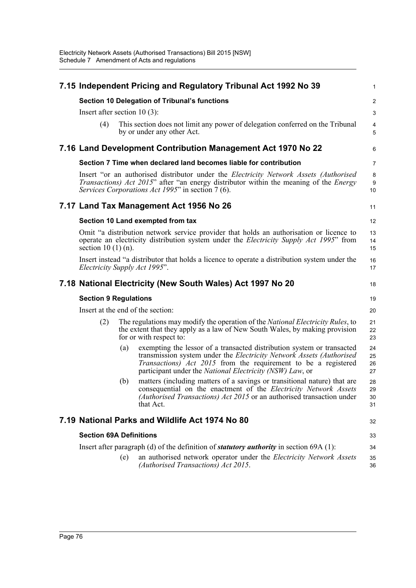|                                 |                                   | 7.15 Independent Pricing and Regulatory Tribunal Act 1992 No 39                                                                                                                                                                                                                             | 1                       |  |
|---------------------------------|-----------------------------------|---------------------------------------------------------------------------------------------------------------------------------------------------------------------------------------------------------------------------------------------------------------------------------------------|-------------------------|--|
|                                 |                                   | <b>Section 10 Delegation of Tribunal's functions</b>                                                                                                                                                                                                                                        | $\overline{\mathbf{c}}$ |  |
| Insert after section 10 $(3)$ : |                                   |                                                                                                                                                                                                                                                                                             | 3                       |  |
| (4)                             |                                   | This section does not limit any power of delegation conferred on the Tribunal<br>by or under any other Act.                                                                                                                                                                                 | $\overline{4}$<br>5     |  |
|                                 |                                   | 7.16 Land Development Contribution Management Act 1970 No 22                                                                                                                                                                                                                                | 6                       |  |
|                                 |                                   | Section 7 Time when declared land becomes liable for contribution                                                                                                                                                                                                                           | 7                       |  |
|                                 |                                   | Insert "or an authorised distributor under the <i>Electricity Network Assets (Authorised</i> )<br><i>Transactions) Act 2015</i> " after "an energy distributor within the meaning of the <i>Energy</i><br>Services Corporations Act 1995" in section 7 (6).                                 | 8<br>9<br>10            |  |
|                                 |                                   | 7.17 Land Tax Management Act 1956 No 26                                                                                                                                                                                                                                                     | 11                      |  |
|                                 |                                   | Section 10 Land exempted from tax                                                                                                                                                                                                                                                           | 12                      |  |
| section $10(1)(n)$ .            |                                   | Omit "a distribution network service provider that holds an authorisation or licence to<br>operate an electricity distribution system under the <i>Electricity Supply Act 1995</i> " from                                                                                                   | 13<br>14<br>15          |  |
| Electricity Supply Act 1995".   |                                   | Insert instead "a distributor that holds a licence to operate a distribution system under the                                                                                                                                                                                               | 16<br>17                |  |
|                                 |                                   | 7.18 National Electricity (New South Wales) Act 1997 No 20                                                                                                                                                                                                                                  | 18                      |  |
| <b>Section 9 Regulations</b>    |                                   |                                                                                                                                                                                                                                                                                             | 19                      |  |
|                                 | Insert at the end of the section: |                                                                                                                                                                                                                                                                                             |                         |  |
| (2)                             |                                   | The regulations may modify the operation of the National Electricity Rules, to<br>the extent that they apply as a law of New South Wales, by making provision                                                                                                                               | 21                      |  |
|                                 |                                   | for or with respect to:                                                                                                                                                                                                                                                                     | 22<br>23                |  |
|                                 | (a)                               | exempting the lessor of a transacted distribution system or transacted<br>transmission system under the Electricity Network Assets (Authorised<br><i>Transactions</i> ) <i>Act 2015</i> from the requirement to be a registered<br>participant under the National Electricity (NSW) Law, or | 24<br>25<br>26<br>27    |  |
|                                 | (b)                               | matters (including matters of a savings or transitional nature) that are<br>consequential on the enactment of the Electricity Network Assets<br>(Authorised Transactions) Act 2015 or an authorised transaction under<br>that Act.                                                          | 28<br>29<br>30<br>31    |  |
|                                 |                                   | 7.19 National Parks and Wildlife Act 1974 No 80                                                                                                                                                                                                                                             | 32                      |  |
| <b>Section 69A Definitions</b>  |                                   |                                                                                                                                                                                                                                                                                             | 33                      |  |
|                                 |                                   | Insert after paragraph (d) of the definition of <i>statutory authority</i> in section 69A (1):                                                                                                                                                                                              | 34                      |  |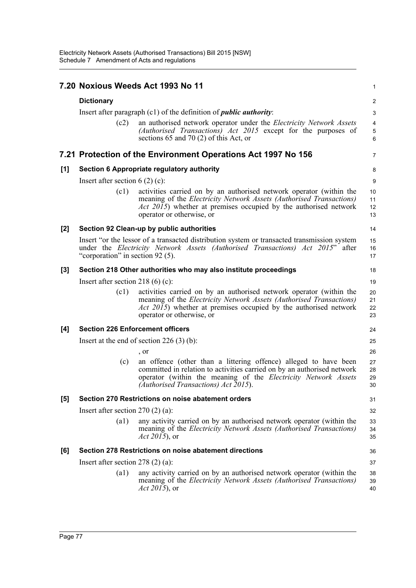|     |                                                                              | 7.20 Noxious Weeds Act 1993 No 11                                                                                                                                                                                                                          | 1                    |  |  |
|-----|------------------------------------------------------------------------------|------------------------------------------------------------------------------------------------------------------------------------------------------------------------------------------------------------------------------------------------------------|----------------------|--|--|
|     | <b>Dictionary</b>                                                            |                                                                                                                                                                                                                                                            |                      |  |  |
|     | Insert after paragraph $(c1)$ of the definition of <i>public authority</i> : |                                                                                                                                                                                                                                                            |                      |  |  |
|     | (c2)                                                                         | an authorised network operator under the <i>Electricity Network Assets</i><br>(Authorised Transactions) Act 2015 except for the purposes of<br>sections 65 and 70 $(2)$ of this Act, or                                                                    | 4<br>5<br>6          |  |  |
|     |                                                                              | 7.21 Protection of the Environment Operations Act 1997 No 156                                                                                                                                                                                              | 7                    |  |  |
| [1] |                                                                              | Section 6 Appropriate regulatory authority                                                                                                                                                                                                                 | 8                    |  |  |
|     | Insert after section $6(2)(c)$ :                                             |                                                                                                                                                                                                                                                            |                      |  |  |
|     | (c1)                                                                         | activities carried on by an authorised network operator (within the<br>meaning of the <i>Electricity Network Assets (Authorised Transactions)</i><br><i>Act 2015</i> ) whether at premises occupied by the authorised network<br>operator or otherwise, or | 10<br>11<br>12<br>13 |  |  |
| [2] |                                                                              | Section 92 Clean-up by public authorities                                                                                                                                                                                                                  | 14                   |  |  |
|     | "corporation" in section 92 (5).                                             | Insert "or the lessor of a transacted distribution system or transacted transmission system<br>under the Electricity Network Assets (Authorised Transactions) Act 2015" after                                                                              | 15<br>16<br>17       |  |  |
| [3] |                                                                              | Section 218 Other authorities who may also institute proceedings                                                                                                                                                                                           | 18                   |  |  |
|     | Insert after section 218 (6) (c):                                            |                                                                                                                                                                                                                                                            |                      |  |  |
|     | (c1)                                                                         | activities carried on by an authorised network operator (within the<br>meaning of the <i>Electricity Network Assets (Authorised Transactions)</i><br><i>Act 2015</i> ) whether at premises occupied by the authorised network<br>operator or otherwise, or | 20<br>21<br>22<br>23 |  |  |
| [4] | <b>Section 226 Enforcement officers</b>                                      |                                                                                                                                                                                                                                                            | 24                   |  |  |
|     |                                                                              | Insert at the end of section $226(3)(b)$ :                                                                                                                                                                                                                 | 25                   |  |  |
|     |                                                                              | , or                                                                                                                                                                                                                                                       | 26                   |  |  |
|     | (c)                                                                          | an offence (other than a littering offence) alleged to have been<br>committed in relation to activities carried on by an authorised network<br>operator (within the meaning of the Electricity Network Assets<br>(Authorised Transactions) Act 2015).      | 27<br>28<br>29<br>30 |  |  |
| [5] |                                                                              | Section 270 Restrictions on noise abatement orders                                                                                                                                                                                                         | 31                   |  |  |
|     | Insert after section $270(2)(a)$ :                                           |                                                                                                                                                                                                                                                            |                      |  |  |
|     | $\left( a1\right)$                                                           | any activity carried on by an authorised network operator (within the<br>meaning of the <i>Electricity Network Assets (Authorised Transactions)</i><br>Act 2015), or                                                                                       | 33<br>34<br>35       |  |  |
| [6] |                                                                              | Section 278 Restrictions on noise abatement directions                                                                                                                                                                                                     | 36                   |  |  |
|     | Insert after section $278(2)(a)$ :                                           |                                                                                                                                                                                                                                                            | 37                   |  |  |
|     | (a1)                                                                         | any activity carried on by an authorised network operator (within the<br>meaning of the <i>Electricity Network Assets (Authorised Transactions)</i><br><i>Act 2015</i> ), or                                                                               | 38<br>39<br>40       |  |  |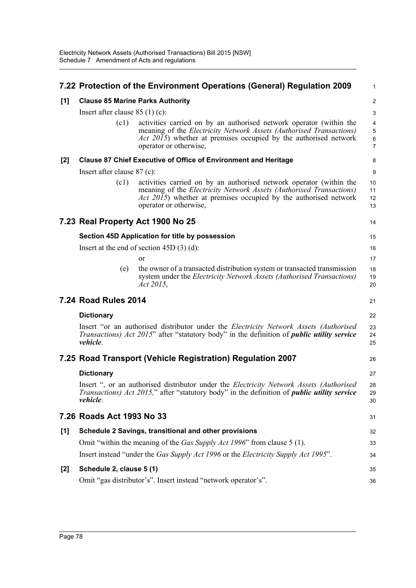|       |                                         | 7.22 Protection of the Environment Operations (General) Regulation 2009                                                                                                                                                                          | 1                    |  |  |
|-------|-----------------------------------------|--------------------------------------------------------------------------------------------------------------------------------------------------------------------------------------------------------------------------------------------------|----------------------|--|--|
| [1]   | <b>Clause 85 Marine Parks Authority</b> |                                                                                                                                                                                                                                                  |                      |  |  |
|       | Insert after clause $85(1)(c)$ :        |                                                                                                                                                                                                                                                  |                      |  |  |
|       | (c1)                                    | activities carried on by an authorised network operator (within the<br>meaning of the Electricity Network Assets (Authorised Transactions)<br><i>Act 2015</i> ) whether at premises occupied by the authorised network<br>operator or otherwise, | 4<br>5<br>6<br>7     |  |  |
| $[2]$ |                                         | <b>Clause 87 Chief Executive of Office of Environment and Heritage</b>                                                                                                                                                                           | 8                    |  |  |
|       | Insert after clause $87$ (c):           |                                                                                                                                                                                                                                                  |                      |  |  |
|       | (c1)                                    | activities carried on by an authorised network operator (within the<br>meaning of the Electricity Network Assets (Authorised Transactions)<br><i>Act 2015</i> ) whether at premises occupied by the authorised network<br>operator or otherwise, | 10<br>11<br>12<br>13 |  |  |
|       |                                         | 7.23 Real Property Act 1900 No 25                                                                                                                                                                                                                | 14                   |  |  |
|       |                                         | Section 45D Application for title by possession                                                                                                                                                                                                  | 15                   |  |  |
|       |                                         | Insert at the end of section $45D(3)(d)$ :                                                                                                                                                                                                       | 16                   |  |  |
|       |                                         | <sub>or</sub>                                                                                                                                                                                                                                    | 17                   |  |  |
|       | (e)                                     | the owner of a transacted distribution system or transacted transmission<br>system under the Electricity Network Assets (Authorised Transactions)<br>Act 2015,                                                                                   | 18<br>19<br>20       |  |  |
|       | 7.24 Road Rules 2014                    |                                                                                                                                                                                                                                                  | 21                   |  |  |
|       | <b>Dictionary</b>                       |                                                                                                                                                                                                                                                  | 22                   |  |  |
|       | vehicle.                                | Insert "or an authorised distributor under the Electricity Network Assets (Authorised<br><i>Transactions) Act 2015"</i> after "statutory body" in the definition of <i>public utility service</i>                                                | 23<br>24<br>25       |  |  |
|       |                                         | 7.25 Road Transport (Vehicle Registration) Regulation 2007                                                                                                                                                                                       | 26                   |  |  |
|       | <b>Dictionary</b>                       |                                                                                                                                                                                                                                                  | 27                   |  |  |
|       | vehicle.                                | Insert ", or an authorised distributor under the <i>Electricity Network Assets (Authorised</i> )<br><i>Transactions) Act 2015,</i> " after "statutory body" in the definition of <i>public utility service</i>                                   | 28<br>29<br>30       |  |  |
|       | 7.26 Roads Act 1993 No 33               |                                                                                                                                                                                                                                                  | 31                   |  |  |
| [1]   |                                         | Schedule 2 Savings, transitional and other provisions                                                                                                                                                                                            | 32                   |  |  |
|       |                                         | Omit "within the meaning of the <i>Gas Supply Act 1996</i> " from clause 5 (1).                                                                                                                                                                  | 33                   |  |  |
|       |                                         | Insert instead "under the Gas Supply Act 1996 or the Electricity Supply Act 1995".                                                                                                                                                               | 34                   |  |  |
| $[2]$ | Schedule 2, clause 5 (1)                |                                                                                                                                                                                                                                                  | 35                   |  |  |
|       |                                         | Omit "gas distributor's". Insert instead "network operator's".                                                                                                                                                                                   | 36                   |  |  |
|       |                                         |                                                                                                                                                                                                                                                  |                      |  |  |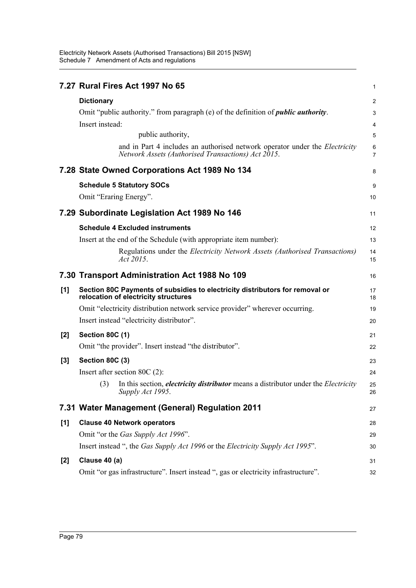Electricity Network Assets (Authorised Transactions) Bill 2015 [NSW] Schedule 7 Amendment of Acts and regulations

|       | 7.27 Rural Fires Act 1997 No 65                                                                                                          | 1              |
|-------|------------------------------------------------------------------------------------------------------------------------------------------|----------------|
|       | <b>Dictionary</b>                                                                                                                        | $\overline{c}$ |
|       | Omit "public authority." from paragraph (e) of the definition of <i>public authority</i> .                                               | 3              |
|       | Insert instead:                                                                                                                          | 4              |
|       | public authority,                                                                                                                        | 5              |
|       | and in Part 4 includes an authorised network operator under the <i>Electricity</i><br>Network Assets (Authorised Transactions) Act 2015. | 6<br>7         |
|       | 7.28 State Owned Corporations Act 1989 No 134                                                                                            | 8              |
|       | <b>Schedule 5 Statutory SOCs</b>                                                                                                         | 9              |
|       | Omit "Eraring Energy".                                                                                                                   | 10             |
|       | 7.29 Subordinate Legislation Act 1989 No 146                                                                                             | 11             |
|       | <b>Schedule 4 Excluded instruments</b>                                                                                                   | 12             |
|       | Insert at the end of the Schedule (with appropriate item number):                                                                        | 13             |
|       | Regulations under the <i>Electricity Network Assets (Authorised Transactions)</i><br>Act 2015.                                           | 14<br>15       |
|       | 7.30 Transport Administration Act 1988 No 109                                                                                            | 16             |
| [1]   | Section 80C Payments of subsidies to electricity distributors for removal or<br>relocation of electricity structures                     | 17<br>18       |
|       | Omit "electricity distribution network service provider" wherever occurring.                                                             | 19             |
|       | Insert instead "electricity distributor".                                                                                                | 20             |
| [2]   | <b>Section 80C (1)</b>                                                                                                                   | 21             |
|       | Omit "the provider". Insert instead "the distributor".                                                                                   | 22             |
| $[3]$ | <b>Section 80C (3)</b>                                                                                                                   | 23             |
|       | Insert after section 80C $(2)$ :                                                                                                         | 24             |
|       | (3)<br>In this section, <i>electricity distributor</i> means a distributor under the <i>Electricity</i><br>Supply Act 1995.              | 25<br>26       |
|       | 7.31 Water Management (General) Regulation 2011                                                                                          | 27             |
| [1]   | <b>Clause 40 Network operators</b>                                                                                                       | 28             |
|       | Omit "or the Gas Supply Act 1996".                                                                                                       | 29             |
|       | Insert instead ", the Gas Supply Act 1996 or the Electricity Supply Act 1995".                                                           | 30             |
| $[2]$ | Clause 40 (a)                                                                                                                            | 31             |
|       | Omit "or gas infrastructure". Insert instead ", gas or electricity infrastructure".                                                      | 32             |